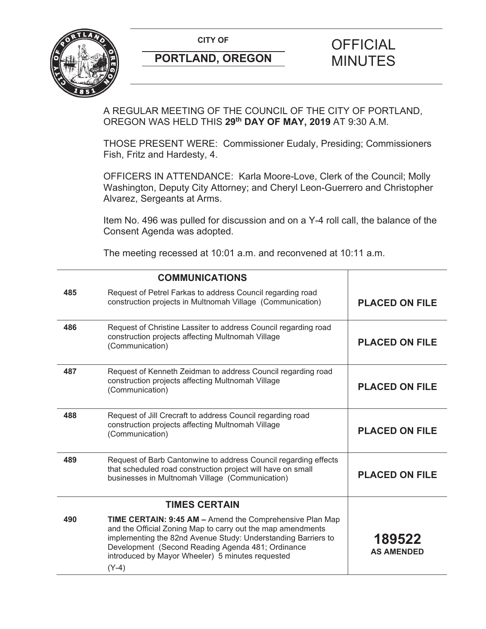**CITY OF CITY OF PICIAL** 



# **PORTLAND, OREGON MINUTES**

### A REGULAR MEETING OF THE COUNCIL OF THE CITY OF PORTLAND, OREGON WAS HELD THIS **29th DAY OF MAY, 2019** AT 9:30 A.M.

THOSE PRESENT WERE: Commissioner Eudaly, Presiding; Commissioners Fish, Fritz and Hardesty, 4.

OFFICERS IN ATTENDANCE: Karla Moore-Love, Clerk of the Council; Molly Washington, Deputy City Attorney; and Cheryl Leon-Guerrero and Christopher Alvarez, Sergeants at Arms.

Item No. 496 was pulled for discussion and on a Y-4 roll call, the balance of the Consent Agenda was adopted.

The meeting recessed at 10:01 a.m. and reconvened at 10:11 a.m.

| <b>COMMUNICATIONS</b> |                                                                                                                                                                                                                                                                                                                     |                             |
|-----------------------|---------------------------------------------------------------------------------------------------------------------------------------------------------------------------------------------------------------------------------------------------------------------------------------------------------------------|-----------------------------|
| 485                   | Request of Petrel Farkas to address Council regarding road<br>construction projects in Multnomah Village (Communication)                                                                                                                                                                                            | <b>PLACED ON FILE</b>       |
| 486                   | Request of Christine Lassiter to address Council regarding road<br>construction projects affecting Multnomah Village<br>(Communication)                                                                                                                                                                             | <b>PLACED ON FILE</b>       |
| 487                   | Request of Kenneth Zeidman to address Council regarding road<br>construction projects affecting Multnomah Village<br>(Communication)                                                                                                                                                                                | <b>PLACED ON FILE</b>       |
| 488                   | Request of Jill Crecraft to address Council regarding road<br>construction projects affecting Multnomah Village<br>(Communication)                                                                                                                                                                                  | <b>PLACED ON FILE</b>       |
| 489                   | Request of Barb Cantonwine to address Council regarding effects<br>that scheduled road construction project will have on small<br>businesses in Multnomah Village (Communication)                                                                                                                                   | <b>PLACED ON FILE</b>       |
| <b>TIMES CERTAIN</b>  |                                                                                                                                                                                                                                                                                                                     |                             |
| 490                   | <b>TIME CERTAIN: 9:45 AM - Amend the Comprehensive Plan Map</b><br>and the Official Zoning Map to carry out the map amendments<br>implementing the 82nd Avenue Study: Understanding Barriers to<br>Development (Second Reading Agenda 481; Ordinance<br>introduced by Mayor Wheeler) 5 minutes requested<br>$(Y-4)$ | 189522<br><b>AS AMENDED</b> |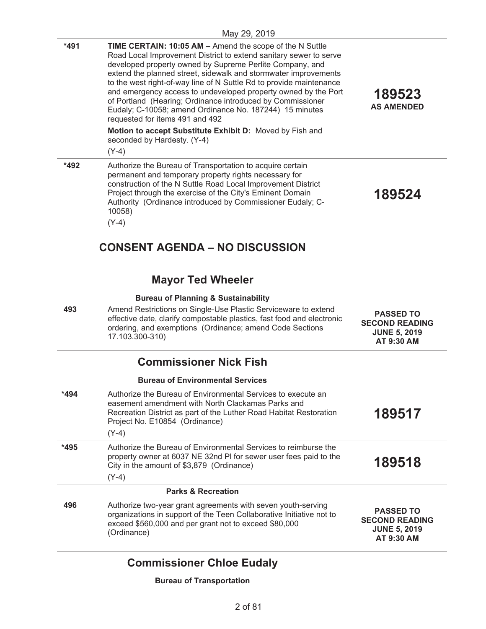|        | May 29, 2019                                                                                                                                                                                                                                                                                                                                                                                                                                                                                                                                                                                                                                                                   |                                                                                |
|--------|--------------------------------------------------------------------------------------------------------------------------------------------------------------------------------------------------------------------------------------------------------------------------------------------------------------------------------------------------------------------------------------------------------------------------------------------------------------------------------------------------------------------------------------------------------------------------------------------------------------------------------------------------------------------------------|--------------------------------------------------------------------------------|
| $*491$ | <b>TIME CERTAIN: 10:05 AM - Amend the scope of the N Suttle</b><br>Road Local Improvement District to extend sanitary sewer to serve<br>developed property owned by Supreme Perlite Company, and<br>extend the planned street, sidewalk and stormwater improvements<br>to the west right-of-way line of N Suttle Rd to provide maintenance<br>and emergency access to undeveloped property owned by the Port<br>of Portland (Hearing; Ordinance introduced by Commissioner<br>Eudaly; C-10058; amend Ordinance No. 187244) 15 minutes<br>requested for items 491 and 492<br>Motion to accept Substitute Exhibit D: Moved by Fish and<br>seconded by Hardesty. (Y-4)<br>$(Y-4)$ | 189523<br><b>AS AMENDED</b>                                                    |
| *492   | Authorize the Bureau of Transportation to acquire certain<br>permanent and temporary property rights necessary for<br>construction of the N Suttle Road Local Improvement District<br>Project through the exercise of the City's Eminent Domain<br>Authority (Ordinance introduced by Commissioner Eudaly; C-<br>10058)<br>$(Y-4)$                                                                                                                                                                                                                                                                                                                                             | 189524                                                                         |
|        | <b>CONSENT AGENDA – NO DISCUSSION</b>                                                                                                                                                                                                                                                                                                                                                                                                                                                                                                                                                                                                                                          |                                                                                |
|        | <b>Mayor Ted Wheeler</b>                                                                                                                                                                                                                                                                                                                                                                                                                                                                                                                                                                                                                                                       |                                                                                |
|        | <b>Bureau of Planning &amp; Sustainability</b>                                                                                                                                                                                                                                                                                                                                                                                                                                                                                                                                                                                                                                 |                                                                                |
| 493    | Amend Restrictions on Single-Use Plastic Serviceware to extend<br>effective date, clarify compostable plastics, fast food and electronic<br>ordering, and exemptions (Ordinance; amend Code Sections<br>17.103.300-310)                                                                                                                                                                                                                                                                                                                                                                                                                                                        | <b>PASSED TO</b><br><b>SECOND READING</b><br><b>JUNE 5, 2019</b><br>AT 9:30 AM |
|        | <b>Commissioner Nick Fish</b>                                                                                                                                                                                                                                                                                                                                                                                                                                                                                                                                                                                                                                                  |                                                                                |
|        | <b>Bureau of Environmental Services</b>                                                                                                                                                                                                                                                                                                                                                                                                                                                                                                                                                                                                                                        |                                                                                |
| $*494$ | Authorize the Bureau of Environmental Services to execute an<br>easement amendment with North Clackamas Parks and<br>Recreation District as part of the Luther Road Habitat Restoration<br>Project No. E10854 (Ordinance)<br>$(Y-4)$                                                                                                                                                                                                                                                                                                                                                                                                                                           | 189517                                                                         |
| *495   | Authorize the Bureau of Environmental Services to reimburse the<br>property owner at 6037 NE 32nd PI for sewer user fees paid to the<br>City in the amount of \$3,879 (Ordinance)<br>$(Y-4)$                                                                                                                                                                                                                                                                                                                                                                                                                                                                                   | 189518                                                                         |
|        | <b>Parks &amp; Recreation</b>                                                                                                                                                                                                                                                                                                                                                                                                                                                                                                                                                                                                                                                  |                                                                                |
| 496    | Authorize two-year grant agreements with seven youth-serving<br>organizations in support of the Teen Collaborative Initiative not to<br>exceed \$560,000 and per grant not to exceed \$80,000<br>(Ordinance)                                                                                                                                                                                                                                                                                                                                                                                                                                                                   | <b>PASSED TO</b><br><b>SECOND READING</b><br><b>JUNE 5, 2019</b><br>AT 9:30 AM |
|        | <b>Commissioner Chloe Eudaly</b>                                                                                                                                                                                                                                                                                                                                                                                                                                                                                                                                                                                                                                               |                                                                                |
|        | <b>Bureau of Transportation</b>                                                                                                                                                                                                                                                                                                                                                                                                                                                                                                                                                                                                                                                |                                                                                |
|        |                                                                                                                                                                                                                                                                                                                                                                                                                                                                                                                                                                                                                                                                                |                                                                                |

## **Bureau of Transportation**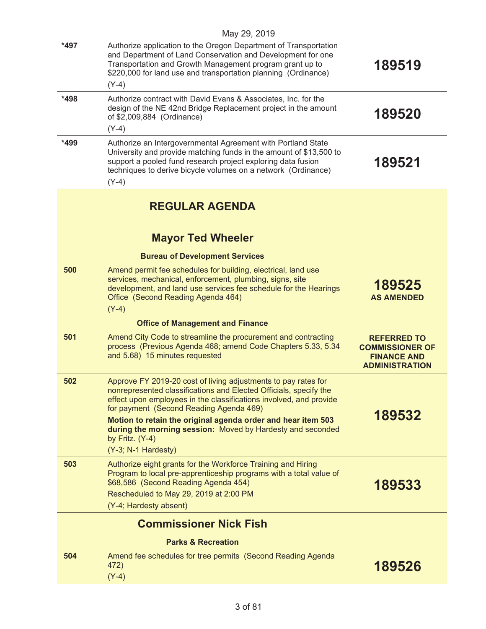|      | May 29, 2019                                                                                                                                                                                                                                                                                                                                                                       |                                                                                             |
|------|------------------------------------------------------------------------------------------------------------------------------------------------------------------------------------------------------------------------------------------------------------------------------------------------------------------------------------------------------------------------------------|---------------------------------------------------------------------------------------------|
| *497 | Authorize application to the Oregon Department of Transportation<br>and Department of Land Conservation and Development for one<br>Transportation and Growth Management program grant up to<br>\$220,000 for land use and transportation planning (Ordinance)<br>$(Y-4)$                                                                                                           | 189519                                                                                      |
| *498 | Authorize contract with David Evans & Associates, Inc. for the<br>design of the NE 42nd Bridge Replacement project in the amount<br>of \$2,009,884 (Ordinance)<br>$(Y-4)$                                                                                                                                                                                                          | 189520                                                                                      |
| *499 | Authorize an Intergovernmental Agreement with Portland State<br>University and provide matching funds in the amount of \$13,500 to<br>support a pooled fund research project exploring data fusion<br>techniques to derive bicycle volumes on a network (Ordinance)<br>$(Y-4)$                                                                                                     | 189521                                                                                      |
|      | <b>REGULAR AGENDA</b>                                                                                                                                                                                                                                                                                                                                                              |                                                                                             |
|      | <b>Mayor Ted Wheeler</b>                                                                                                                                                                                                                                                                                                                                                           |                                                                                             |
|      | <b>Bureau of Development Services</b>                                                                                                                                                                                                                                                                                                                                              |                                                                                             |
| 500  | Amend permit fee schedules for building, electrical, land use<br>services, mechanical, enforcement, plumbing, signs, site<br>development, and land use services fee schedule for the Hearings<br>Office (Second Reading Agenda 464)<br>$(Y-4)$                                                                                                                                     | 189525<br><b>AS AMENDED</b>                                                                 |
|      | <b>Office of Management and Finance</b>                                                                                                                                                                                                                                                                                                                                            |                                                                                             |
| 501  | Amend City Code to streamline the procurement and contracting<br>process (Previous Agenda 468; amend Code Chapters 5.33, 5.34<br>and 5.68) 15 minutes requested                                                                                                                                                                                                                    | <b>REFERRED TO</b><br><b>COMMISSIONER OF</b><br><b>FINANCE AND</b><br><b>ADMINISTRATION</b> |
| 502  | Approve FY 2019-20 cost of living adjustments to pay rates for<br>nonrepresented classifications and Elected Officials, specify the<br>effect upon employees in the classifications involved, and provide<br>for payment (Second Reading Agenda 469)<br>Motion to retain the original agenda order and hear item 503<br>during the morning session: Moved by Hardesty and seconded | 189532                                                                                      |
|      | by Fritz. (Y-4)<br>(Y-3; N-1 Hardesty)                                                                                                                                                                                                                                                                                                                                             |                                                                                             |
| 503  | Authorize eight grants for the Workforce Training and Hiring<br>Program to local pre-apprenticeship programs with a total value of<br>\$68,586 (Second Reading Agenda 454)<br>Rescheduled to May 29, 2019 at 2:00 PM<br>(Y-4; Hardesty absent)                                                                                                                                     | 189533                                                                                      |
|      | <b>Commissioner Nick Fish</b>                                                                                                                                                                                                                                                                                                                                                      |                                                                                             |
|      | <b>Parks &amp; Recreation</b>                                                                                                                                                                                                                                                                                                                                                      |                                                                                             |
| 504  | Amend fee schedules for tree permits (Second Reading Agenda<br>472)<br>$(Y-4)$                                                                                                                                                                                                                                                                                                     | 189526                                                                                      |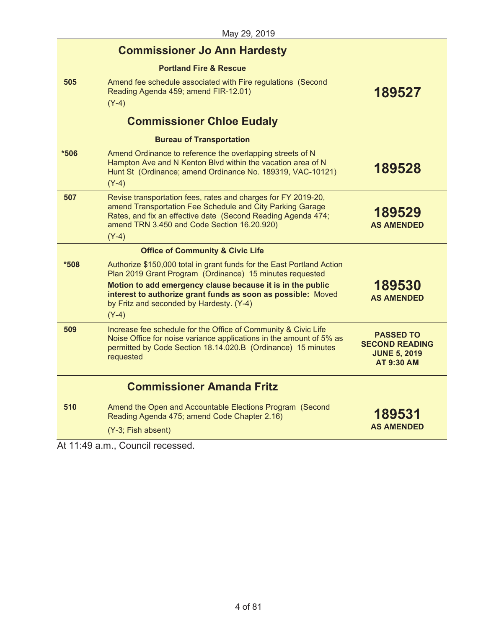|      | ividy 29, 2019                                                                                                                                                                                                                                                                                                         |                                                                                       |
|------|------------------------------------------------------------------------------------------------------------------------------------------------------------------------------------------------------------------------------------------------------------------------------------------------------------------------|---------------------------------------------------------------------------------------|
|      | <b>Commissioner Jo Ann Hardesty</b>                                                                                                                                                                                                                                                                                    |                                                                                       |
|      | <b>Portland Fire &amp; Rescue</b>                                                                                                                                                                                                                                                                                      |                                                                                       |
| 505  | Amend fee schedule associated with Fire regulations (Second<br>Reading Agenda 459; amend FIR-12.01)<br>$(Y-4)$                                                                                                                                                                                                         | 189527                                                                                |
|      | <b>Commissioner Chloe Eudaly</b>                                                                                                                                                                                                                                                                                       |                                                                                       |
|      | <b>Bureau of Transportation</b>                                                                                                                                                                                                                                                                                        |                                                                                       |
| *506 | Amend Ordinance to reference the overlapping streets of N<br>Hampton Ave and N Kenton Blvd within the vacation area of N<br>Hunt St (Ordinance; amend Ordinance No. 189319, VAC-10121)<br>$(Y-4)$                                                                                                                      | 189528                                                                                |
| 507  | Revise transportation fees, rates and charges for FY 2019-20,<br>amend Transportation Fee Schedule and City Parking Garage<br>Rates, and fix an effective date (Second Reading Agenda 474;<br>amend TRN 3.450 and Code Section 16.20.920)<br>$(Y-4)$                                                                   | 189529<br><b>AS AMENDED</b>                                                           |
|      | <b>Office of Community &amp; Civic Life</b>                                                                                                                                                                                                                                                                            |                                                                                       |
| *508 | Authorize \$150,000 total in grant funds for the East Portland Action<br>Plan 2019 Grant Program (Ordinance) 15 minutes requested<br>Motion to add emergency clause because it is in the public<br>interest to authorize grant funds as soon as possible: Moved<br>by Fritz and seconded by Hardesty. (Y-4)<br>$(Y-4)$ | 189530<br><b>AS AMENDED</b>                                                           |
| 509  | Increase fee schedule for the Office of Community & Civic Life<br>Noise Office for noise variance applications in the amount of 5% as<br>permitted by Code Section 18.14.020.B (Ordinance) 15 minutes<br>requested                                                                                                     | <b>PASSED TO</b><br><b>SECOND READING</b><br><b>JUNE 5, 2019</b><br><b>AT 9:30 AM</b> |
|      | <b>Commissioner Amanda Fritz</b>                                                                                                                                                                                                                                                                                       |                                                                                       |
| 510  | Amend the Open and Accountable Elections Program (Second<br>Reading Agenda 475; amend Code Chapter 2.16)                                                                                                                                                                                                               | 189531                                                                                |
|      | (Y-3; Fish absent)                                                                                                                                                                                                                                                                                                     | <b>AS AMENDED</b>                                                                     |
|      |                                                                                                                                                                                                                                                                                                                        |                                                                                       |

At 11:49 a.m., Council recessed.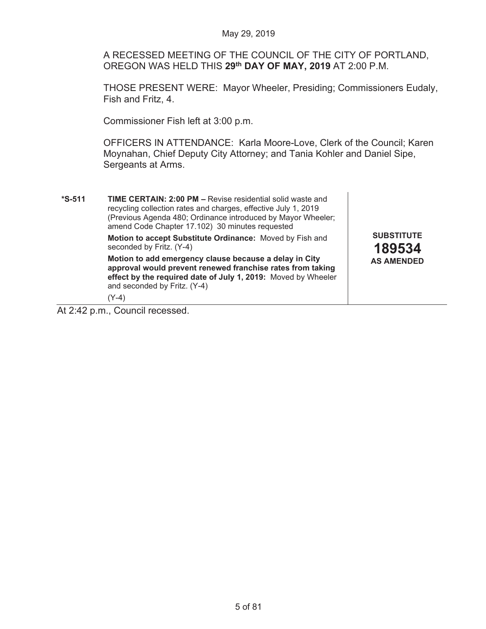A RECESSED MEETING OF THE COUNCIL OF THE CITY OF PORTLAND, OREGON WAS HELD THIS **29th DAY OF MAY, 2019** AT 2:00 P.M.

THOSE PRESENT WERE: Mayor Wheeler, Presiding; Commissioners Eudaly, Fish and Fritz, 4.

Commissioner Fish left at 3:00 p.m.

OFFICERS IN ATTENDANCE: Karla Moore-Love, Clerk of the Council; Karen Moynahan, Chief Deputy City Attorney; and Tania Kohler and Daniel Sipe, Sergeants at Arms.

**\*S-511 TIME CERTAIN: 2:00 PM –** Revise residential solid waste and recycling collection rates and charges, effective July 1, 2019 (Previous Agenda 480; Ordinance introduced by Mayor Wheeler; amend Code Chapter 17.102) 30 minutes requested  **Motion to accept Substitute Ordinance:** Moved by Fish and seconded by Fritz. (Y-4)  **Motion to add emergency clause because a delay in City approval would prevent renewed franchise rates from taking effect by the required date of July 1, 2019:** Moved by Wheeler and seconded by Fritz. (Y-4) (Y-4) **SUBSTITUTE 189534 AS AMENDED** 

At 2:42 p.m., Council recessed.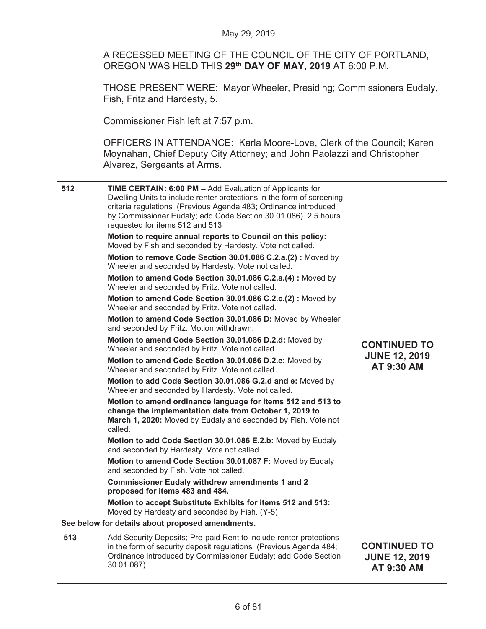A RECESSED MEETING OF THE COUNCIL OF THE CITY OF PORTLAND, OREGON WAS HELD THIS **29th DAY OF MAY, 2019** AT 6:00 P.M.

THOSE PRESENT WERE: Mayor Wheeler, Presiding; Commissioners Eudaly, Fish, Fritz and Hardesty, 5.

Commissioner Fish left at 7:57 p.m.

OFFICERS IN ATTENDANCE: Karla Moore-Love, Clerk of the Council; Karen Moynahan, Chief Deputy City Attorney; and John Paolazzi and Christopher Alvarez, Sergeants at Arms.

| 512 | TIME CERTAIN: 6:00 PM - Add Evaluation of Applicants for<br>Dwelling Units to include renter protections in the form of screening<br>criteria regulations (Previous Agenda 483; Ordinance introduced<br>by Commissioner Eudaly; add Code Section 30.01.086) 2.5 hours<br>requested for items 512 and 513<br>Motion to require annual reports to Council on this policy:<br>Moved by Fish and seconded by Hardesty. Vote not called.<br>Motion to remove Code Section 30.01.086 C.2.a.(2): Moved by<br>Wheeler and seconded by Hardesty. Vote not called.<br>Motion to amend Code Section 30.01.086 C.2.a.(4): Moved by<br>Wheeler and seconded by Fritz. Vote not called.<br>Motion to amend Code Section 30.01.086 C.2.c.(2): Moved by<br>Wheeler and seconded by Fritz. Vote not called.<br>Motion to amend Code Section 30.01.086 D: Moved by Wheeler<br>and seconded by Fritz. Motion withdrawn.<br>Motion to amend Code Section 30.01.086 D.2.d: Moved by<br>Wheeler and seconded by Fritz. Vote not called.<br>Motion to amend Code Section 30.01.086 D.2.e: Moved by<br>Wheeler and seconded by Fritz. Vote not called.<br>Motion to add Code Section 30.01.086 G.2.d and e: Moved by<br>Wheeler and seconded by Hardesty. Vote not called.<br>Motion to amend ordinance language for items 512 and 513 to<br>change the implementation date from October 1, 2019 to<br>March 1, 2020: Moved by Eudaly and seconded by Fish. Vote not<br>called.<br>Motion to add Code Section 30.01.086 E.2.b: Moved by Eudaly<br>and seconded by Hardesty. Vote not called.<br>Motion to amend Code Section 30.01.087 F: Moved by Eudaly<br>and seconded by Fish. Vote not called.<br><b>Commissioner Eudaly withdrew amendments 1 and 2</b><br>proposed for items 483 and 484.<br>Motion to accept Substitute Exhibits for items 512 and 513:<br>Moved by Hardesty and seconded by Fish. (Y-5)<br>See below for details about proposed amendments. | <b>CONTINUED TO</b><br><b>JUNE 12, 2019</b><br>AT 9:30 AM |
|-----|----------------------------------------------------------------------------------------------------------------------------------------------------------------------------------------------------------------------------------------------------------------------------------------------------------------------------------------------------------------------------------------------------------------------------------------------------------------------------------------------------------------------------------------------------------------------------------------------------------------------------------------------------------------------------------------------------------------------------------------------------------------------------------------------------------------------------------------------------------------------------------------------------------------------------------------------------------------------------------------------------------------------------------------------------------------------------------------------------------------------------------------------------------------------------------------------------------------------------------------------------------------------------------------------------------------------------------------------------------------------------------------------------------------------------------------------------------------------------------------------------------------------------------------------------------------------------------------------------------------------------------------------------------------------------------------------------------------------------------------------------------------------------------------------------------------------------------------------------------------------------------------------------------------------------------------------|-----------------------------------------------------------|
| 513 | Add Security Deposits; Pre-paid Rent to include renter protections<br>in the form of security deposit regulations (Previous Agenda 484;<br>Ordinance introduced by Commissioner Eudaly; add Code Section<br>30.01.087)                                                                                                                                                                                                                                                                                                                                                                                                                                                                                                                                                                                                                                                                                                                                                                                                                                                                                                                                                                                                                                                                                                                                                                                                                                                                                                                                                                                                                                                                                                                                                                                                                                                                                                                       | <b>CONTINUED TO</b><br><b>JUNE 12, 2019</b><br>AT 9:30 AM |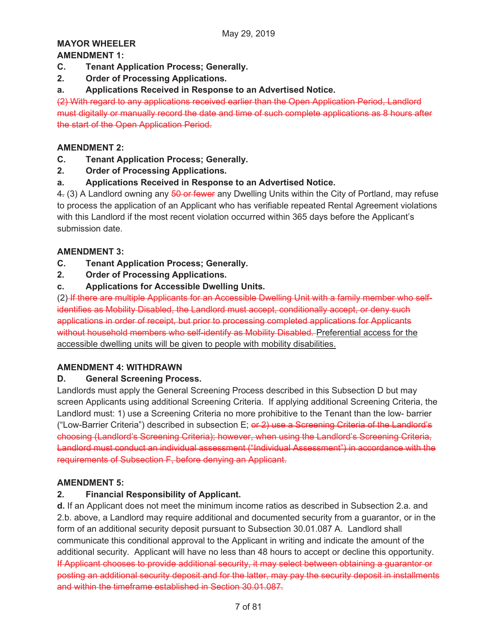#### **MAYOR WHEELER AMENDMENT 1:**

- **C. Tenant Application Process; Generally.**
- **2. Order of Processing Applications.**
- **a. Applications Received in Response to an Advertised Notice.**

(2) With regard to any applications received earlier than the Open Application Period, Landlord must digitally or manually record the date and time of such complete applications as 8 hours after the start of the Open Application Period.

### **AMENDMENT 2:**

- **C. Tenant Application Process; Generally.**
- **2. Order of Processing Applications.**
- **a. Applications Received in Response to an Advertised Notice.**

4. (3) A Landlord owning any 50 or fewer any Dwelling Units within the City of Portland, may refuse to process the application of an Applicant who has verifiable repeated Rental Agreement violations with this Landlord if the most recent violation occurred within 365 days before the Applicant's submission date.

### **AMENDMENT 3:**

- **C. Tenant Application Process; Generally.**
- **2. Order of Processing Applications.**
- **c. Applications for Accessible Dwelling Units.**

(2) If there are multiple Applicants for an Accessible Dwelling Unit with a family member who selfidentifies as Mobility Disabled, the Landlord must accept, conditionally accept, or deny such applications in order of receipt, but prior to processing completed applications for Applicants without household members who self-identify as Mobility Disabled. Preferential access for the accessible dwelling units will be given to people with mobility disabilities.

### **AMENDMENT 4: WITHDRAWN**

### **D. General Screening Process.**

Landlords must apply the General Screening Process described in this Subsection D but may screen Applicants using additional Screening Criteria. If applying additional Screening Criteria, the Landlord must: 1) use a Screening Criteria no more prohibitive to the Tenant than the low- barrier ("Low-Barrier Criteria") described in subsection E; or 2) use a Screening Criteria of the Landlord's choosing (Landlord's Screening Criteria); however, when using the Landlord's Screening Criteria, Landlord must conduct an individual assessment ("Individual Assessment") in accordance with the requirements of Subsection F, before denying an Applicant.

### **AMENDMENT 5:**

### **2. Financial Responsibility of Applicant.**

**d.** If an Applicant does not meet the minimum income ratios as described in Subsection 2.a. and 2.b. above, a Landlord may require additional and documented security from a guarantor, or in the form of an additional security deposit pursuant to Subsection 30.01.087 A. Landlord shall communicate this conditional approval to the Applicant in writing and indicate the amount of the additional security. Applicant will have no less than 48 hours to accept or decline this opportunity. If Applicant chooses to provide additional security, it may select between obtaining a guarantor or posting an additional security deposit and for the latter, may pay the security deposit in installments and within the timeframe established in Section 30.01.087.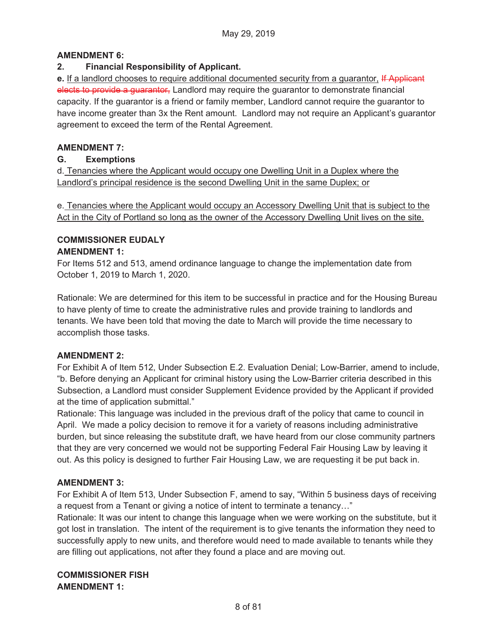#### **AMENDMENT 6:**

#### **2. Financial Responsibility of Applicant.**

**e.** If a landlord chooses to require additional documented security from a guarantor, If Applicant elects to provide a guarantor, Landlord may require the guarantor to demonstrate financial capacity. If the guarantor is a friend or family member, Landlord cannot require the guarantor to have income greater than 3x the Rent amount. Landlord may not require an Applicant's guarantor agreement to exceed the term of the Rental Agreement.

#### **AMENDMENT 7:**

#### **G. Exemptions**

d. Tenancies where the Applicant would occupy one Dwelling Unit in a Duplex where the Landlord's principal residence is the second Dwelling Unit in the same Duplex; or

e. Tenancies where the Applicant would occupy an Accessory Dwelling Unit that is subject to the Act in the City of Portland so long as the owner of the Accessory Dwelling Unit lives on the site.

#### **COMMISSIONER EUDALY AMENDMENT 1:**

For Items 512 and 513, amend ordinance language to change the implementation date from October 1, 2019 to March 1, 2020.

Rationale: We are determined for this item to be successful in practice and for the Housing Bureau to have plenty of time to create the administrative rules and provide training to landlords and tenants. We have been told that moving the date to March will provide the time necessary to accomplish those tasks.

### **AMENDMENT 2:**

For Exhibit A of Item 512, Under Subsection E.2. Evaluation Denial; Low-Barrier, amend to include, "b. Before denying an Applicant for criminal history using the Low-Barrier criteria described in this Subsection, a Landlord must consider Supplement Evidence provided by the Applicant if provided at the time of application submittal."

Rationale: This language was included in the previous draft of the policy that came to council in April. We made a policy decision to remove it for a variety of reasons including administrative burden, but since releasing the substitute draft, we have heard from our close community partners that they are very concerned we would not be supporting Federal Fair Housing Law by leaving it out. As this policy is designed to further Fair Housing Law, we are requesting it be put back in.

### **AMENDMENT 3:**

For Exhibit A of Item 513, Under Subsection F, amend to say, "Within 5 business days of receiving a request from a Tenant or giving a notice of intent to terminate a tenancy…"

Rationale: It was our intent to change this language when we were working on the substitute, but it got lost in translation. The intent of the requirement is to give tenants the information they need to successfully apply to new units, and therefore would need to made available to tenants while they are filling out applications, not after they found a place and are moving out.

### **COMMISSIONER FISH AMENDMENT 1:**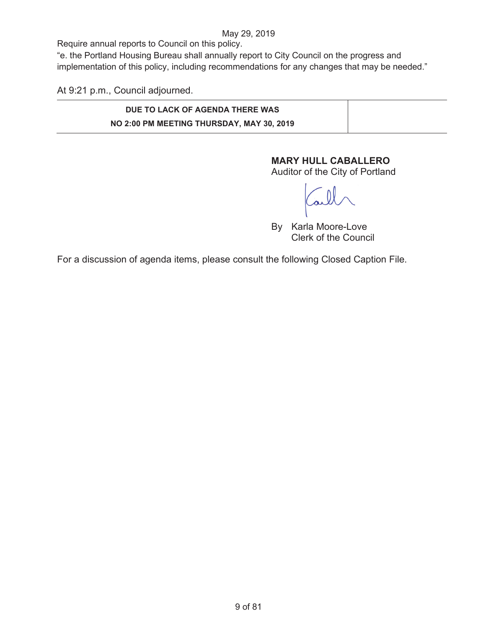Require annual reports to Council on this policy.

"e. the Portland Housing Bureau shall annually report to City Council on the progress and implementation of this policy, including recommendations for any changes that may be needed."

At 9:21 p.m., Council adjourned.

# **DUE TO LACK OF AGENDA THERE WAS NO 2:00 PM MEETING THURSDAY, MAY 30, 2019**

# **MARY HULL CABALLERO**

Auditor of the City of Portland

By Karla Moore-Love Clerk of the Council

For a discussion of agenda items, please consult the following Closed Caption File.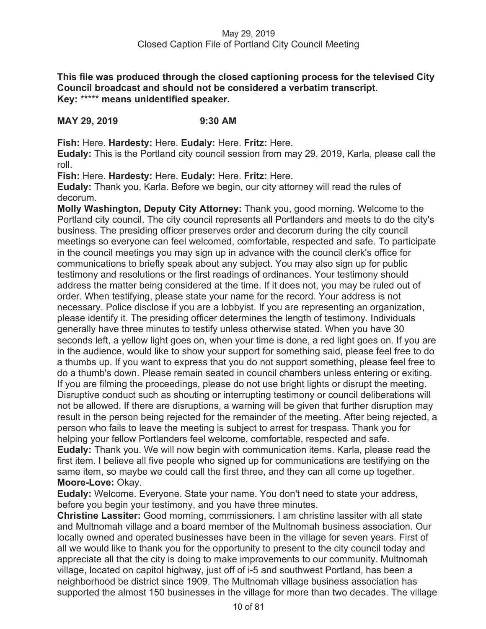**This file was produced through the closed captioning process for the televised City Council broadcast and should not be considered a verbatim transcript. Key:** \*\*\*\*\* **means unidentified speaker.** 

### **MAY 29, 2019 9:30 AM**

**Fish:** Here. **Hardesty:** Here. **Eudaly:** Here. **Fritz:** Here.

**Eudaly:** This is the Portland city council session from may 29, 2019, Karla, please call the roll.

**Fish:** Here. **Hardesty:** Here. **Eudaly:** Here. **Fritz:** Here.

**Eudaly:** Thank you, Karla. Before we begin, our city attorney will read the rules of decorum.

**Molly Washington, Deputy City Attorney:** Thank you, good morning. Welcome to the Portland city council. The city council represents all Portlanders and meets to do the city's business. The presiding officer preserves order and decorum during the city council meetings so everyone can feel welcomed, comfortable, respected and safe. To participate in the council meetings you may sign up in advance with the council clerk's office for communications to briefly speak about any subject. You may also sign up for public testimony and resolutions or the first readings of ordinances. Your testimony should address the matter being considered at the time. If it does not, you may be ruled out of order. When testifying, please state your name for the record. Your address is not necessary. Police disclose if you are a lobbyist. If you are representing an organization, please identify it. The presiding officer determines the length of testimony. Individuals generally have three minutes to testify unless otherwise stated. When you have 30 seconds left, a yellow light goes on, when your time is done, a red light goes on. If you are in the audience, would like to show your support for something said, please feel free to do a thumbs up. If you want to express that you do not support something, please feel free to do a thumb's down. Please remain seated in council chambers unless entering or exiting. If you are filming the proceedings, please do not use bright lights or disrupt the meeting. Disruptive conduct such as shouting or interrupting testimony or council deliberations will not be allowed. If there are disruptions, a warning will be given that further disruption may result in the person being rejected for the remainder of the meeting. After being rejected, a person who fails to leave the meeting is subject to arrest for trespass. Thank you for helping your fellow Portlanders feel welcome, comfortable, respected and safe.

**Eudaly:** Thank you. We will now begin with communication items. Karla, please read the first item. I believe all five people who signed up for communications are testifying on the same item, so maybe we could call the first three, and they can all come up together. **Moore-Love:** Okay.

**Eudaly:** Welcome. Everyone. State your name. You don't need to state your address, before you begin your testimony, and you have three minutes.

**Christine Lassiter:** Good morning, commissioners. I am christine lassiter with all state and Multnomah village and a board member of the Multnomah business association. Our locally owned and operated businesses have been in the village for seven years. First of all we would like to thank you for the opportunity to present to the city council today and appreciate all that the city is doing to make improvements to our community. Multnomah village, located on capitol highway, just off of i-5 and southwest Portland, has been a neighborhood be district since 1909. The Multnomah village business association has supported the almost 150 businesses in the village for more than two decades. The village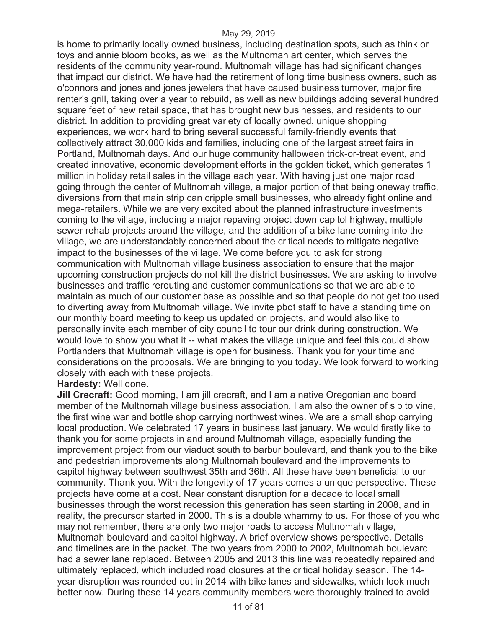is home to primarily locally owned business, including destination spots, such as think or toys and annie bloom books, as well as the Multnomah art center, which serves the residents of the community year-round. Multnomah village has had significant changes that impact our district. We have had the retirement of long time business owners, such as o'connors and jones and jones jewelers that have caused business turnover, major fire renter's grill, taking over a year to rebuild, as well as new buildings adding several hundred square feet of new retail space, that has brought new businesses, and residents to our district. In addition to providing great variety of locally owned, unique shopping experiences, we work hard to bring several successful family-friendly events that collectively attract 30,000 kids and families, including one of the largest street fairs in Portland, Multnomah days. And our huge community halloween trick-or-treat event, and created innovative, economic development efforts in the golden ticket, which generates 1 million in holiday retail sales in the village each year. With having just one major road going through the center of Multnomah village, a major portion of that being oneway traffic, diversions from that main strip can cripple small businesses, who already fight online and mega-retailers. While we are very excited about the planned infrastructure investments coming to the village, including a major repaving project down capitol highway, multiple sewer rehab projects around the village, and the addition of a bike lane coming into the village, we are understandably concerned about the critical needs to mitigate negative impact to the businesses of the village. We come before you to ask for strong communication with Multnomah village business association to ensure that the major upcoming construction projects do not kill the district businesses. We are asking to involve businesses and traffic rerouting and customer communications so that we are able to maintain as much of our customer base as possible and so that people do not get too used to diverting away from Multnomah village. We invite pbot staff to have a standing time on our monthly board meeting to keep us updated on projects, and would also like to personally invite each member of city council to tour our drink during construction. We would love to show you what it -- what makes the village unique and feel this could show Portlanders that Multnomah village is open for business. Thank you for your time and considerations on the proposals. We are bringing to you today. We look forward to working closely with each with these projects.

#### **Hardesty:** Well done.

**Jill Crecraft:** Good morning, I am jill crecraft, and I am a native Oregonian and board member of the Multnomah village business association, I am also the owner of sip to vine, the first wine war and bottle shop carrying northwest wines. We are a small shop carrying local production. We celebrated 17 years in business last january. We would firstly like to thank you for some projects in and around Multnomah village, especially funding the improvement project from our viaduct south to barbur boulevard, and thank you to the bike and pedestrian improvements along Multnomah boulevard and the improvements to capitol highway between southwest 35th and 36th. All these have been beneficial to our community. Thank you. With the longevity of 17 years comes a unique perspective. These projects have come at a cost. Near constant disruption for a decade to local small businesses through the worst recession this generation has seen starting in 2008, and in reality, the precursor started in 2000. This is a double whammy to us. For those of you who may not remember, there are only two major roads to access Multnomah village, Multnomah boulevard and capitol highway. A brief overview shows perspective. Details and timelines are in the packet. The two years from 2000 to 2002, Multnomah boulevard had a sewer lane replaced. Between 2005 and 2013 this line was repeatedly repaired and ultimately replaced, which included road closures at the critical holiday season. The 14 year disruption was rounded out in 2014 with bike lanes and sidewalks, which look much better now. During these 14 years community members were thoroughly trained to avoid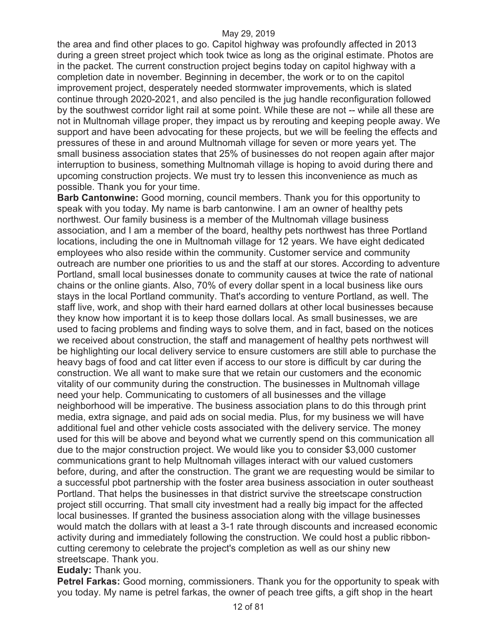the area and find other places to go. Capitol highway was profoundly affected in 2013 during a green street project which took twice as long as the original estimate. Photos are in the packet. The current construction project begins today on capitol highway with a completion date in november. Beginning in december, the work or to on the capitol improvement project, desperately needed stormwater improvements, which is slated continue through 2020-2021, and also penciled is the jug handle reconfiguration followed by the southwest corridor light rail at some point. While these are not -- while all these are not in Multnomah village proper, they impact us by rerouting and keeping people away. We support and have been advocating for these projects, but we will be feeling the effects and pressures of these in and around Multnomah village for seven or more years yet. The small business association states that 25% of businesses do not reopen again after major interruption to business, something Multnomah village is hoping to avoid during there and upcoming construction projects. We must try to lessen this inconvenience as much as possible. Thank you for your time.

**Barb Cantonwine:** Good morning, council members. Thank you for this opportunity to speak with you today. My name is barb cantonwine. I am an owner of healthy pets northwest. Our family business is a member of the Multnomah village business association, and I am a member of the board, healthy pets northwest has three Portland locations, including the one in Multnomah village for 12 years. We have eight dedicated employees who also reside within the community. Customer service and community outreach are number one priorities to us and the staff at our stores. According to adventure Portland, small local businesses donate to community causes at twice the rate of national chains or the online giants. Also, 70% of every dollar spent in a local business like ours stays in the local Portland community. That's according to venture Portland, as well. The staff live, work, and shop with their hard earned dollars at other local businesses because they know how important it is to keep those dollars local. As small businesses, we are used to facing problems and finding ways to solve them, and in fact, based on the notices we received about construction, the staff and management of healthy pets northwest will be highlighting our local delivery service to ensure customers are still able to purchase the heavy bags of food and cat litter even if access to our store is difficult by car during the construction. We all want to make sure that we retain our customers and the economic vitality of our community during the construction. The businesses in Multnomah village need your help. Communicating to customers of all businesses and the village neighborhood will be imperative. The business association plans to do this through print media, extra signage, and paid ads on social media. Plus, for my business we will have additional fuel and other vehicle costs associated with the delivery service. The money used for this will be above and beyond what we currently spend on this communication all due to the major construction project. We would like you to consider \$3,000 customer communications grant to help Multnomah villages interact with our valued customers before, during, and after the construction. The grant we are requesting would be similar to a successful pbot partnership with the foster area business association in outer southeast Portland. That helps the businesses in that district survive the streetscape construction project still occurring. That small city investment had a really big impact for the affected local businesses. If granted the business association along with the village businesses would match the dollars with at least a 3-1 rate through discounts and increased economic activity during and immediately following the construction. We could host a public ribboncutting ceremony to celebrate the project's completion as well as our shiny new streetscape. Thank you.

#### **Eudaly:** Thank you.

**Petrel Farkas:** Good morning, commissioners. Thank you for the opportunity to speak with you today. My name is petrel farkas, the owner of peach tree gifts, a gift shop in the heart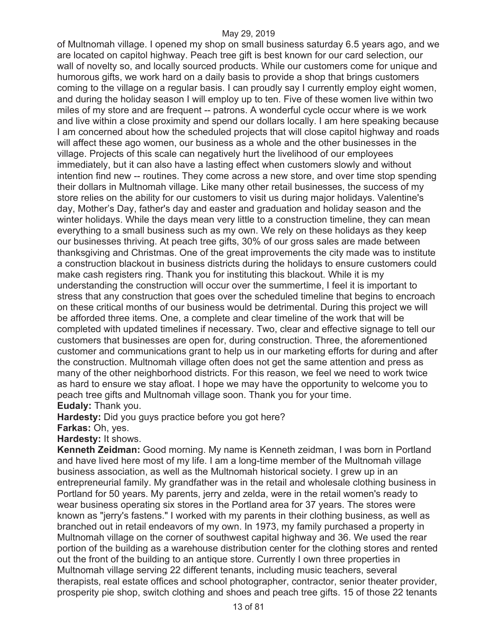of Multnomah village. I opened my shop on small business saturday 6.5 years ago, and we are located on capitol highway. Peach tree gift is best known for our card selection, our wall of novelty so, and locally sourced products. While our customers come for unique and humorous gifts, we work hard on a daily basis to provide a shop that brings customers coming to the village on a regular basis. I can proudly say I currently employ eight women, and during the holiday season I will employ up to ten. Five of these women live within two miles of my store and are frequent -- patrons. A wonderful cycle occur where is we work and live within a close proximity and spend our dollars locally. I am here speaking because I am concerned about how the scheduled projects that will close capitol highway and roads will affect these ago women, our business as a whole and the other businesses in the village. Projects of this scale can negatively hurt the livelihood of our employees immediately, but it can also have a lasting effect when customers slowly and without intention find new -- routines. They come across a new store, and over time stop spending their dollars in Multnomah village. Like many other retail businesses, the success of my store relies on the ability for our customers to visit us during major holidays. Valentine's day, Mother's Day, father's day and easter and graduation and holiday season and the winter holidays. While the days mean very little to a construction timeline, they can mean everything to a small business such as my own. We rely on these holidays as they keep our businesses thriving. At peach tree gifts, 30% of our gross sales are made between thanksgiving and Christmas. One of the great improvements the city made was to institute a construction blackout in business districts during the holidays to ensure customers could make cash registers ring. Thank you for instituting this blackout. While it is my understanding the construction will occur over the summertime, I feel it is important to stress that any construction that goes over the scheduled timeline that begins to encroach on these critical months of our business would be detrimental. During this project we will be afforded three items. One, a complete and clear timeline of the work that will be completed with updated timelines if necessary. Two, clear and effective signage to tell our customers that businesses are open for, during construction. Three, the aforementioned customer and communications grant to help us in our marketing efforts for during and after the construction. Multnomah village often does not get the same attention and press as many of the other neighborhood districts. For this reason, we feel we need to work twice as hard to ensure we stay afloat. I hope we may have the opportunity to welcome you to peach tree gifts and Multnomah village soon. Thank you for your time. **Eudaly:** Thank you.

**Hardesty:** Did you guys practice before you got here?

**Farkas:** Oh, yes.

**Hardesty:** It shows.

**Kenneth Zeidman:** Good morning. My name is Kenneth zeidman, I was born in Portland and have lived here most of my life. I am a long-time member of the Multnomah village business association, as well as the Multnomah historical society. I grew up in an entrepreneurial family. My grandfather was in the retail and wholesale clothing business in Portland for 50 years. My parents, jerry and zelda, were in the retail women's ready to wear business operating six stores in the Portland area for 37 years. The stores were known as "jerry's fastens." I worked with my parents in their clothing business, as well as branched out in retail endeavors of my own. In 1973, my family purchased a property in Multnomah village on the corner of southwest capital highway and 36. We used the rear portion of the building as a warehouse distribution center for the clothing stores and rented out the front of the building to an antique store. Currently I own three properties in Multnomah village serving 22 different tenants, including music teachers, several therapists, real estate offices and school photographer, contractor, senior theater provider, prosperity pie shop, switch clothing and shoes and peach tree gifts. 15 of those 22 tenants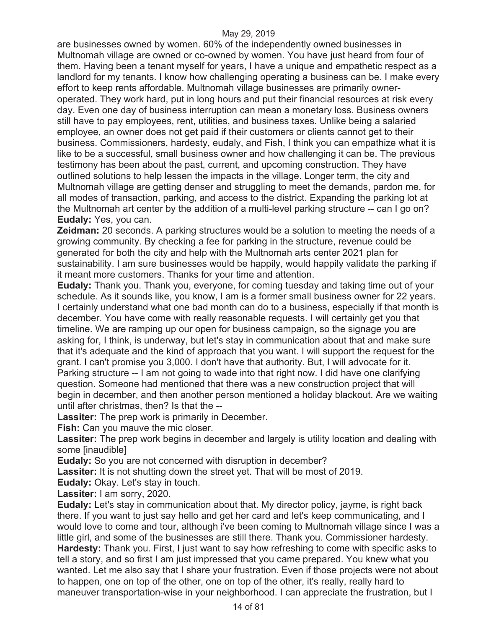are businesses owned by women. 60% of the independently owned businesses in Multnomah village are owned or co-owned by women. You have just heard from four of them. Having been a tenant myself for years, I have a unique and empathetic respect as a landlord for my tenants. I know how challenging operating a business can be. I make every effort to keep rents affordable. Multnomah village businesses are primarily owneroperated. They work hard, put in long hours and put their financial resources at risk every day. Even one day of business interruption can mean a monetary loss. Business owners still have to pay employees, rent, utilities, and business taxes. Unlike being a salaried employee, an owner does not get paid if their customers or clients cannot get to their business. Commissioners, hardesty, eudaly, and Fish, I think you can empathize what it is like to be a successful, small business owner and how challenging it can be. The previous testimony has been about the past, current, and upcoming construction. They have outlined solutions to help lessen the impacts in the village. Longer term, the city and Multnomah village are getting denser and struggling to meet the demands, pardon me, for all modes of transaction, parking, and access to the district. Expanding the parking lot at the Multnomah art center by the addition of a multi-level parking structure -- can I go on? **Eudaly:** Yes, you can.

**Zeidman:** 20 seconds. A parking structures would be a solution to meeting the needs of a growing community. By checking a fee for parking in the structure, revenue could be generated for both the city and help with the Multnomah arts center 2021 plan for sustainability. I am sure businesses would be happily, would happily validate the parking if it meant more customers. Thanks for your time and attention.

**Eudaly:** Thank you. Thank you, everyone, for coming tuesday and taking time out of your schedule. As it sounds like, you know, I am is a former small business owner for 22 years. I certainly understand what one bad month can do to a business, especially if that month is december. You have come with really reasonable requests. I will certainly get you that timeline. We are ramping up our open for business campaign, so the signage you are asking for, I think, is underway, but let's stay in communication about that and make sure that it's adequate and the kind of approach that you want. I will support the request for the grant. I can't promise you 3,000. I don't have that authority. But, I will advocate for it. Parking structure -- I am not going to wade into that right now. I did have one clarifying question. Someone had mentioned that there was a new construction project that will begin in december, and then another person mentioned a holiday blackout. Are we waiting until after christmas, then? Is that the --

**Lassiter:** The prep work is primarily in December.

**Fish:** Can you mauve the mic closer.

**Lassiter:** The prep work begins in december and largely is utility location and dealing with some [inaudible]

**Eudaly:** So you are not concerned with disruption in december?

Lassiter: It is not shutting down the street yet. That will be most of 2019.

**Eudaly:** Okay. Let's stay in touch.

**Lassiter:** I am sorry, 2020.

**Eudaly:** Let's stay in communication about that. My director policy, jayme, is right back there. If you want to just say hello and get her card and let's keep communicating, and I would love to come and tour, although i've been coming to Multnomah village since I was a little girl, and some of the businesses are still there. Thank you. Commissioner hardesty. **Hardesty:** Thank you. First, I just want to say how refreshing to come with specific asks to tell a story, and so first I am just impressed that you came prepared. You knew what you wanted. Let me also say that I share your frustration. Even if those projects were not about to happen, one on top of the other, one on top of the other, it's really, really hard to maneuver transportation-wise in your neighborhood. I can appreciate the frustration, but I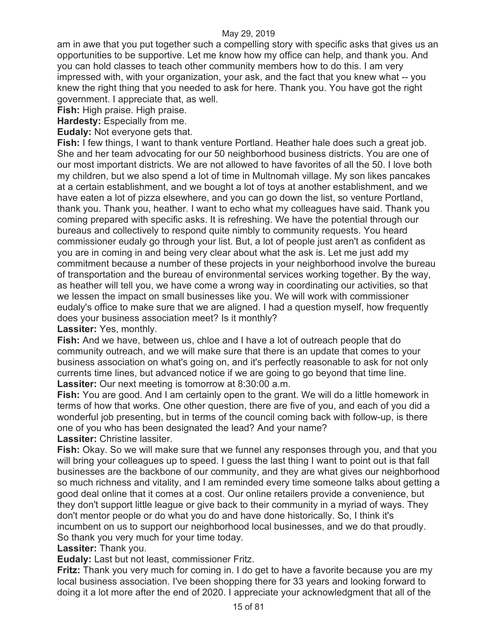am in awe that you put together such a compelling story with specific asks that gives us an opportunities to be supportive. Let me know how my office can help, and thank you. And you can hold classes to teach other community members how to do this. I am very impressed with, with your organization, your ask, and the fact that you knew what -- you knew the right thing that you needed to ask for here. Thank you. You have got the right government. I appreciate that, as well.

**Fish:** High praise. High praise.

**Hardesty:** Especially from me.

**Eudaly:** Not everyone gets that.

**Fish:** I few things, I want to thank venture Portland. Heather hale does such a great job. She and her team advocating for our 50 neighborhood business districts. You are one of our most important districts. We are not allowed to have favorites of all the 50. I love both my children, but we also spend a lot of time in Multnomah village. My son likes pancakes at a certain establishment, and we bought a lot of toys at another establishment, and we have eaten a lot of pizza elsewhere, and you can go down the list, so venture Portland, thank you. Thank you, heather. I want to echo what my colleagues have said. Thank you coming prepared with specific asks. It is refreshing. We have the potential through our bureaus and collectively to respond quite nimbly to community requests. You heard commissioner eudaly go through your list. But, a lot of people just aren't as confident as you are in coming in and being very clear about what the ask is. Let me just add my commitment because a number of these projects in your neighborhood involve the bureau of transportation and the bureau of environmental services working together. By the way, as heather will tell you, we have come a wrong way in coordinating our activities, so that we lessen the impact on small businesses like you. We will work with commissioner eudaly's office to make sure that we are aligned. I had a question myself, how frequently does your business association meet? Is it monthly?

**Lassiter:** Yes, monthly.

**Fish:** And we have, between us, chloe and I have a lot of outreach people that do community outreach, and we will make sure that there is an update that comes to your business association on what's going on, and it's perfectly reasonable to ask for not only currents time lines, but advanced notice if we are going to go beyond that time line. **Lassiter:** Our next meeting is tomorrow at 8:30:00 a.m.

**Fish:** You are good. And I am certainly open to the grant. We will do a little homework in terms of how that works. One other question, there are five of you, and each of you did a wonderful job presenting, but in terms of the council coming back with follow-up, is there one of you who has been designated the lead? And your name?

**Lassiter:** Christine lassiter.

**Fish:** Okay. So we will make sure that we funnel any responses through you, and that you will bring your colleagues up to speed. I guess the last thing I want to point out is that fall businesses are the backbone of our community, and they are what gives our neighborhood so much richness and vitality, and I am reminded every time someone talks about getting a good deal online that it comes at a cost. Our online retailers provide a convenience, but they don't support little league or give back to their community in a myriad of ways. They don't mentor people or do what you do and have done historically. So, I think it's incumbent on us to support our neighborhood local businesses, and we do that proudly. So thank you very much for your time today.

#### **Lassiter:** Thank you.

**Eudaly:** Last but not least, commissioner Fritz.

**Fritz:** Thank you very much for coming in. I do get to have a favorite because you are my local business association. I've been shopping there for 33 years and looking forward to doing it a lot more after the end of 2020. I appreciate your acknowledgment that all of the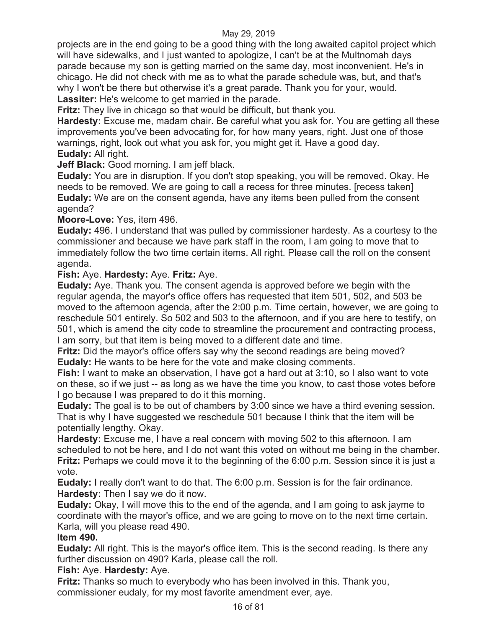projects are in the end going to be a good thing with the long awaited capitol project which will have sidewalks, and I just wanted to apologize, I can't be at the Multnomah days parade because my son is getting married on the same day, most inconvenient. He's in chicago. He did not check with me as to what the parade schedule was, but, and that's why I won't be there but otherwise it's a great parade. Thank you for your, would. **Lassiter:** He's welcome to get married in the parade.

**Fritz:** They live in chicago so that would be difficult, but thank you.

**Hardesty:** Excuse me, madam chair. Be careful what you ask for. You are getting all these improvements you've been advocating for, for how many years, right. Just one of those warnings, right, look out what you ask for, you might get it. Have a good day. **Eudaly:** All right.

**Jeff Black:** Good morning. I am jeff black.

**Eudaly:** You are in disruption. If you don't stop speaking, you will be removed. Okay. He needs to be removed. We are going to call a recess for three minutes. [recess taken] **Eudaly:** We are on the consent agenda, have any items been pulled from the consent agenda?

**Moore-Love:** Yes, item 496.

**Eudaly:** 496. I understand that was pulled by commissioner hardesty. As a courtesy to the commissioner and because we have park staff in the room, I am going to move that to immediately follow the two time certain items. All right. Please call the roll on the consent agenda.

**Fish:** Aye. **Hardesty:** Aye. **Fritz:** Aye.

**Eudaly:** Aye. Thank you. The consent agenda is approved before we begin with the regular agenda, the mayor's office offers has requested that item 501, 502, and 503 be moved to the afternoon agenda, after the 2:00 p.m. Time certain, however, we are going to reschedule 501 entirely. So 502 and 503 to the afternoon, and if you are here to testify, on 501, which is amend the city code to streamline the procurement and contracting process, I am sorry, but that item is being moved to a different date and time.

**Fritz:** Did the mayor's office offers say why the second readings are being moved? **Eudaly:** He wants to be here for the vote and make closing comments.

**Fish:** I want to make an observation, I have got a hard out at 3:10, so I also want to vote on these, so if we just -- as long as we have the time you know, to cast those votes before I go because I was prepared to do it this morning.

**Eudaly:** The goal is to be out of chambers by 3:00 since we have a third evening session. That is why I have suggested we reschedule 501 because I think that the item will be potentially lengthy. Okay.

**Hardesty:** Excuse me, I have a real concern with moving 502 to this afternoon. I am scheduled to not be here, and I do not want this voted on without me being in the chamber. **Fritz:** Perhaps we could move it to the beginning of the 6:00 p.m. Session since it is just a vote.

**Eudaly:** I really don't want to do that. The 6:00 p.m. Session is for the fair ordinance. **Hardesty:** Then I say we do it now.

**Eudaly:** Okay, I will move this to the end of the agenda, and I am going to ask jayme to coordinate with the mayor's office, and we are going to move on to the next time certain. Karla, will you please read 490.

### **Item 490.**

**Eudaly:** All right. This is the mayor's office item. This is the second reading. Is there any further discussion on 490? Karla, please call the roll.

#### **Fish:** Aye. **Hardesty:** Aye.

**Fritz:** Thanks so much to everybody who has been involved in this. Thank you, commissioner eudaly, for my most favorite amendment ever, aye.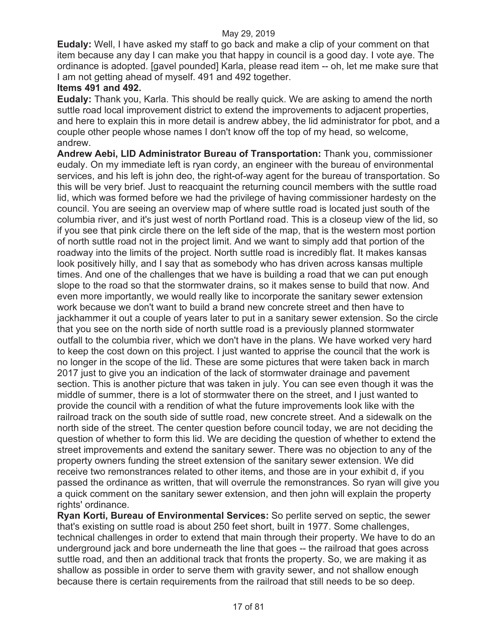**Eudaly:** Well, I have asked my staff to go back and make a clip of your comment on that item because any day I can make you that happy in council is a good day. I vote aye. The ordinance is adopted. [gavel pounded] Karla, please read item -- oh, let me make sure that I am not getting ahead of myself. 491 and 492 together.

### **Items 491 and 492.**

**Eudaly:** Thank you, Karla. This should be really quick. We are asking to amend the north suttle road local improvement district to extend the improvements to adjacent properties, and here to explain this in more detail is andrew abbey, the lid administrator for pbot, and a couple other people whose names I don't know off the top of my head, so welcome, andrew.

**Andrew Aebi, LID Administrator Bureau of Transportation:** Thank you, commissioner eudaly. On my immediate left is ryan cordy, an engineer with the bureau of environmental services, and his left is john deo, the right-of-way agent for the bureau of transportation. So this will be very brief. Just to reacquaint the returning council members with the suttle road lid, which was formed before we had the privilege of having commissioner hardesty on the council. You are seeing an overview map of where suttle road is located just south of the columbia river, and it's just west of north Portland road. This is a closeup view of the lid, so if you see that pink circle there on the left side of the map, that is the western most portion of north suttle road not in the project limit. And we want to simply add that portion of the roadway into the limits of the project. North suttle road is incredibly flat. It makes kansas look positively hilly, and I say that as somebody who has driven across kansas multiple times. And one of the challenges that we have is building a road that we can put enough slope to the road so that the stormwater drains, so it makes sense to build that now. And even more importantly, we would really like to incorporate the sanitary sewer extension work because we don't want to build a brand new concrete street and then have to jackhammer it out a couple of years later to put in a sanitary sewer extension. So the circle that you see on the north side of north suttle road is a previously planned stormwater outfall to the columbia river, which we don't have in the plans. We have worked very hard to keep the cost down on this project. I just wanted to apprise the council that the work is no longer in the scope of the lid. These are some pictures that were taken back in march 2017 just to give you an indication of the lack of stormwater drainage and pavement section. This is another picture that was taken in july. You can see even though it was the middle of summer, there is a lot of stormwater there on the street, and I just wanted to provide the council with a rendition of what the future improvements look like with the railroad track on the south side of suttle road, new concrete street. And a sidewalk on the north side of the street. The center question before council today, we are not deciding the question of whether to form this lid. We are deciding the question of whether to extend the street improvements and extend the sanitary sewer. There was no objection to any of the property owners funding the street extension of the sanitary sewer extension. We did receive two remonstrances related to other items, and those are in your exhibit d, if you passed the ordinance as written, that will overrule the remonstrances. So ryan will give you a quick comment on the sanitary sewer extension, and then john will explain the property rights' ordinance.

**Ryan Korti, Bureau of Environmental Services:** So perlite served on septic, the sewer that's existing on suttle road is about 250 feet short, built in 1977. Some challenges, technical challenges in order to extend that main through their property. We have to do an underground jack and bore underneath the line that goes -- the railroad that goes across suttle road, and then an additional track that fronts the property. So, we are making it as shallow as possible in order to serve them with gravity sewer, and not shallow enough because there is certain requirements from the railroad that still needs to be so deep.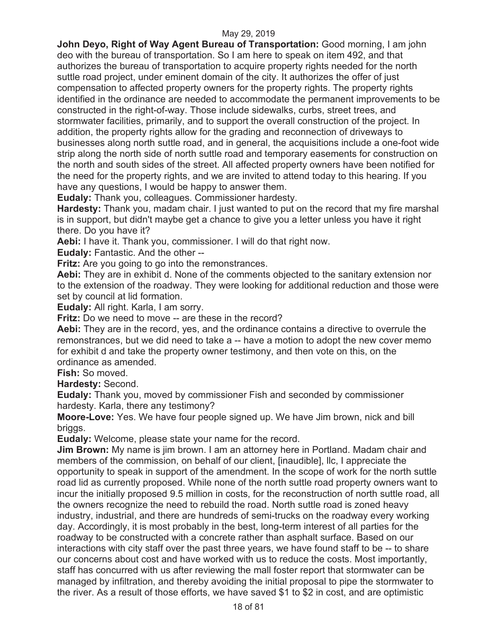**John Deyo, Right of Way Agent Bureau of Transportation: Good morning, I am john** deo with the bureau of transportation. So I am here to speak on item 492, and that authorizes the bureau of transportation to acquire property rights needed for the north suttle road project, under eminent domain of the city. It authorizes the offer of just compensation to affected property owners for the property rights. The property rights identified in the ordinance are needed to accommodate the permanent improvements to be constructed in the right-of-way. Those include sidewalks, curbs, street trees, and stormwater facilities, primarily, and to support the overall construction of the project. In addition, the property rights allow for the grading and reconnection of driveways to businesses along north suttle road, and in general, the acquisitions include a one-foot wide strip along the north side of north suttle road and temporary easements for construction on the north and south sides of the street. All affected property owners have been notified for the need for the property rights, and we are invited to attend today to this hearing. If you have any questions, I would be happy to answer them.

**Eudaly:** Thank you, colleagues. Commissioner hardesty.

**Hardesty:** Thank you, madam chair. I just wanted to put on the record that my fire marshal is in support, but didn't maybe get a chance to give you a letter unless you have it right there. Do you have it?

**Aebi:** I have it. Thank you, commissioner. I will do that right now.

**Eudaly:** Fantastic. And the other --

**Fritz:** Are you going to go into the remonstrances.

**Aebi:** They are in exhibit d. None of the comments objected to the sanitary extension nor to the extension of the roadway. They were looking for additional reduction and those were set by council at lid formation.

**Eudaly:** All right. Karla, I am sorry.

**Fritz:** Do we need to move -- are these in the record?

**Aebi:** They are in the record, yes, and the ordinance contains a directive to overrule the remonstrances, but we did need to take a -- have a motion to adopt the new cover memo for exhibit d and take the property owner testimony, and then vote on this, on the ordinance as amended.

**Fish:** So moved.

**Hardesty:** Second.

**Eudaly:** Thank you, moved by commissioner Fish and seconded by commissioner hardesty. Karla, there any testimony?

**Moore-Love:** Yes. We have four people signed up. We have Jim brown, nick and bill briggs.

**Eudaly:** Welcome, please state your name for the record.

**Jim Brown:** My name is jim brown. I am an attorney here in Portland. Madam chair and members of the commission, on behalf of our client, [inaudible], llc, I appreciate the opportunity to speak in support of the amendment. In the scope of work for the north suttle road lid as currently proposed. While none of the north suttle road property owners want to incur the initially proposed 9.5 million in costs, for the reconstruction of north suttle road, all the owners recognize the need to rebuild the road. North suttle road is zoned heavy industry, industrial, and there are hundreds of semi-trucks on the roadway every working day. Accordingly, it is most probably in the best, long-term interest of all parties for the roadway to be constructed with a concrete rather than asphalt surface. Based on our interactions with city staff over the past three years, we have found staff to be -- to share our concerns about cost and have worked with us to reduce the costs. Most importantly, staff has concurred with us after reviewing the mall foster report that stormwater can be managed by infiltration, and thereby avoiding the initial proposal to pipe the stormwater to the river. As a result of those efforts, we have saved \$1 to \$2 in cost, and are optimistic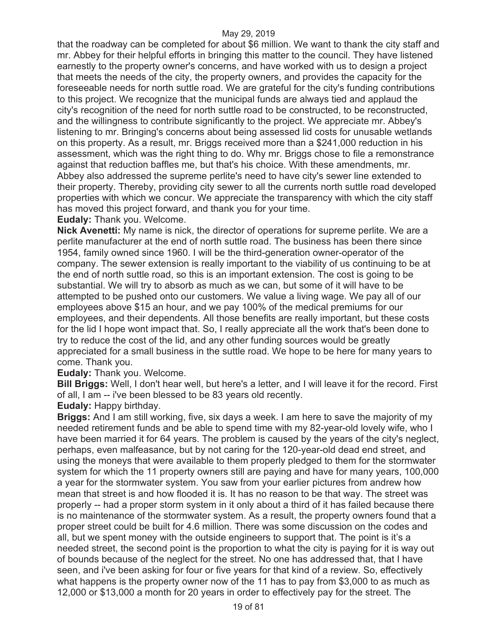that the roadway can be completed for about \$6 million. We want to thank the city staff and mr. Abbey for their helpful efforts in bringing this matter to the council. They have listened earnestly to the property owner's concerns, and have worked with us to design a project that meets the needs of the city, the property owners, and provides the capacity for the foreseeable needs for north suttle road. We are grateful for the city's funding contributions to this project. We recognize that the municipal funds are always tied and applaud the city's recognition of the need for north suttle road to be constructed, to be reconstructed, and the willingness to contribute significantly to the project. We appreciate mr. Abbey's listening to mr. Bringing's concerns about being assessed lid costs for unusable wetlands on this property. As a result, mr. Briggs received more than a \$241,000 reduction in his assessment, which was the right thing to do. Why mr. Briggs chose to file a remonstrance against that reduction baffles me, but that's his choice. With these amendments, mr. Abbey also addressed the supreme perlite's need to have city's sewer line extended to their property. Thereby, providing city sewer to all the currents north suttle road developed properties with which we concur. We appreciate the transparency with which the city staff has moved this project forward, and thank you for your time.

**Eudaly:** Thank you. Welcome.

**Nick Avenetti:** My name is nick, the director of operations for supreme perlite. We are a perlite manufacturer at the end of north suttle road. The business has been there since 1954, family owned since 1960. I will be the third-generation owner-operator of the company. The sewer extension is really important to the viability of us continuing to be at the end of north suttle road, so this is an important extension. The cost is going to be substantial. We will try to absorb as much as we can, but some of it will have to be attempted to be pushed onto our customers. We value a living wage. We pay all of our employees above \$15 an hour, and we pay 100% of the medical premiums for our employees, and their dependents. All those benefits are really important, but these costs for the lid I hope wont impact that. So, I really appreciate all the work that's been done to try to reduce the cost of the lid, and any other funding sources would be greatly appreciated for a small business in the suttle road. We hope to be here for many years to come. Thank you.

**Eudaly:** Thank you. Welcome.

**Bill Briggs:** Well, I don't hear well, but here's a letter, and I will leave it for the record. First of all, I am -- i've been blessed to be 83 years old recently.

**Eudaly:** Happy birthday.

**Briggs:** And I am still working, five, six days a week. I am here to save the majority of my needed retirement funds and be able to spend time with my 82-year-old lovely wife, who I have been married it for 64 years. The problem is caused by the years of the city's neglect, perhaps, even malfeasance, but by not caring for the 120-year-old dead end street, and using the moneys that were available to them properly pledged to them for the stormwater system for which the 11 property owners still are paying and have for many years, 100,000 a year for the stormwater system. You saw from your earlier pictures from andrew how mean that street is and how flooded it is. It has no reason to be that way. The street was properly -- had a proper storm system in it only about a third of it has failed because there is no maintenance of the stormwater system. As a result, the property owners found that a proper street could be built for 4.6 million. There was some discussion on the codes and all, but we spent money with the outside engineers to support that. The point is it's a needed street, the second point is the proportion to what the city is paying for it is way out of bounds because of the neglect for the street. No one has addressed that, that I have seen, and i've been asking for four or five years for that kind of a review. So, effectively what happens is the property owner now of the 11 has to pay from \$3,000 to as much as 12,000 or \$13,000 a month for 20 years in order to effectively pay for the street. The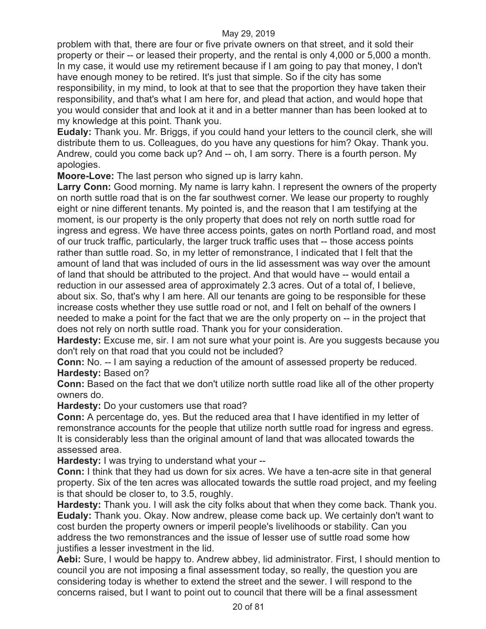problem with that, there are four or five private owners on that street, and it sold their property or their -- or leased their property, and the rental is only 4,000 or 5,000 a month. In my case, it would use my retirement because if I am going to pay that money, I don't have enough money to be retired. It's just that simple. So if the city has some responsibility, in my mind, to look at that to see that the proportion they have taken their responsibility, and that's what I am here for, and plead that action, and would hope that you would consider that and look at it and in a better manner than has been looked at to my knowledge at this point. Thank you.

**Eudaly:** Thank you. Mr. Briggs, if you could hand your letters to the council clerk, she will distribute them to us. Colleagues, do you have any questions for him? Okay. Thank you. Andrew, could you come back up? And -- oh, I am sorry. There is a fourth person. My apologies.

**Moore-Love:** The last person who signed up is larry kahn.

**Larry Conn:** Good morning. My name is larry kahn. I represent the owners of the property on north suttle road that is on the far southwest corner. We lease our property to roughly eight or nine different tenants. My pointed is, and the reason that I am testifying at the moment, is our property is the only property that does not rely on north suttle road for ingress and egress. We have three access points, gates on north Portland road, and most of our truck traffic, particularly, the larger truck traffic uses that -- those access points rather than suttle road. So, in my letter of remonstrance, I indicated that I felt that the amount of land that was included of ours in the lid assessment was way over the amount of land that should be attributed to the project. And that would have -- would entail a reduction in our assessed area of approximately 2.3 acres. Out of a total of, I believe, about six. So, that's why I am here. All our tenants are going to be responsible for these increase costs whether they use suttle road or not, and I felt on behalf of the owners I needed to make a point for the fact that we are the only property on -- in the project that does not rely on north suttle road. Thank you for your consideration.

**Hardesty:** Excuse me, sir. I am not sure what your point is. Are you suggests because you don't rely on that road that you could not be included?

**Conn:** No. -- I am saying a reduction of the amount of assessed property be reduced. **Hardesty:** Based on?

**Conn:** Based on the fact that we don't utilize north suttle road like all of the other property owners do.

**Hardesty:** Do your customers use that road?

**Conn:** A percentage do, yes. But the reduced area that I have identified in my letter of remonstrance accounts for the people that utilize north suttle road for ingress and egress. It is considerably less than the original amount of land that was allocated towards the assessed area.

**Hardesty:** I was trying to understand what your --

**Conn:** I think that they had us down for six acres. We have a ten-acre site in that general property. Six of the ten acres was allocated towards the suttle road project, and my feeling is that should be closer to, to 3.5, roughly.

**Hardesty:** Thank you. I will ask the city folks about that when they come back. Thank you. **Eudaly:** Thank you. Okay. Now andrew, please come back up. We certainly don't want to cost burden the property owners or imperil people's livelihoods or stability. Can you address the two remonstrances and the issue of lesser use of suttle road some how justifies a lesser investment in the lid.

**Aebi:** Sure, I would be happy to. Andrew abbey, lid administrator. First, I should mention to council you are not imposing a final assessment today, so really, the question you are considering today is whether to extend the street and the sewer. I will respond to the concerns raised, but I want to point out to council that there will be a final assessment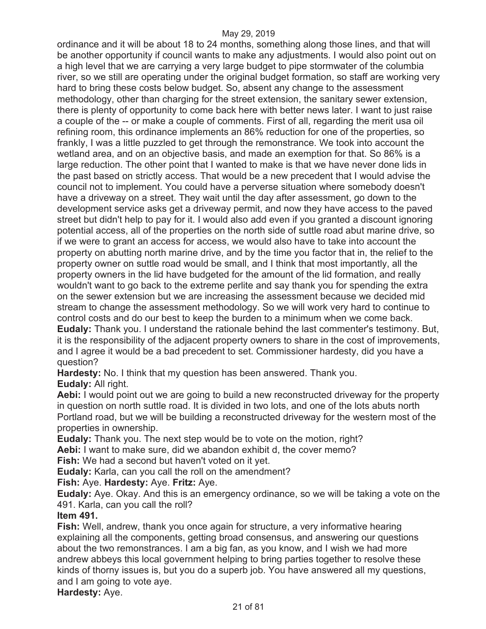ordinance and it will be about 18 to 24 months, something along those lines, and that will be another opportunity if council wants to make any adjustments. I would also point out on a high level that we are carrying a very large budget to pipe stormwater of the columbia river, so we still are operating under the original budget formation, so staff are working very hard to bring these costs below budget. So, absent any change to the assessment methodology, other than charging for the street extension, the sanitary sewer extension, there is plenty of opportunity to come back here with better news later. I want to just raise a couple of the -- or make a couple of comments. First of all, regarding the merit usa oil refining room, this ordinance implements an 86% reduction for one of the properties, so frankly, I was a little puzzled to get through the remonstrance. We took into account the wetland area, and on an objective basis, and made an exemption for that. So 86% is a large reduction. The other point that I wanted to make is that we have never done lids in the past based on strictly access. That would be a new precedent that I would advise the council not to implement. You could have a perverse situation where somebody doesn't have a driveway on a street. They wait until the day after assessment, go down to the development service asks get a driveway permit, and now they have access to the paved street but didn't help to pay for it. I would also add even if you granted a discount ignoring potential access, all of the properties on the north side of suttle road abut marine drive, so if we were to grant an access for access, we would also have to take into account the property on abutting north marine drive, and by the time you factor that in, the relief to the property owner on suttle road would be small, and I think that most importantly, all the property owners in the lid have budgeted for the amount of the lid formation, and really wouldn't want to go back to the extreme perlite and say thank you for spending the extra on the sewer extension but we are increasing the assessment because we decided mid stream to change the assessment methodology. So we will work very hard to continue to control costs and do our best to keep the burden to a minimum when we come back. **Eudaly:** Thank you. I understand the rationale behind the last commenter's testimony. But, it is the responsibility of the adjacent property owners to share in the cost of improvements, and I agree it would be a bad precedent to set. Commissioner hardesty, did you have a question?

**Hardesty:** No. I think that my question has been answered. Thank you. **Eudaly:** All right.

Aebi: I would point out we are going to build a new reconstructed driveway for the property in question on north suttle road. It is divided in two lots, and one of the lots abuts north Portland road, but we will be building a reconstructed driveway for the western most of the properties in ownership.

**Eudaly:** Thank you. The next step would be to vote on the motion, right?

**Aebi:** I want to make sure, did we abandon exhibit d, the cover memo?

**Fish:** We had a second but haven't voted on it yet.

**Eudaly:** Karla, can you call the roll on the amendment?

**Fish:** Aye. **Hardesty:** Aye. **Fritz:** Aye.

**Eudaly:** Aye. Okay. And this is an emergency ordinance, so we will be taking a vote on the 491. Karla, can you call the roll?

#### **Item 491.**

**Fish:** Well, andrew, thank you once again for structure, a very informative hearing explaining all the components, getting broad consensus, and answering our questions about the two remonstrances. I am a big fan, as you know, and I wish we had more andrew abbeys this local government helping to bring parties together to resolve these kinds of thorny issues is, but you do a superb job. You have answered all my questions, and I am going to vote aye.

**Hardesty:** Aye.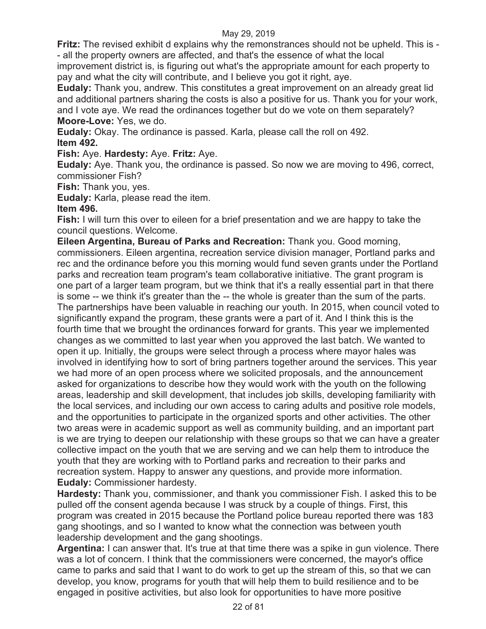**Fritz:** The revised exhibit d explains why the remonstrances should not be upheld. This is - - all the property owners are affected, and that's the essence of what the local

improvement district is, is figuring out what's the appropriate amount for each property to pay and what the city will contribute, and I believe you got it right, aye.

**Eudaly:** Thank you, andrew. This constitutes a great improvement on an already great lid and additional partners sharing the costs is also a positive for us. Thank you for your work, and I vote aye. We read the ordinances together but do we vote on them separately? **Moore-Love:** Yes, we do.

**Eudaly:** Okay. The ordinance is passed. Karla, please call the roll on 492. **Item 492.** 

**Fish:** Aye. **Hardesty:** Aye. **Fritz:** Aye.

**Eudaly:** Aye. Thank you, the ordinance is passed. So now we are moving to 496, correct, commissioner Fish?

**Fish:** Thank you, yes.

**Eudaly:** Karla, please read the item.

### **Item 496.**

**Fish:** I will turn this over to eileen for a brief presentation and we are happy to take the council questions. Welcome.

**Eileen Argentina, Bureau of Parks and Recreation:** Thank you. Good morning, commissioners. Eileen argentina, recreation service division manager, Portland parks and rec and the ordinance before you this morning would fund seven grants under the Portland parks and recreation team program's team collaborative initiative. The grant program is one part of a larger team program, but we think that it's a really essential part in that there is some -- we think it's greater than the -- the whole is greater than the sum of the parts. The partnerships have been valuable in reaching our youth. In 2015, when council voted to significantly expand the program, these grants were a part of it. And I think this is the fourth time that we brought the ordinances forward for grants. This year we implemented changes as we committed to last year when you approved the last batch. We wanted to open it up. Initially, the groups were select through a process where mayor hales was involved in identifying how to sort of bring partners together around the services. This year we had more of an open process where we solicited proposals, and the announcement asked for organizations to describe how they would work with the youth on the following areas, leadership and skill development, that includes job skills, developing familiarity with the local services, and including our own access to caring adults and positive role models, and the opportunities to participate in the organized sports and other activities. The other two areas were in academic support as well as community building, and an important part is we are trying to deepen our relationship with these groups so that we can have a greater collective impact on the youth that we are serving and we can help them to introduce the youth that they are working with to Portland parks and recreation to their parks and recreation system. Happy to answer any questions, and provide more information. **Eudaly:** Commissioner hardesty.

**Hardesty:** Thank you, commissioner, and thank you commissioner Fish. I asked this to be pulled off the consent agenda because I was struck by a couple of things. First, this program was created in 2015 because the Portland police bureau reported there was 183 gang shootings, and so I wanted to know what the connection was between youth leadership development and the gang shootings.

**Argentina:** I can answer that. It's true at that time there was a spike in gun violence. There was a lot of concern. I think that the commissioners were concerned, the mayor's office came to parks and said that I want to do work to get up the stream of this, so that we can develop, you know, programs for youth that will help them to build resilience and to be engaged in positive activities, but also look for opportunities to have more positive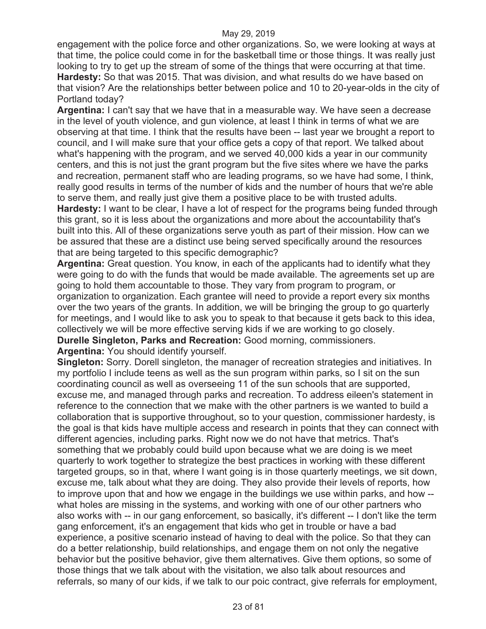engagement with the police force and other organizations. So, we were looking at ways at that time, the police could come in for the basketball time or those things. It was really just looking to try to get up the stream of some of the things that were occurring at that time. **Hardesty:** So that was 2015. That was division, and what results do we have based on that vision? Are the relationships better between police and 10 to 20-year-olds in the city of Portland today?

**Argentina:** I can't say that we have that in a measurable way. We have seen a decrease in the level of youth violence, and gun violence, at least I think in terms of what we are observing at that time. I think that the results have been -- last year we brought a report to council, and I will make sure that your office gets a copy of that report. We talked about what's happening with the program, and we served 40,000 kids a year in our community centers, and this is not just the grant program but the five sites where we have the parks and recreation, permanent staff who are leading programs, so we have had some, I think, really good results in terms of the number of kids and the number of hours that we're able to serve them, and really just give them a positive place to be with trusted adults.

**Hardesty:** I want to be clear, I have a lot of respect for the programs being funded through this grant, so it is less about the organizations and more about the accountability that's built into this. All of these organizations serve youth as part of their mission. How can we be assured that these are a distinct use being served specifically around the resources that are being targeted to this specific demographic?

**Argentina:** Great question. You know, in each of the applicants had to identify what they were going to do with the funds that would be made available. The agreements set up are going to hold them accountable to those. They vary from program to program, or organization to organization. Each grantee will need to provide a report every six months over the two years of the grants. In addition, we will be bringing the group to go quarterly for meetings, and I would like to ask you to speak to that because it gets back to this idea, collectively we will be more effective serving kids if we are working to go closely. **Durelle Singleton, Parks and Recreation:** Good morning, commissioners.

**Argentina:** You should identify yourself.

**Singleton:** Sorry. Dorell singleton, the manager of recreation strategies and initiatives. In my portfolio I include teens as well as the sun program within parks, so I sit on the sun coordinating council as well as overseeing 11 of the sun schools that are supported, excuse me, and managed through parks and recreation. To address eileen's statement in reference to the connection that we make with the other partners is we wanted to build a collaboration that is supportive throughout, so to your question, commissioner hardesty, is the goal is that kids have multiple access and research in points that they can connect with different agencies, including parks. Right now we do not have that metrics. That's something that we probably could build upon because what we are doing is we meet quarterly to work together to strategize the best practices in working with these different targeted groups, so in that, where I want going is in those quarterly meetings, we sit down, excuse me, talk about what they are doing. They also provide their levels of reports, how to improve upon that and how we engage in the buildings we use within parks, and how - what holes are missing in the systems, and working with one of our other partners who also works with -- in our gang enforcement, so basically, it's different -- I don't like the term gang enforcement, it's an engagement that kids who get in trouble or have a bad experience, a positive scenario instead of having to deal with the police. So that they can do a better relationship, build relationships, and engage them on not only the negative behavior but the positive behavior, give them alternatives. Give them options, so some of those things that we talk about with the visitation, we also talk about resources and referrals, so many of our kids, if we talk to our poic contract, give referrals for employment,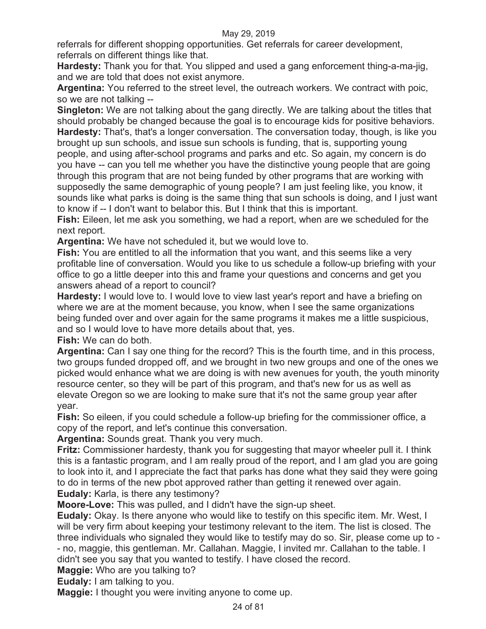referrals for different shopping opportunities. Get referrals for career development, referrals on different things like that.

**Hardesty:** Thank you for that. You slipped and used a gang enforcement thing-a-ma-jig, and we are told that does not exist anymore.

**Argentina:** You referred to the street level, the outreach workers. We contract with poic, so we are not talking --

**Singleton:** We are not talking about the gang directly. We are talking about the titles that should probably be changed because the goal is to encourage kids for positive behaviors. **Hardesty:** That's, that's a longer conversation. The conversation today, though, is like you brought up sun schools, and issue sun schools is funding, that is, supporting young people, and using after-school programs and parks and etc. So again, my concern is do you have -- can you tell me whether you have the distinctive young people that are going through this program that are not being funded by other programs that are working with supposedly the same demographic of young people? I am just feeling like, you know, it sounds like what parks is doing is the same thing that sun schools is doing, and I just want to know if -- I don't want to belabor this. But I think that this is important.

**Fish:** Eileen, let me ask you something, we had a report, when are we scheduled for the next report.

**Argentina:** We have not scheduled it, but we would love to.

**Fish:** You are entitled to all the information that you want, and this seems like a very profitable line of conversation. Would you like to us schedule a follow-up briefing with your office to go a little deeper into this and frame your questions and concerns and get you answers ahead of a report to council?

**Hardesty:** I would love to. I would love to view last year's report and have a briefing on where we are at the moment because, you know, when I see the same organizations being funded over and over again for the same programs it makes me a little suspicious, and so I would love to have more details about that, yes.

**Fish:** We can do both.

**Argentina:** Can I say one thing for the record? This is the fourth time, and in this process, two groups funded dropped off, and we brought in two new groups and one of the ones we picked would enhance what we are doing is with new avenues for youth, the youth minority resource center, so they will be part of this program, and that's new for us as well as elevate Oregon so we are looking to make sure that it's not the same group year after year.

**Fish:** So eileen, if you could schedule a follow-up briefing for the commissioner office, a copy of the report, and let's continue this conversation.

**Argentina:** Sounds great. Thank you very much.

**Fritz:** Commissioner hardesty, thank you for suggesting that mayor wheeler pull it. I think this is a fantastic program, and I am really proud of the report, and I am glad you are going to look into it, and I appreciate the fact that parks has done what they said they were going to do in terms of the new pbot approved rather than getting it renewed over again. **Eudaly:** Karla, is there any testimony?

**Moore-Love:** This was pulled, and I didn't have the sign-up sheet.

**Eudaly:** Okay. Is there anyone who would like to testify on this specific item. Mr. West, I will be very firm about keeping your testimony relevant to the item. The list is closed. The three individuals who signaled they would like to testify may do so. Sir, please come up to - - no, maggie, this gentleman. Mr. Callahan. Maggie, I invited mr. Callahan to the table. I didn't see you say that you wanted to testify. I have closed the record.

**Maggie:** Who are you talking to?

**Eudaly:** I am talking to you.

**Maggie:** I thought you were inviting anyone to come up.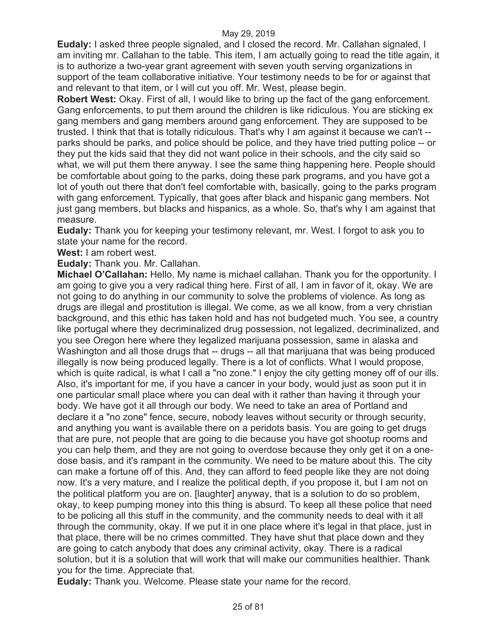**Eudaly:** I asked three people signaled, and I closed the record. Mr. Callahan signaled, I am inviting mr. Callahan to the table. This item, I am actually going to read the title again, it is to authorize a two-year grant agreement with seven youth serving organizations in support of the team collaborative initiative. Your testimony needs to be for or against that and relevant to that item, or I will cut you off. Mr. West, please begin.

**Robert West:** Okay. First of all, I would like to bring up the fact of the gang enforcement. Gang enforcements, to put them around the children is like ridiculous. You are sticking ex gang members and gang members around gang enforcement. They are supposed to be trusted. I think that that is totally ridiculous. That's why I am against it because we can't - parks should be parks, and police should be police, and they have tried putting police -- or they put the kids said that they did not want police in their schools, and the city said so what, we will put them there anyway. I see the same thing happening here. People should be comfortable about going to the parks, doing these park programs, and you have got a lot of youth out there that don't feel comfortable with, basically, going to the parks program with gang enforcement. Typically, that goes after black and hispanic gang members. Not just gang members, but blacks and hispanics, as a whole. So, that's why I am against that measure.

**Eudaly:** Thank you for keeping your testimony relevant, mr. West. I forgot to ask you to state your name for the record.

**West:** I am robert west.

**Eudaly:** Thank you. Mr. Callahan.

**Michael O'Callahan:** Hello. My name is michael callahan. Thank you for the opportunity. I am going to give you a very radical thing here. First of all, I am in favor of it, okay. We are not going to do anything in our community to solve the problems of violence. As long as drugs are illegal and prostitution is illegal. We come, as we all know, from a very christian background, and this ethic has taken hold and has not budgeted much. You see, a country like portugal where they decriminalized drug possession, not legalized, decriminalized, and you see Oregon here where they legalized marijuana possession, same in alaska and Washington and all those drugs that -- drugs -- all that marijuana that was being produced illegally is now being produced legally. There is a lot of conflicts. What I would propose, which is quite radical, is what I call a "no zone." I enjoy the city getting money off of our ills. Also, it's important for me, if you have a cancer in your body, would just as soon put it in one particular small place where you can deal with it rather than having it through your body. We have got it all through our body. We need to take an area of Portland and declare it a "no zone" fence, secure, nobody leaves without security or through security, and anything you want is available there on a peridots basis. You are going to get drugs that are pure, not people that are going to die because you have got shootup rooms and you can help them, and they are not going to overdose because they only get it on a onedose basis, and it's rampant in the community. We need to be mature about this. The city can make a fortune off of this. And, they can afford to feed people like they are not doing now. It's a very mature, and I realize the political depth, if you propose it, but I am not on the political platform you are on. [laughter] anyway, that is a solution to do so problem, okay, to keep pumping money into this thing is absurd. To keep all these police that need to be policing all this stuff in the community, and the community needs to deal with it all through the community, okay. If we put it in one place where it's legal in that place, just in that place, there will be no crimes committed. They have shut that place down and they are going to catch anybody that does any criminal activity, okay. There is a radical solution, but it is a solution that will work that will make our communities healthier. Thank you for the time. Appreciate that.

**Eudaly:** Thank you. Welcome. Please state your name for the record.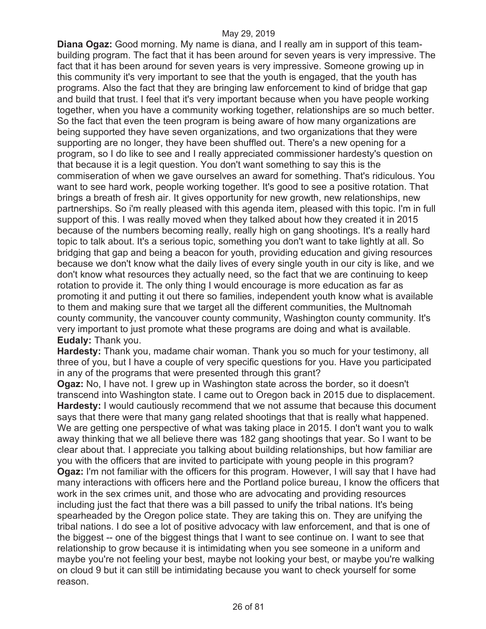**Diana Ogaz:** Good morning. My name is diana, and I really am in support of this teambuilding program. The fact that it has been around for seven years is very impressive. The fact that it has been around for seven years is very impressive. Someone growing up in this community it's very important to see that the youth is engaged, that the youth has programs. Also the fact that they are bringing law enforcement to kind of bridge that gap and build that trust. I feel that it's very important because when you have people working together, when you have a community working together, relationships are so much better. So the fact that even the teen program is being aware of how many organizations are being supported they have seven organizations, and two organizations that they were supporting are no longer, they have been shuffled out. There's a new opening for a program, so I do like to see and I really appreciated commissioner hardesty's question on that because it is a legit question. You don't want something to say this is the commiseration of when we gave ourselves an award for something. That's ridiculous. You want to see hard work, people working together. It's good to see a positive rotation. That brings a breath of fresh air. It gives opportunity for new growth, new relationships, new partnerships. So i'm really pleased with this agenda item, pleased with this topic. I'm in full support of this. I was really moved when they talked about how they created it in 2015 because of the numbers becoming really, really high on gang shootings. It's a really hard topic to talk about. It's a serious topic, something you don't want to take lightly at all. So bridging that gap and being a beacon for youth, providing education and giving resources because we don't know what the daily lives of every single youth in our city is like, and we don't know what resources they actually need, so the fact that we are continuing to keep rotation to provide it. The only thing I would encourage is more education as far as promoting it and putting it out there so families, independent youth know what is available to them and making sure that we target all the different communities, the Multnomah county community, the vancouver county community, Washington county community. It's very important to just promote what these programs are doing and what is available. **Eudaly:** Thank you.

**Hardesty:** Thank you, madame chair woman. Thank you so much for your testimony, all three of you, but I have a couple of very specific questions for you. Have you participated in any of the programs that were presented through this grant?

**Ogaz:** No, I have not. I grew up in Washington state across the border, so it doesn't transcend into Washington state. I came out to Oregon back in 2015 due to displacement. **Hardesty:** I would cautiously recommend that we not assume that because this document says that there were that many gang related shootings that that is really what happened. We are getting one perspective of what was taking place in 2015. I don't want you to walk away thinking that we all believe there was 182 gang shootings that year. So I want to be clear about that. I appreciate you talking about building relationships, but how familiar are you with the officers that are invited to participate with young people in this program? **Ogaz:** I'm not familiar with the officers for this program. However, I will say that I have had many interactions with officers here and the Portland police bureau, I know the officers that work in the sex crimes unit, and those who are advocating and providing resources including just the fact that there was a bill passed to unify the tribal nations. It's being spearheaded by the Oregon police state. They are taking this on. They are unifying the tribal nations. I do see a lot of positive advocacy with law enforcement, and that is one of the biggest -- one of the biggest things that I want to see continue on. I want to see that relationship to grow because it is intimidating when you see someone in a uniform and maybe you're not feeling your best, maybe not looking your best, or maybe you're walking on cloud 9 but it can still be intimidating because you want to check yourself for some reason.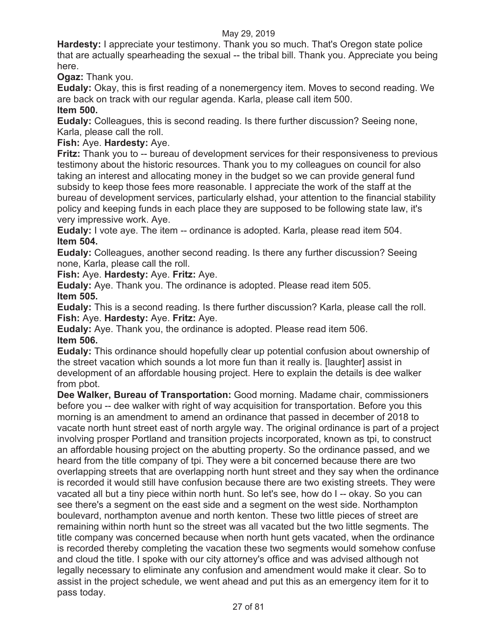**Hardesty:** I appreciate your testimony. Thank you so much. That's Oregon state police that are actually spearheading the sexual -- the tribal bill. Thank you. Appreciate you being here.

**Ogaz:** Thank you.

**Eudaly:** Okay, this is first reading of a nonemergency item. Moves to second reading. We are back on track with our regular agenda. Karla, please call item 500.

**Item 500.**

**Eudaly:** Colleagues, this is second reading. Is there further discussion? Seeing none, Karla, please call the roll.

**Fish:** Aye. **Hardesty:** Aye.

**Fritz:** Thank you to -- bureau of development services for their responsiveness to previous testimony about the historic resources. Thank you to my colleagues on council for also taking an interest and allocating money in the budget so we can provide general fund subsidy to keep those fees more reasonable. I appreciate the work of the staff at the bureau of development services, particularly elshad, your attention to the financial stability policy and keeping funds in each place they are supposed to be following state law, it's very impressive work. Aye.

**Eudaly:** I vote aye. The item -- ordinance is adopted. Karla, please read item 504. **Item 504.**

**Eudaly:** Colleagues, another second reading. Is there any further discussion? Seeing none, Karla, please call the roll.

**Fish:** Aye. **Hardesty:** Aye. **Fritz:** Aye.

**Eudaly:** Aye. Thank you. The ordinance is adopted. Please read item 505. **Item 505.**

**Eudaly:** This is a second reading. Is there further discussion? Karla, please call the roll. **Fish:** Aye. **Hardesty:** Aye. **Fritz:** Aye.

**Eudaly:** Aye. Thank you, the ordinance is adopted. Please read item 506. **Item 506.**

**Eudaly:** This ordinance should hopefully clear up potential confusion about ownership of the street vacation which sounds a lot more fun than it really is. [laughter] assist in development of an affordable housing project. Here to explain the details is dee walker from pbot.

**Dee Walker, Bureau of Transportation:** Good morning. Madame chair, commissioners before you -- dee walker with right of way acquisition for transportation. Before you this morning is an amendment to amend an ordinance that passed in december of 2018 to vacate north hunt street east of north argyle way. The original ordinance is part of a project involving prosper Portland and transition projects incorporated, known as tpi, to construct an affordable housing project on the abutting property. So the ordinance passed, and we heard from the title company of tpi. They were a bit concerned because there are two overlapping streets that are overlapping north hunt street and they say when the ordinance is recorded it would still have confusion because there are two existing streets. They were vacated all but a tiny piece within north hunt. So let's see, how do I -- okay. So you can see there's a segment on the east side and a segment on the west side. Northampton boulevard, northampton avenue and north kenton. These two little pieces of street are remaining within north hunt so the street was all vacated but the two little segments. The title company was concerned because when north hunt gets vacated, when the ordinance is recorded thereby completing the vacation these two segments would somehow confuse and cloud the title. I spoke with our city attorney's office and was advised although not legally necessary to eliminate any confusion and amendment would make it clear. So to assist in the project schedule, we went ahead and put this as an emergency item for it to pass today.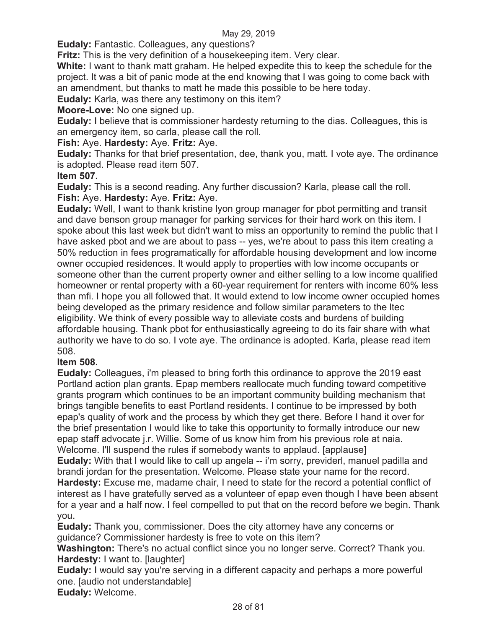**Eudaly:** Fantastic. Colleagues, any questions?

**Fritz:** This is the very definition of a housekeeping item. Very clear.

**White:** I want to thank matt graham. He helped expedite this to keep the schedule for the project. It was a bit of panic mode at the end knowing that I was going to come back with an amendment, but thanks to matt he made this possible to be here today.

**Eudaly:** Karla, was there any testimony on this item?

**Moore-Love:** No one signed up.

**Eudaly:** I believe that is commissioner hardesty returning to the dias. Colleagues, this is an emergency item, so carla, please call the roll.

**Fish:** Aye. **Hardesty:** Aye. **Fritz:** Aye.

**Eudaly:** Thanks for that brief presentation, dee, thank you, matt. I vote aye. The ordinance is adopted. Please read item 507.

### **Item 507.**

**Eudaly:** This is a second reading. Any further discussion? Karla, please call the roll. **Fish:** Aye. **Hardesty:** Aye. **Fritz:** Aye.

**Eudaly:** Well, I want to thank kristine lyon group manager for pbot permitting and transit and dave benson group manager for parking services for their hard work on this item. I spoke about this last week but didn't want to miss an opportunity to remind the public that I have asked pbot and we are about to pass -- yes, we're about to pass this item creating a 50% reduction in fees programatically for affordable housing development and low income owner occupied residences. It would apply to properties with low income occupants or someone other than the current property owner and either selling to a low income qualified homeowner or rental property with a 60-year requirement for renters with income 60% less than mfi. I hope you all followed that. It would extend to low income owner occupied homes being developed as the primary residence and follow similar parameters to the ltec eligibility. We think of every possible way to alleviate costs and burdens of building affordable housing. Thank pbot for enthusiastically agreeing to do its fair share with what authority we have to do so. I vote aye. The ordinance is adopted. Karla, please read item 508.

# **Item 508.**

**Eudaly:** Colleagues, i'm pleased to bring forth this ordinance to approve the 2019 east Portland action plan grants. Epap members reallocate much funding toward competitive grants program which continues to be an important community building mechanism that brings tangible benefits to east Portland residents. I continue to be impressed by both epap's quality of work and the process by which they get there. Before I hand it over for the brief presentation I would like to take this opportunity to formally introduce our new epap staff advocate j.r. Willie. Some of us know him from his previous role at naia. Welcome. I'll suspend the rules if somebody wants to applaud. [applause]

**Eudaly:** With that I would like to call up angela -- i'm sorry, previderl, manuel padilla and brandi jordan for the presentation. Welcome. Please state your name for the record.

**Hardesty:** Excuse me, madame chair, I need to state for the record a potential conflict of interest as I have gratefully served as a volunteer of epap even though I have been absent for a year and a half now. I feel compelled to put that on the record before we begin. Thank you.

**Eudaly:** Thank you, commissioner. Does the city attorney have any concerns or guidance? Commissioner hardesty is free to vote on this item?

**Washington:** There's no actual conflict since you no longer serve. Correct? Thank you. **Hardesty:** I want to. [laughter]

**Eudaly:** I would say you're serving in a different capacity and perhaps a more powerful one. [audio not understandable]

**Eudaly:** Welcome.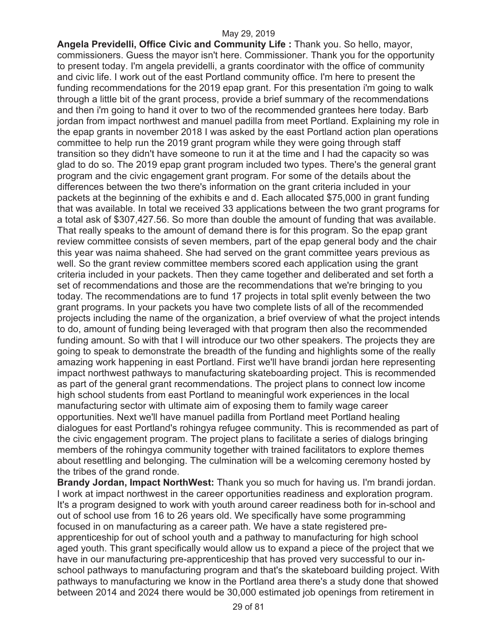**Angela Previdelli, Office Civic and Community Life :** Thank you. So hello, mayor, commissioners. Guess the mayor isn't here. Commissioner. Thank you for the opportunity to present today. I'm angela previdelli, a grants coordinator with the office of community and civic life. I work out of the east Portland community office. I'm here to present the funding recommendations for the 2019 epap grant. For this presentation i'm going to walk through a little bit of the grant process, provide a brief summary of the recommendations and then i'm going to hand it over to two of the recommended grantees here today. Barb jordan from impact northwest and manuel padilla from meet Portland. Explaining my role in the epap grants in november 2018 I was asked by the east Portland action plan operations committee to help run the 2019 grant program while they were going through staff transition so they didn't have someone to run it at the time and I had the capacity so was glad to do so. The 2019 epap grant program included two types. There's the general grant program and the civic engagement grant program. For some of the details about the differences between the two there's information on the grant criteria included in your packets at the beginning of the exhibits e and d. Each allocated \$75,000 in grant funding that was available. In total we received 33 applications between the two grant programs for a total ask of \$307,427.56. So more than double the amount of funding that was available. That really speaks to the amount of demand there is for this program. So the epap grant review committee consists of seven members, part of the epap general body and the chair this year was naima shaheed. She had served on the grant committee years previous as well. So the grant review committee members scored each application using the grant criteria included in your packets. Then they came together and deliberated and set forth a set of recommendations and those are the recommendations that we're bringing to you today. The recommendations are to fund 17 projects in total split evenly between the two grant programs. In your packets you have two complete lists of all of the recommended projects including the name of the organization, a brief overview of what the project intends to do, amount of funding being leveraged with that program then also the recommended funding amount. So with that I will introduce our two other speakers. The projects they are going to speak to demonstrate the breadth of the funding and highlights some of the really amazing work happening in east Portland. First we'll have brandi jordan here representing impact northwest pathways to manufacturing skateboarding project. This is recommended as part of the general grant recommendations. The project plans to connect low income high school students from east Portland to meaningful work experiences in the local manufacturing sector with ultimate aim of exposing them to family wage career opportunities. Next we'll have manuel padilla from Portland meet Portland healing dialogues for east Portland's rohingya refugee community. This is recommended as part of the civic engagement program. The project plans to facilitate a series of dialogs bringing members of the rohingya community together with trained facilitators to explore themes about resettling and belonging. The culmination will be a welcoming ceremony hosted by the tribes of the grand ronde.

**Brandy Jordan, Impact NorthWest:** Thank you so much for having us. I'm brandi jordan. I work at impact northwest in the career opportunities readiness and exploration program. It's a program designed to work with youth around career readiness both for in-school and out of school use from 16 to 26 years old. We specifically have some programming focused in on manufacturing as a career path. We have a state registered preapprenticeship for out of school youth and a pathway to manufacturing for high school aged youth. This grant specifically would allow us to expand a piece of the project that we have in our manufacturing pre-apprenticeship that has proved very successful to our inschool pathways to manufacturing program and that's the skateboard building project. With pathways to manufacturing we know in the Portland area there's a study done that showed between 2014 and 2024 there would be 30,000 estimated job openings from retirement in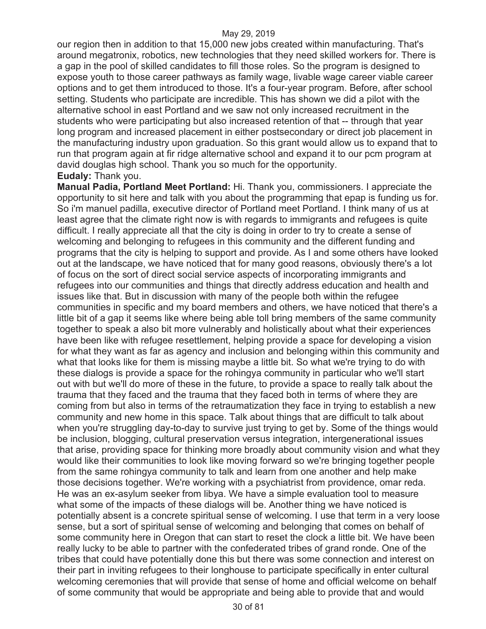our region then in addition to that 15,000 new jobs created within manufacturing. That's around megatronix, robotics, new technologies that they need skilled workers for. There is a gap in the pool of skilled candidates to fill those roles. So the program is designed to expose youth to those career pathways as family wage, livable wage career viable career options and to get them introduced to those. It's a four-year program. Before, after school setting. Students who participate are incredible. This has shown we did a pilot with the alternative school in east Portland and we saw not only increased recruitment in the students who were participating but also increased retention of that -- through that year long program and increased placement in either postsecondary or direct job placement in the manufacturing industry upon graduation. So this grant would allow us to expand that to run that program again at fir ridge alternative school and expand it to our pcm program at david douglas high school. Thank you so much for the opportunity. **Eudaly:** Thank you.

**Manual Padia, Portland Meet Portland:** Hi. Thank you, commissioners. I appreciate the opportunity to sit here and talk with you about the programming that epap is funding us for. So i'm manuel padilla, executive director of Portland meet Portland. I think many of us at least agree that the climate right now is with regards to immigrants and refugees is quite difficult. I really appreciate all that the city is doing in order to try to create a sense of welcoming and belonging to refugees in this community and the different funding and programs that the city is helping to support and provide. As I and some others have looked out at the landscape, we have noticed that for many good reasons, obviously there's a lot of focus on the sort of direct social service aspects of incorporating immigrants and refugees into our communities and things that directly address education and health and issues like that. But in discussion with many of the people both within the refugee communities in specific and my board members and others, we have noticed that there's a little bit of a gap it seems like where being able toll bring members of the same community together to speak a also bit more vulnerably and holistically about what their experiences have been like with refugee resettlement, helping provide a space for developing a vision for what they want as far as agency and inclusion and belonging within this community and what that looks like for them is missing maybe a little bit. So what we're trying to do with these dialogs is provide a space for the rohingya community in particular who we'll start out with but we'll do more of these in the future, to provide a space to really talk about the trauma that they faced and the trauma that they faced both in terms of where they are coming from but also in terms of the retraumatization they face in trying to establish a new community and new home in this space. Talk about things that are difficult to talk about when you're struggling day-to-day to survive just trying to get by. Some of the things would be inclusion, blogging, cultural preservation versus integration, intergenerational issues that arise, providing space for thinking more broadly about community vision and what they would like their communities to look like moving forward so we're bringing together people from the same rohingya community to talk and learn from one another and help make those decisions together. We're working with a psychiatrist from providence, omar reda. He was an ex-asylum seeker from libya. We have a simple evaluation tool to measure what some of the impacts of these dialogs will be. Another thing we have noticed is potentially absent is a concrete spiritual sense of welcoming. I use that term in a very loose sense, but a sort of spiritual sense of welcoming and belonging that comes on behalf of some community here in Oregon that can start to reset the clock a little bit. We have been really lucky to be able to partner with the confederated tribes of grand ronde. One of the tribes that could have potentially done this but there was some connection and interest on their part in inviting refugees to their longhouse to participate specifically in enter cultural welcoming ceremonies that will provide that sense of home and official welcome on behalf of some community that would be appropriate and being able to provide that and would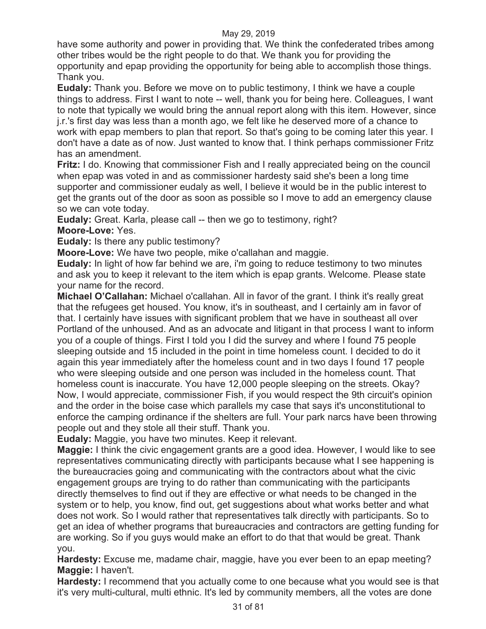have some authority and power in providing that. We think the confederated tribes among other tribes would be the right people to do that. We thank you for providing the opportunity and epap providing the opportunity for being able to accomplish those things. Thank you.

**Eudaly:** Thank you. Before we move on to public testimony, I think we have a couple things to address. First I want to note -- well, thank you for being here. Colleagues, I want to note that typically we would bring the annual report along with this item. However, since j.r.'s first day was less than a month ago, we felt like he deserved more of a chance to work with epap members to plan that report. So that's going to be coming later this year. I don't have a date as of now. Just wanted to know that. I think perhaps commissioner Fritz has an amendment.

**Fritz:** I do. Knowing that commissioner Fish and I really appreciated being on the council when epap was voted in and as commissioner hardesty said she's been a long time supporter and commissioner eudaly as well, I believe it would be in the public interest to get the grants out of the door as soon as possible so I move to add an emergency clause so we can vote today.

**Eudaly:** Great. Karla, please call -- then we go to testimony, right? **Moore-Love:** Yes.

**Eudaly:** Is there any public testimony?

**Moore-Love:** We have two people, mike o'callahan and maggie.

**Eudaly:** In light of how far behind we are, i'm going to reduce testimony to two minutes and ask you to keep it relevant to the item which is epap grants. Welcome. Please state your name for the record.

**Michael O'Callahan:** Michael o'callahan. All in favor of the grant. I think it's really great that the refugees get housed. You know, it's in southeast, and I certainly am in favor of that. I certainly have issues with significant problem that we have in southeast all over Portland of the unhoused. And as an advocate and litigant in that process I want to inform you of a couple of things. First I told you I did the survey and where I found 75 people sleeping outside and 15 included in the point in time homeless count. I decided to do it again this year immediately after the homeless count and in two days I found 17 people who were sleeping outside and one person was included in the homeless count. That homeless count is inaccurate. You have 12,000 people sleeping on the streets. Okay? Now, I would appreciate, commissioner Fish, if you would respect the 9th circuit's opinion and the order in the boise case which parallels my case that says it's unconstitutional to enforce the camping ordinance if the shelters are full. Your park narcs have been throwing people out and they stole all their stuff. Thank you.

**Eudaly:** Maggie, you have two minutes. Keep it relevant.

**Maggie:** I think the civic engagement grants are a good idea. However, I would like to see representatives communicating directly with participants because what I see happening is the bureaucracies going and communicating with the contractors about what the civic engagement groups are trying to do rather than communicating with the participants directly themselves to find out if they are effective or what needs to be changed in the system or to help, you know, find out, get suggestions about what works better and what does not work. So I would rather that representatives talk directly with participants. So to get an idea of whether programs that bureaucracies and contractors are getting funding for are working. So if you guys would make an effort to do that that would be great. Thank you.

**Hardesty:** Excuse me, madame chair, maggie, have you ever been to an epap meeting? **Maggie:** I haven't.

**Hardesty:** I recommend that you actually come to one because what you would see is that it's very multi-cultural, multi ethnic. It's led by community members, all the votes are done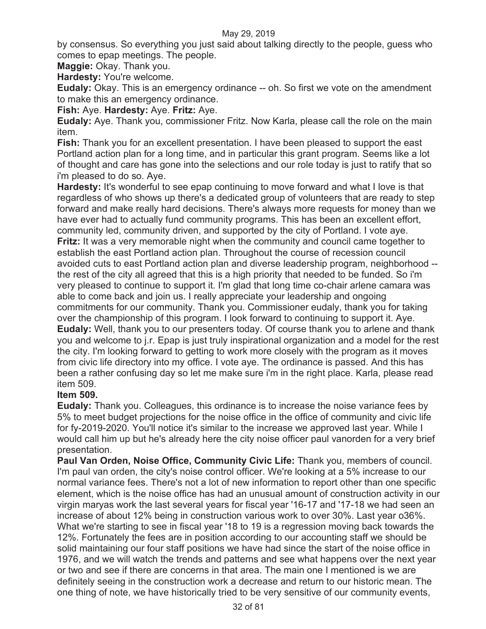by consensus. So everything you just said about talking directly to the people, guess who comes to epap meetings. The people.

**Maggie:** Okay. Thank you.

**Hardesty:** You're welcome.

**Eudaly:** Okay. This is an emergency ordinance -- oh. So first we vote on the amendment to make this an emergency ordinance.

**Fish:** Aye. **Hardesty:** Aye. **Fritz:** Aye.

**Eudaly:** Aye. Thank you, commissioner Fritz. Now Karla, please call the role on the main item.

**Fish:** Thank you for an excellent presentation. I have been pleased to support the east Portland action plan for a long time, and in particular this grant program. Seems like a lot of thought and care has gone into the selections and our role today is just to ratify that so i'm pleased to do so. Aye.

**Hardesty:** It's wonderful to see epap continuing to move forward and what I love is that regardless of who shows up there's a dedicated group of volunteers that are ready to step forward and make really hard decisions. There's always more requests for money than we have ever had to actually fund community programs. This has been an excellent effort, community led, community driven, and supported by the city of Portland. I vote aye. **Fritz:** It was a very memorable night when the community and council came together to establish the east Portland action plan. Throughout the course of recession council avoided cuts to east Portland action plan and diverse leadership program, neighborhood - the rest of the city all agreed that this is a high priority that needed to be funded. So i'm very pleased to continue to support it. I'm glad that long time co-chair arlene camara was able to come back and join us. I really appreciate your leadership and ongoing commitments for our community. Thank you. Commissioner eudaly, thank you for taking over the championship of this program. I look forward to continuing to support it. Aye. **Eudaly:** Well, thank you to our presenters today. Of course thank you to arlene and thank you and welcome to j.r. Epap is just truly inspirational organization and a model for the rest the city. I'm looking forward to getting to work more closely with the program as it moves from civic life directory into my office. I vote aye. The ordinance is passed. And this has been a rather confusing day so let me make sure i'm in the right place. Karla, please read item 509.

### **Item 509.**

**Eudaly:** Thank you. Colleagues, this ordinance is to increase the noise variance fees by 5% to meet budget projections for the noise office in the office of community and civic life for fy-2019-2020. You'll notice it's similar to the increase we approved last year. While I would call him up but he's already here the city noise officer paul vanorden for a very brief presentation.

**Paul Van Orden, Noise Office, Community Civic Life:** Thank you, members of council. I'm paul van orden, the city's noise control officer. We're looking at a 5% increase to our normal variance fees. There's not a lot of new information to report other than one specific element, which is the noise office has had an unusual amount of construction activity in our virgin maryas work the last several years for fiscal year '16-17 and '17-18 we had seen an increase of about 12% being in construction various work to over 30%. Last year o36%. What we're starting to see in fiscal year '18 to 19 is a regression moving back towards the 12%. Fortunately the fees are in position according to our accounting staff we should be solid maintaining our four staff positions we have had since the start of the noise office in 1976, and we will watch the trends and patterns and see what happens over the next year or two and see if there are concerns in that area. The main one I mentioned is we are definitely seeing in the construction work a decrease and return to our historic mean. The one thing of note, we have historically tried to be very sensitive of our community events,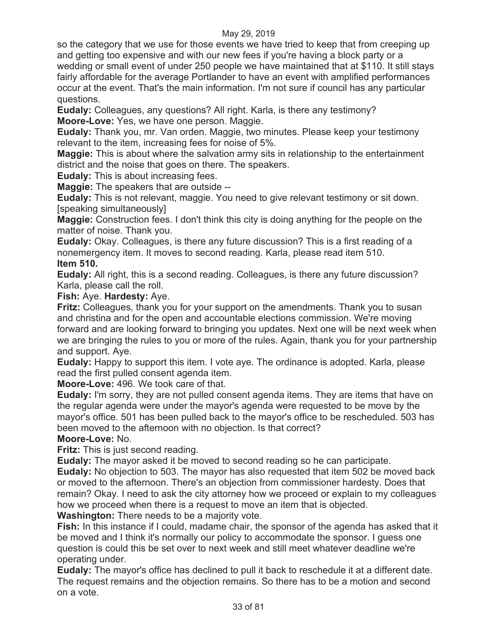so the category that we use for those events we have tried to keep that from creeping up and getting too expensive and with our new fees if you're having a block party or a wedding or small event of under 250 people we have maintained that at \$110. It still stays fairly affordable for the average Portlander to have an event with amplified performances occur at the event. That's the main information. I'm not sure if council has any particular questions.

**Eudaly:** Colleagues, any questions? All right. Karla, is there any testimony? **Moore-Love:** Yes, we have one person. Maggie.

**Eudaly:** Thank you, mr. Van orden. Maggie, two minutes. Please keep your testimony relevant to the item, increasing fees for noise of 5%.

**Maggie:** This is about where the salvation army sits in relationship to the entertainment district and the noise that goes on there. The speakers.

**Eudaly:** This is about increasing fees.

**Maggie:** The speakers that are outside --

**Eudaly:** This is not relevant, maggie. You need to give relevant testimony or sit down. [speaking simultaneously]

**Maggie:** Construction fees. I don't think this city is doing anything for the people on the matter of noise. Thank you.

**Eudaly:** Okay. Colleagues, is there any future discussion? This is a first reading of a nonemergency item. It moves to second reading. Karla, please read item 510. **Item 510.** 

**Eudaly:** All right, this is a second reading. Colleagues, is there any future discussion? Karla, please call the roll.

### **Fish:** Aye. **Hardesty:** Aye.

**Fritz:** Colleagues, thank you for your support on the amendments. Thank you to susan and christina and for the open and accountable elections commission. We're moving forward and are looking forward to bringing you updates. Next one will be next week when we are bringing the rules to you or more of the rules. Again, thank you for your partnership and support. Aye.

**Eudaly:** Happy to support this item. I vote aye. The ordinance is adopted. Karla, please read the first pulled consent agenda item.

**Moore-Love:** 496. We took care of that.

**Eudaly:** I'm sorry, they are not pulled consent agenda items. They are items that have on the regular agenda were under the mayor's agenda were requested to be move by the mayor's office. 501 has been pulled back to the mayor's office to be rescheduled. 503 has been moved to the afternoon with no objection. Is that correct?

### **Moore-Love:** No.

**Fritz:** This is just second reading.

**Eudaly:** The mayor asked it be moved to second reading so he can participate.

**Eudaly:** No objection to 503. The mayor has also requested that item 502 be moved back or moved to the afternoon. There's an objection from commissioner hardesty. Does that remain? Okay. I need to ask the city attorney how we proceed or explain to my colleagues how we proceed when there is a request to move an item that is objected.

**Washington:** There needs to be a majority vote.

**Fish:** In this instance if I could, madame chair, the sponsor of the agenda has asked that it be moved and I think it's normally our policy to accommodate the sponsor. I guess one question is could this be set over to next week and still meet whatever deadline we're operating under.

**Eudaly:** The mayor's office has declined to pull it back to reschedule it at a different date. The request remains and the objection remains. So there has to be a motion and second on a vote.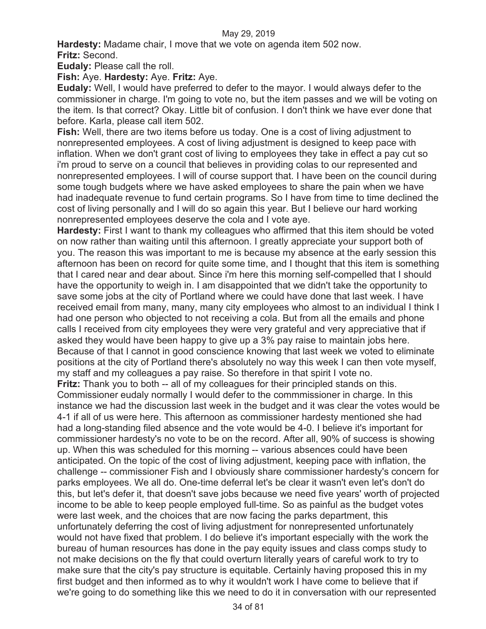**Hardesty:** Madame chair, I move that we vote on agenda item 502 now. **Fritz:** Second.

**Eudaly:** Please call the roll.

**Fish:** Aye. **Hardesty:** Aye. **Fritz:** Aye.

**Eudaly:** Well, I would have preferred to defer to the mayor. I would always defer to the commissioner in charge. I'm going to vote no, but the item passes and we will be voting on the item. Is that correct? Okay. Little bit of confusion. I don't think we have ever done that before. Karla, please call item 502.

**Fish:** Well, there are two items before us today. One is a cost of living adjustment to nonrepresented employees. A cost of living adjustment is designed to keep pace with inflation. When we don't grant cost of living to employees they take in effect a pay cut so i'm proud to serve on a council that believes in providing colas to our represented and nonrepresented employees. I will of course support that. I have been on the council during some tough budgets where we have asked employees to share the pain when we have had inadequate revenue to fund certain programs. So I have from time to time declined the cost of living personally and I will do so again this year. But I believe our hard working nonrepresented employees deserve the cola and I vote aye.

**Hardesty:** First I want to thank my colleagues who affirmed that this item should be voted on now rather than waiting until this afternoon. I greatly appreciate your support both of you. The reason this was important to me is because my absence at the early session this afternoon has been on record for quite some time, and I thought that this item is something that I cared near and dear about. Since i'm here this morning self-compelled that I should have the opportunity to weigh in. I am disappointed that we didn't take the opportunity to save some jobs at the city of Portland where we could have done that last week. I have received email from many, many, many city employees who almost to an individual I think I had one person who objected to not receiving a cola. But from all the emails and phone calls I received from city employees they were very grateful and very appreciative that if asked they would have been happy to give up a 3% pay raise to maintain jobs here. Because of that I cannot in good conscience knowing that last week we voted to eliminate positions at the city of Portland there's absolutely no way this week I can then vote myself, my staff and my colleagues a pay raise. So therefore in that spirit I vote no.

**Fritz:** Thank you to both -- all of my colleagues for their principled stands on this. Commissioner eudaly normally I would defer to the commmissioner in charge. In this instance we had the discussion last week in the budget and it was clear the votes would be 4-1 if all of us were here. This afternoon as commissioner hardesty mentioned she had had a long-standing filed absence and the vote would be 4-0. I believe it's important for commissioner hardesty's no vote to be on the record. After all, 90% of success is showing up. When this was scheduled for this morning -- various absences could have been anticipated. On the topic of the cost of living adjustment, keeping pace with inflation, the challenge -- commissioner Fish and I obviously share commissioner hardesty's concern for parks employees. We all do. One-time deferral let's be clear it wasn't even let's don't do this, but let's defer it, that doesn't save jobs because we need five years' worth of projected income to be able to keep people employed full-time. So as painful as the budget votes were last week, and the choices that are now facing the parks department, this unfortunately deferring the cost of living adjustment for nonrepresented unfortunately would not have fixed that problem. I do believe it's important especially with the work the bureau of human resources has done in the pay equity issues and class comps study to not make decisions on the fly that could overturn literally years of careful work to try to make sure that the city's pay structure is equitable. Certainly having proposed this in my first budget and then informed as to why it wouldn't work I have come to believe that if we're going to do something like this we need to do it in conversation with our represented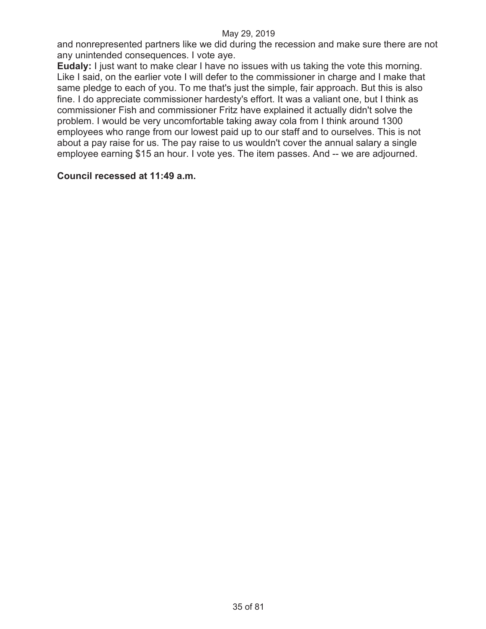and nonrepresented partners like we did during the recession and make sure there are not any unintended consequences. I vote aye.

**Eudaly:** I just want to make clear I have no issues with us taking the vote this morning. Like I said, on the earlier vote I will defer to the commissioner in charge and I make that same pledge to each of you. To me that's just the simple, fair approach. But this is also fine. I do appreciate commissioner hardesty's effort. It was a valiant one, but I think as commissioner Fish and commissioner Fritz have explained it actually didn't solve the problem. I would be very uncomfortable taking away cola from I think around 1300 employees who range from our lowest paid up to our staff and to ourselves. This is not about a pay raise for us. The pay raise to us wouldn't cover the annual salary a single employee earning \$15 an hour. I vote yes. The item passes. And -- we are adjourned.

### **Council recessed at 11:49 a.m.**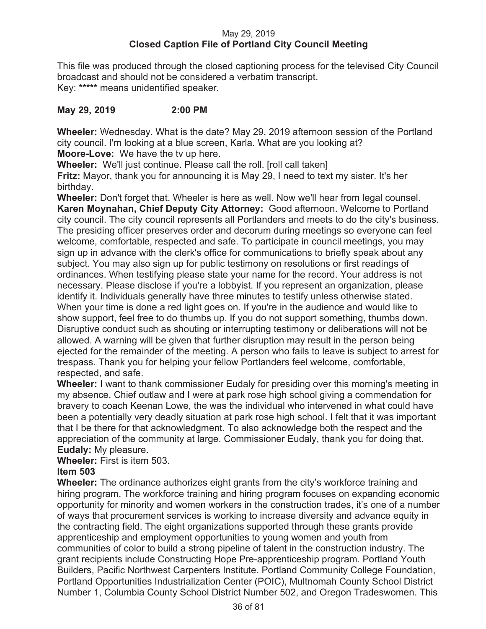#### May 29, 2019 **Closed Caption File of Portland City Council Meeting**

This file was produced through the closed captioning process for the televised City Council broadcast and should not be considered a verbatim transcript. Key: **\*\*\*\*\*** means unidentified speaker.

### **May 29, 2019 2:00 PM**

**Wheeler:** Wednesday. What is the date? May 29, 2019 afternoon session of the Portland city council. I'm looking at a blue screen, Karla. What are you looking at?

**Moore-Love:** We have the tv up here.

**Wheeler:** We'll just continue. Please call the roll. [roll call taken]

**Fritz:** Mayor, thank you for announcing it is May 29, I need to text my sister. It's her birthday.

**Wheeler:** Don't forget that. Wheeler is here as well. Now we'll hear from legal counsel. **Karen Moynahan, Chief Deputy City Attorney:** Good afternoon. Welcome to Portland city council. The city council represents all Portlanders and meets to do the city's business. The presiding officer preserves order and decorum during meetings so everyone can feel welcome, comfortable, respected and safe. To participate in council meetings, you may sign up in advance with the clerk's office for communications to briefly speak about any subject. You may also sign up for public testimony on resolutions or first readings of ordinances. When testifying please state your name for the record. Your address is not necessary. Please disclose if you're a lobbyist. If you represent an organization, please identify it. Individuals generally have three minutes to testify unless otherwise stated. When your time is done a red light goes on. If you're in the audience and would like to show support, feel free to do thumbs up. If you do not support something, thumbs down. Disruptive conduct such as shouting or interrupting testimony or deliberations will not be allowed. A warning will be given that further disruption may result in the person being ejected for the remainder of the meeting. A person who fails to leave is subject to arrest for trespass. Thank you for helping your fellow Portlanders feel welcome, comfortable, respected, and safe.

**Wheeler:** I want to thank commissioner Eudaly for presiding over this morning's meeting in my absence. Chief outlaw and I were at park rose high school giving a commendation for bravery to coach Keenan Lowe, the was the individual who intervened in what could have been a potentially very deadly situation at park rose high school. I felt that it was important that I be there for that acknowledgment. To also acknowledge both the respect and the appreciation of the community at large. Commissioner Eudaly, thank you for doing that. **Eudaly:** My pleasure.

**Wheeler:** First is item 503.

# **Item 503**

**Wheeler:** The ordinance authorizes eight grants from the city's workforce training and hiring program. The workforce training and hiring program focuses on expanding economic opportunity for minority and women workers in the construction trades, it's one of a number of ways that procurement services is working to increase diversity and advance equity in the contracting field. The eight organizations supported through these grants provide apprenticeship and employment opportunities to young women and youth from communities of color to build a strong pipeline of talent in the construction industry. The grant recipients include Constructing Hope Pre-apprenticeship program. Portland Youth Builders, Pacific Northwest Carpenters Institute. Portland Community College Foundation, Portland Opportunities Industrialization Center (POIC), Multnomah County School District Number 1, Columbia County School District Number 502, and Oregon Tradeswomen. This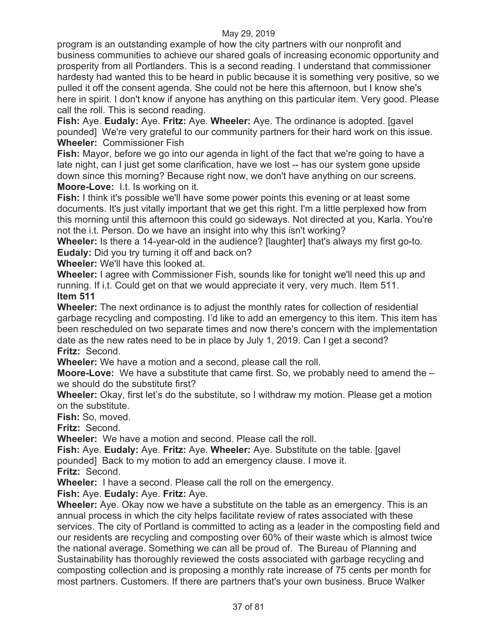program is an outstanding example of how the city partners with our nonprofit and business communities to achieve our shared goals of increasing economic opportunity and prosperity from all Portlanders. This is a second reading. I understand that commissioner hardesty had wanted this to be heard in public because it is something very positive, so we pulled it off the consent agenda. She could not be here this afternoon, but I know she's here in spirit. I don't know if anyone has anything on this particular item. Very good. Please call the roll. This is second reading.

**Fish:** Aye. **Eudaly:** Aye. **Fritz:** Aye. **Wheeler:** Aye. The ordinance is adopted. [gavel pounded] We're very grateful to our community partners for their hard work on this issue. **Wheeler:** Commissioner Fish

**Fish:** Mayor, before we go into our agenda in light of the fact that we're going to have a late night, can I just get some clarification, have we lost -- has our system gone upside down since this morning? Because right now, we don't have anything on our screens. **Moore-Love:** I.t. Is working on it.

**Fish:** I think it's possible we'll have some power points this evening or at least some documents. It's just vitally important that we get this right. I'm a little perplexed how from this morning until this afternoon this could go sideways. Not directed at you, Karla. You're not the i.t. Person. Do we have an insight into why this isn't working?

**Wheeler:** Is there a 14-year-old in the audience? [laughter] that's always my first go-to. **Eudaly:** Did you try turning it off and back on?

**Wheeler:** We'll have this looked at.

**Wheeler:** I agree with Commissioner Fish, sounds like for tonight we'll need this up and running. If i.t. Could get on that we would appreciate it very, very much. Item 511. **Item 511** 

**Wheeler:** The next ordinance is to adjust the monthly rates for collection of residential garbage recycling and composting. I'd like to add an emergency to this item. This item has been rescheduled on two separate times and now there's concern with the implementation date as the new rates need to be in place by July 1, 2019. Can I get a second? **Fritz:** Second.

**Wheeler:** We have a motion and a second, please call the roll.

**Moore-Love:** We have a substitute that came first. So, we probably need to amend the – we should do the substitute first?

**Wheeler:** Okay, first let's do the substitute, so I withdraw my motion. Please get a motion on the substitute.

**Fish:** So, moved.

**Fritz:** Second.

**Wheeler:** We have a motion and second. Please call the roll.

**Fish:** Aye. **Eudaly:** Aye. **Fritz:** Aye. **Wheeler:** Aye. Substitute on the table. [gavel pounded] Back to my motion to add an emergency clause. I move it.

**Fritz:** Second.

**Wheeler:** I have a second. Please call the roll on the emergency.

**Fish:** Aye. **Eudaly:** Aye. **Fritz:** Aye.

**Wheeler:** Aye. Okay now we have a substitute on the table as an emergency. This is an annual process in which the city helps facilitate review of rates associated with these services. The city of Portland is committed to acting as a leader in the composting field and our residents are recycling and composting over 60% of their waste which is almost twice the national average. Something we can all be proud of. The Bureau of Planning and Sustainability has thoroughly reviewed the costs associated with garbage recycling and composting collection and is proposing a monthly rate increase of 75 cents per month for most partners. Customers. If there are partners that's your own business. Bruce Walker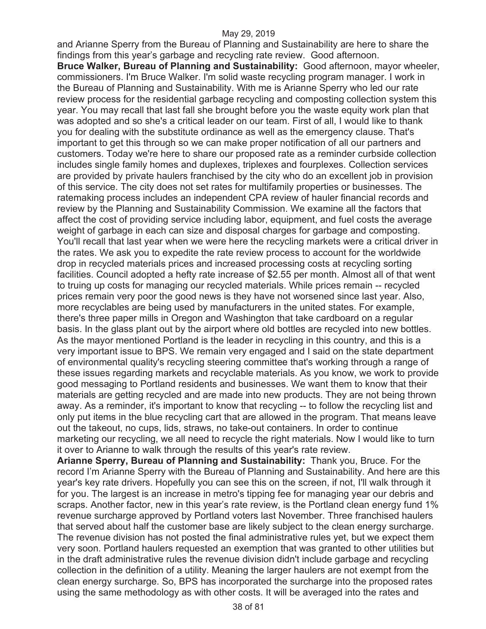and Arianne Sperry from the Bureau of Planning and Sustainability are here to share the findings from this year's garbage and recycling rate review. Good afternoon. **Bruce Walker, Bureau of Planning and Sustainability:** Good afternoon, mayor wheeler, commissioners. I'm Bruce Walker. I'm solid waste recycling program manager. I work in the Bureau of Planning and Sustainability. With me is Arianne Sperry who led our rate review process for the residential garbage recycling and composting collection system this year. You may recall that last fall she brought before you the waste equity work plan that was adopted and so she's a critical leader on our team. First of all, I would like to thank you for dealing with the substitute ordinance as well as the emergency clause. That's important to get this through so we can make proper notification of all our partners and customers. Today we're here to share our proposed rate as a reminder curbside collection includes single family homes and duplexes, triplexes and fourplexes. Collection services are provided by private haulers franchised by the city who do an excellent job in provision of this service. The city does not set rates for multifamily properties or businesses. The ratemaking process includes an independent CPA review of hauler financial records and review by the Planning and Sustainability Commission. We examine all the factors that affect the cost of providing service including labor, equipment, and fuel costs the average weight of garbage in each can size and disposal charges for garbage and composting. You'll recall that last year when we were here the recycling markets were a critical driver in the rates. We ask you to expedite the rate review process to account for the worldwide drop in recycled materials prices and increased processing costs at recycling sorting facilities. Council adopted a hefty rate increase of \$2.55 per month. Almost all of that went to truing up costs for managing our recycled materials. While prices remain -- recycled prices remain very poor the good news is they have not worsened since last year. Also, more recyclables are being used by manufacturers in the united states. For example, there's three paper mills in Oregon and Washington that take cardboard on a regular basis. In the glass plant out by the airport where old bottles are recycled into new bottles. As the mayor mentioned Portland is the leader in recycling in this country, and this is a very important issue to BPS. We remain very engaged and I said on the state department of environmental quality's recycling steering committee that's working through a range of these issues regarding markets and recyclable materials. As you know, we work to provide good messaging to Portland residents and businesses. We want them to know that their materials are getting recycled and are made into new products. They are not being thrown away. As a reminder, it's important to know that recycling -- to follow the recycling list and only put items in the blue recycling cart that are allowed in the program. That means leave out the takeout, no cups, lids, straws, no take-out containers. In order to continue marketing our recycling, we all need to recycle the right materials. Now I would like to turn it over to Arianne to walk through the results of this year's rate review.

**Arianne Sperry, Bureau of Planning and Sustainability:** Thank you, Bruce. For the record I'm Arianne Sperry with the Bureau of Planning and Sustainability. And here are this year's key rate drivers. Hopefully you can see this on the screen, if not, I'll walk through it for you. The largest is an increase in metro's tipping fee for managing year our debris and scraps. Another factor, new in this year's rate review, is the Portland clean energy fund 1% revenue surcharge approved by Portland voters last November. Three franchised haulers that served about half the customer base are likely subject to the clean energy surcharge. The revenue division has not posted the final administrative rules yet, but we expect them very soon. Portland haulers requested an exemption that was granted to other utilities but in the draft administrative rules the revenue division didn't include garbage and recycling collection in the definition of a utility. Meaning the larger haulers are not exempt from the clean energy surcharge. So, BPS has incorporated the surcharge into the proposed rates using the same methodology as with other costs. It will be averaged into the rates and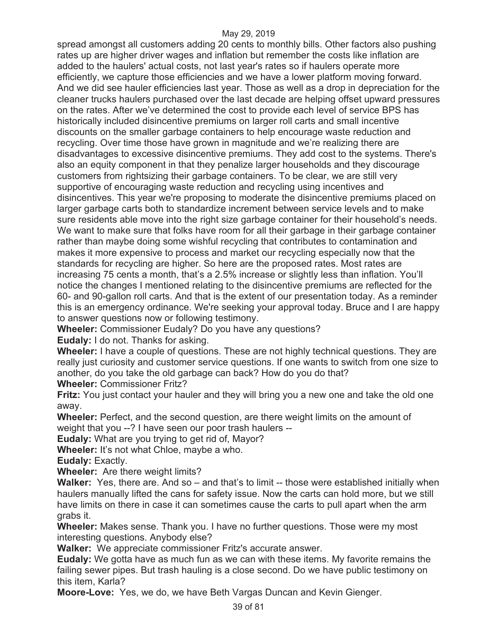spread amongst all customers adding 20 cents to monthly bills. Other factors also pushing rates up are higher driver wages and inflation but remember the costs like inflation are added to the haulers' actual costs, not last year's rates so if haulers operate more efficiently, we capture those efficiencies and we have a lower platform moving forward. And we did see hauler efficiencies last year. Those as well as a drop in depreciation for the cleaner trucks haulers purchased over the last decade are helping offset upward pressures on the rates. After we've determined the cost to provide each level of service BPS has historically included disincentive premiums on larger roll carts and small incentive discounts on the smaller garbage containers to help encourage waste reduction and recycling. Over time those have grown in magnitude and we're realizing there are disadvantages to excessive disincentive premiums. They add cost to the systems. There's also an equity component in that they penalize larger households and they discourage customers from rightsizing their garbage containers. To be clear, we are still very supportive of encouraging waste reduction and recycling using incentives and disincentives. This year we're proposing to moderate the disincentive premiums placed on larger garbage carts both to standardize increment between service levels and to make sure residents able move into the right size garbage container for their household's needs. We want to make sure that folks have room for all their garbage in their garbage container rather than maybe doing some wishful recycling that contributes to contamination and makes it more expensive to process and market our recycling especially now that the standards for recycling are higher. So here are the proposed rates. Most rates are increasing 75 cents a month, that's a 2.5% increase or slightly less than inflation. You'll notice the changes I mentioned relating to the disincentive premiums are reflected for the 60- and 90-gallon roll carts. And that is the extent of our presentation today. As a reminder this is an emergency ordinance. We're seeking your approval today. Bruce and I are happy to answer questions now or following testimony.

**Wheeler:** Commissioner Eudaly? Do you have any questions?

**Eudaly:** I do not. Thanks for asking.

**Wheeler:** I have a couple of questions. These are not highly technical questions. They are really just curiosity and customer service questions. If one wants to switch from one size to another, do you take the old garbage can back? How do you do that?

**Wheeler:** Commissioner Fritz?

**Fritz:** You just contact your hauler and they will bring you a new one and take the old one away.

**Wheeler:** Perfect, and the second question, are there weight limits on the amount of weight that you --? I have seen our poor trash haulers --

**Eudaly:** What are you trying to get rid of, Mayor?

**Wheeler:** It's not what Chloe, maybe a who.

**Eudaly:** Exactly.

**Wheeler:** Are there weight limits?

**Walker:** Yes, there are. And so – and that's to limit -- those were established initially when haulers manually lifted the cans for safety issue. Now the carts can hold more, but we still have limits on there in case it can sometimes cause the carts to pull apart when the arm grabs it.

**Wheeler:** Makes sense. Thank you. I have no further questions. Those were my most interesting questions. Anybody else?

**Walker:** We appreciate commissioner Fritz's accurate answer.

**Eudaly:** We gotta have as much fun as we can with these items. My favorite remains the failing sewer pipes. But trash hauling is a close second. Do we have public testimony on this item, Karla?

**Moore-Love:** Yes, we do, we have Beth Vargas Duncan and Kevin Gienger.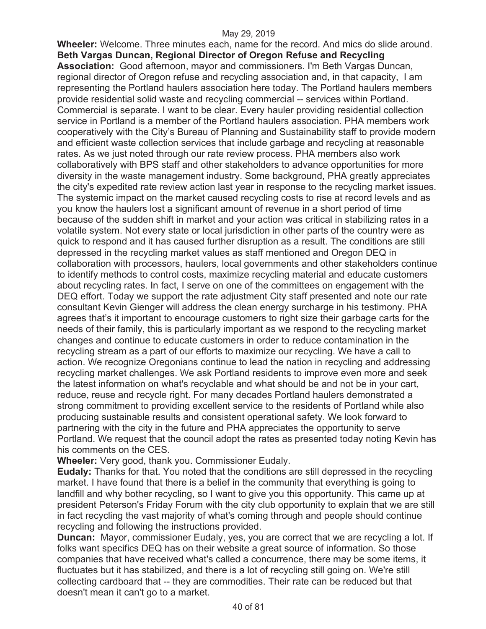**Wheeler:** Welcome. Three minutes each, name for the record. And mics do slide around. **Beth Vargas Duncan, Regional Director of Oregon Refuse and Recycling Association:** Good afternoon, mayor and commissioners. I'm Beth Vargas Duncan, regional director of Oregon refuse and recycling association and, in that capacity, I am representing the Portland haulers association here today. The Portland haulers members provide residential solid waste and recycling commercial -- services within Portland. Commercial is separate. I want to be clear. Every hauler providing residential collection service in Portland is a member of the Portland haulers association. PHA members work cooperatively with the City's Bureau of Planning and Sustainability staff to provide modern and efficient waste collection services that include garbage and recycling at reasonable rates. As we just noted through our rate review process. PHA members also work collaboratively with BPS staff and other stakeholders to advance opportunities for more diversity in the waste management industry. Some background, PHA greatly appreciates the city's expedited rate review action last year in response to the recycling market issues. The systemic impact on the market caused recycling costs to rise at record levels and as you know the haulers lost a significant amount of revenue in a short period of time because of the sudden shift in market and your action was critical in stabilizing rates in a volatile system. Not every state or local jurisdiction in other parts of the country were as quick to respond and it has caused further disruption as a result. The conditions are still depressed in the recycling market values as staff mentioned and Oregon DEQ in collaboration with processors, haulers, local governments and other stakeholders continue to identify methods to control costs, maximize recycling material and educate customers about recycling rates. In fact, I serve on one of the committees on engagement with the DEQ effort. Today we support the rate adjustment City staff presented and note our rate consultant Kevin Gienger will address the clean energy surcharge in his testimony. PHA agrees that's it important to encourage customers to right size their garbage carts for the needs of their family, this is particularly important as we respond to the recycling market changes and continue to educate customers in order to reduce contamination in the recycling stream as a part of our efforts to maximize our recycling. We have a call to action. We recognize Oregonians continue to lead the nation in recycling and addressing recycling market challenges. We ask Portland residents to improve even more and seek the latest information on what's recyclable and what should be and not be in your cart, reduce, reuse and recycle right. For many decades Portland haulers demonstrated a strong commitment to providing excellent service to the residents of Portland while also producing sustainable results and consistent operational safety. We look forward to partnering with the city in the future and PHA appreciates the opportunity to serve Portland. We request that the council adopt the rates as presented today noting Kevin has his comments on the CES.

**Wheeler:** Very good, thank you. Commissioner Eudaly.

**Eudaly:** Thanks for that. You noted that the conditions are still depressed in the recycling market. I have found that there is a belief in the community that everything is going to landfill and why bother recycling, so I want to give you this opportunity. This came up at president Peterson's Friday Forum with the city club opportunity to explain that we are still in fact recycling the vast majority of what's coming through and people should continue recycling and following the instructions provided.

**Duncan:** Mayor, commissioner Eudaly, yes, you are correct that we are recycling a lot. If folks want specifics DEQ has on their website a great source of information. So those companies that have received what's called a concurrence, there may be some items, it fluctuates but it has stabilized, and there is a lot of recycling still going on. We're still collecting cardboard that -- they are commodities. Their rate can be reduced but that doesn't mean it can't go to a market.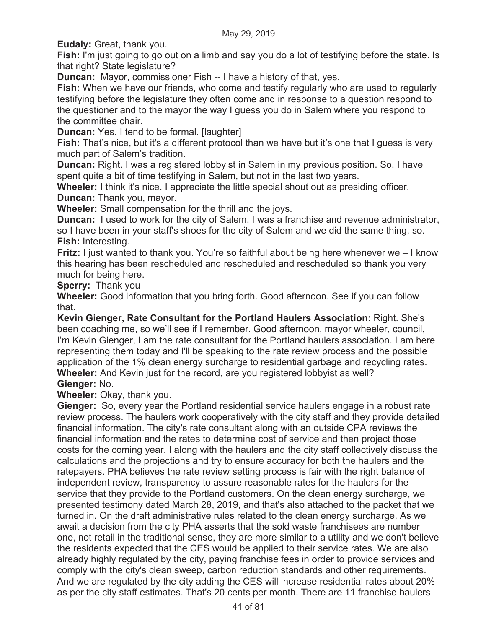**Eudaly:** Great, thank you.

**Fish:** I'm just going to go out on a limb and say you do a lot of testifying before the state. Is that right? State legislature?

**Duncan:** Mayor, commissioner Fish -- I have a history of that, yes.

**Fish:** When we have our friends, who come and testify regularly who are used to regularly testifying before the legislature they often come and in response to a question respond to the questioner and to the mayor the way I guess you do in Salem where you respond to the committee chair.

**Duncan:** Yes. I tend to be formal. [laughter]

**Fish:** That's nice, but it's a different protocol than we have but it's one that I quess is very much part of Salem's tradition.

**Duncan:** Right. I was a registered lobbyist in Salem in my previous position. So, I have spent quite a bit of time testifying in Salem, but not in the last two years.

**Wheeler:** I think it's nice. I appreciate the little special shout out as presiding officer. **Duncan:** Thank you, mayor.

**Wheeler:** Small compensation for the thrill and the joys.

**Duncan:** I used to work for the city of Salem, I was a franchise and revenue administrator, so I have been in your staff's shoes for the city of Salem and we did the same thing, so. **Fish:** Interesting.

**Fritz:** I just wanted to thank you. You're so faithful about being here whenever we – I know this hearing has been rescheduled and rescheduled and rescheduled so thank you very much for being here.

**Sperry:** Thank you

**Wheeler:** Good information that you bring forth. Good afternoon. See if you can follow that.

**Kevin Gienger, Rate Consultant for the Portland Haulers Association:** Right. She's been coaching me, so we'll see if I remember. Good afternoon, mayor wheeler, council, I'm Kevin Gienger, I am the rate consultant for the Portland haulers association. I am here representing them today and I'll be speaking to the rate review process and the possible application of the 1% clean energy surcharge to residential garbage and recycling rates. **Wheeler:** And Kevin just for the record, are you registered lobbyist as well? **Gienger:** No.

**Wheeler:** Okay, thank you.

**Gienger:** So, every year the Portland residential service haulers engage in a robust rate review process. The haulers work cooperatively with the city staff and they provide detailed financial information. The city's rate consultant along with an outside CPA reviews the financial information and the rates to determine cost of service and then project those costs for the coming year. I along with the haulers and the city staff collectively discuss the calculations and the projections and try to ensure accuracy for both the haulers and the ratepayers. PHA believes the rate review setting process is fair with the right balance of independent review, transparency to assure reasonable rates for the haulers for the service that they provide to the Portland customers. On the clean energy surcharge, we presented testimony dated March 28, 2019, and that's also attached to the packet that we turned in. On the draft administrative rules related to the clean energy surcharge. As we await a decision from the city PHA asserts that the sold waste franchisees are number one, not retail in the traditional sense, they are more similar to a utility and we don't believe the residents expected that the CES would be applied to their service rates. We are also already highly regulated by the city, paying franchise fees in order to provide services and comply with the city's clean sweep, carbon reduction standards and other requirements. And we are regulated by the city adding the CES will increase residential rates about 20% as per the city staff estimates. That's 20 cents per month. There are 11 franchise haulers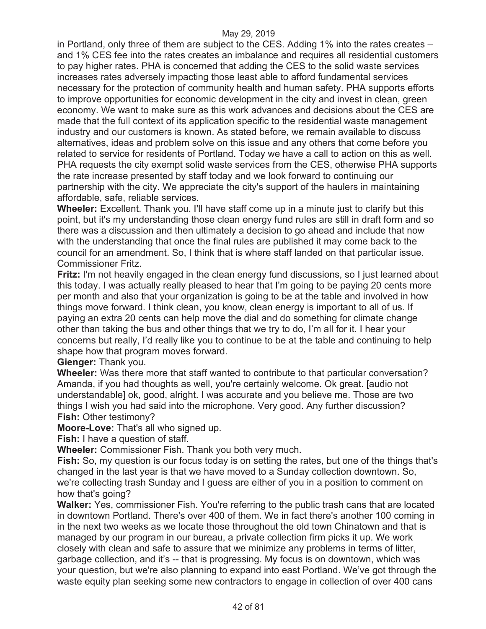in Portland, only three of them are subject to the CES. Adding 1% into the rates creates – and 1% CES fee into the rates creates an imbalance and requires all residential customers to pay higher rates. PHA is concerned that adding the CES to the solid waste services increases rates adversely impacting those least able to afford fundamental services necessary for the protection of community health and human safety. PHA supports efforts to improve opportunities for economic development in the city and invest in clean, green economy. We want to make sure as this work advances and decisions about the CES are made that the full context of its application specific to the residential waste management industry and our customers is known. As stated before, we remain available to discuss alternatives, ideas and problem solve on this issue and any others that come before you related to service for residents of Portland. Today we have a call to action on this as well. PHA requests the city exempt solid waste services from the CES, otherwise PHA supports the rate increase presented by staff today and we look forward to continuing our partnership with the city. We appreciate the city's support of the haulers in maintaining affordable, safe, reliable services.

**Wheeler:** Excellent. Thank you. I'll have staff come up in a minute just to clarify but this point, but it's my understanding those clean energy fund rules are still in draft form and so there was a discussion and then ultimately a decision to go ahead and include that now with the understanding that once the final rules are published it may come back to the council for an amendment. So, I think that is where staff landed on that particular issue. Commissioner Fritz.

**Fritz:** I'm not heavily engaged in the clean energy fund discussions, so I just learned about this today. I was actually really pleased to hear that I'm going to be paying 20 cents more per month and also that your organization is going to be at the table and involved in how things move forward. I think clean, you know, clean energy is important to all of us. If paying an extra 20 cents can help move the dial and do something for climate change other than taking the bus and other things that we try to do, I'm all for it. I hear your concerns but really, I'd really like you to continue to be at the table and continuing to help shape how that program moves forward.

**Gienger:** Thank you.

**Wheeler:** Was there more that staff wanted to contribute to that particular conversation? Amanda, if you had thoughts as well, you're certainly welcome. Ok great. [audio not understandable] ok, good, alright. I was accurate and you believe me. Those are two things I wish you had said into the microphone. Very good. Any further discussion? **Fish:** Other testimony?

**Moore-Love:** That's all who signed up.

**Fish:** I have a question of staff.

**Wheeler:** Commissioner Fish. Thank you both very much.

**Fish:** So, my question is our focus today is on setting the rates, but one of the things that's changed in the last year is that we have moved to a Sunday collection downtown. So, we're collecting trash Sunday and I guess are either of you in a position to comment on how that's going?

**Walker:** Yes, commissioner Fish. You're referring to the public trash cans that are located in downtown Portland. There's over 400 of them. We in fact there's another 100 coming in in the next two weeks as we locate those throughout the old town Chinatown and that is managed by our program in our bureau, a private collection firm picks it up. We work closely with clean and safe to assure that we minimize any problems in terms of litter, garbage collection, and it's -- that is progressing. My focus is on downtown, which was your question, but we're also planning to expand into east Portland. We've got through the waste equity plan seeking some new contractors to engage in collection of over 400 cans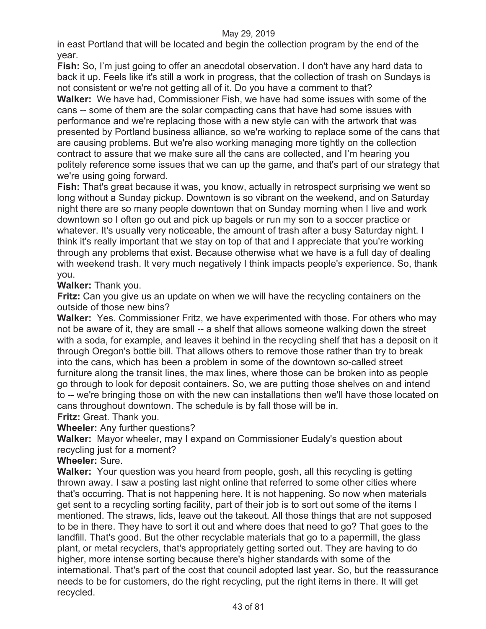in east Portland that will be located and begin the collection program by the end of the year.

**Fish:** So, I'm just going to offer an anecdotal observation. I don't have any hard data to back it up. Feels like it's still a work in progress, that the collection of trash on Sundays is not consistent or we're not getting all of it. Do you have a comment to that?

**Walker:** We have had, Commissioner Fish, we have had some issues with some of the cans -- some of them are the solar compacting cans that have had some issues with performance and we're replacing those with a new style can with the artwork that was presented by Portland business alliance, so we're working to replace some of the cans that are causing problems. But we're also working managing more tightly on the collection contract to assure that we make sure all the cans are collected, and I'm hearing you politely reference some issues that we can up the game, and that's part of our strategy that we're using going forward.

**Fish:** That's great because it was, you know, actually in retrospect surprising we went so long without a Sunday pickup. Downtown is so vibrant on the weekend, and on Saturday night there are so many people downtown that on Sunday morning when I live and work downtown so I often go out and pick up bagels or run my son to a soccer practice or whatever. It's usually very noticeable, the amount of trash after a busy Saturday night. I think it's really important that we stay on top of that and I appreciate that you're working through any problems that exist. Because otherwise what we have is a full day of dealing with weekend trash. It very much negatively I think impacts people's experience. So, thank you.

**Walker:** Thank you.

**Fritz:** Can you give us an update on when we will have the recycling containers on the outside of those new bins?

**Walker:** Yes. Commissioner Fritz, we have experimented with those. For others who may not be aware of it, they are small -- a shelf that allows someone walking down the street with a soda, for example, and leaves it behind in the recycling shelf that has a deposit on it through Oregon's bottle bill. That allows others to remove those rather than try to break into the cans, which has been a problem in some of the downtown so-called street furniture along the transit lines, the max lines, where those can be broken into as people go through to look for deposit containers. So, we are putting those shelves on and intend to -- we're bringing those on with the new can installations then we'll have those located on cans throughout downtown. The schedule is by fall those will be in. **Fritz:** Great. Thank you.

**Wheeler:** Any further questions?

**Walker:** Mayor wheeler, may I expand on Commissioner Eudaly's question about recycling just for a moment?

**Wheeler:** Sure.

**Walker:** Your question was you heard from people, gosh, all this recycling is getting thrown away. I saw a posting last night online that referred to some other cities where that's occurring. That is not happening here. It is not happening. So now when materials get sent to a recycling sorting facility, part of their job is to sort out some of the items I mentioned. The straws, lids, leave out the takeout. All those things that are not supposed to be in there. They have to sort it out and where does that need to go? That goes to the landfill. That's good. But the other recyclable materials that go to a papermill, the glass plant, or metal recyclers, that's appropriately getting sorted out. They are having to do higher, more intense sorting because there's higher standards with some of the international. That's part of the cost that council adopted last year. So, but the reassurance needs to be for customers, do the right recycling, put the right items in there. It will get recycled.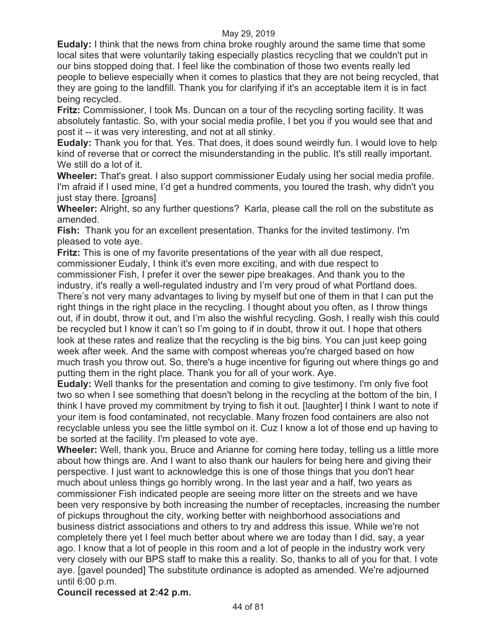**Eudaly:** I think that the news from china broke roughly around the same time that some local sites that were voluntarily taking especially plastics recycling that we couldn't put in our bins stopped doing that. I feel like the combination of those two events really led people to believe especially when it comes to plastics that they are not being recycled, that they are going to the landfill. Thank you for clarifying if it's an acceptable item it is in fact being recycled.

**Fritz:** Commissioner, I took Ms. Duncan on a tour of the recycling sorting facility. It was absolutely fantastic. So, with your social media profile, I bet you if you would see that and post it -- it was very interesting, and not at all stinky.

**Eudaly:** Thank you for that. Yes. That does, it does sound weirdly fun. I would love to help kind of reverse that or correct the misunderstanding in the public. It's still really important. We still do a lot of it.

**Wheeler:** That's great. I also support commissioner Eudaly using her social media profile. I'm afraid if I used mine, I'd get a hundred comments, you toured the trash, why didn't you just stay there. [groans]

**Wheeler:** Alright, so any further questions? Karla, please call the roll on the substitute as amended.

**Fish:** Thank you for an excellent presentation. Thanks for the invited testimony. I'm pleased to vote aye.

**Fritz:** This is one of my favorite presentations of the year with all due respect, commissioner Eudaly, I think it's even more exciting, and with due respect to commissioner Fish, I prefer it over the sewer pipe breakages. And thank you to the industry, it's really a well-regulated industry and I'm very proud of what Portland does. There's not very many advantages to living by myself but one of them in that I can put the right things in the right place in the recycling. I thought about you often, as I throw things out, if in doubt, throw it out, and I'm also the wishful recycling. Gosh, I really wish this could be recycled but I know it can't so I'm going to if in doubt, throw it out. I hope that others look at these rates and realize that the recycling is the big bins. You can just keep going week after week. And the same with compost whereas you're charged based on how much trash you throw out. So, there's a huge incentive for figuring out where things go and putting them in the right place. Thank you for all of your work. Aye.

**Eudaly:** Well thanks for the presentation and coming to give testimony. I'm only five foot two so when I see something that doesn't belong in the recycling at the bottom of the bin, I think I have proved my commitment by trying to fish it out. [laughter] I think I want to note if your item is food contaminated, not recyclable. Many frozen food containers are also not recyclable unless you see the little symbol on it. Cuz I know a lot of those end up having to be sorted at the facility. I'm pleased to vote aye.

**Wheeler:** Well, thank you, Bruce and Arianne for coming here today, telling us a little more about how things are. And I want to also thank our haulers for being here and giving their perspective. I just want to acknowledge this is one of those things that you don't hear much about unless things go horribly wrong. In the last year and a half, two years as commissioner Fish indicated people are seeing more litter on the streets and we have been very responsive by both increasing the number of receptacles, increasing the number of pickups throughout the city, working better with neighborhood associations and business district associations and others to try and address this issue. While we're not completely there yet I feel much better about where we are today than I did, say, a year ago. I know that a lot of people in this room and a lot of people in the industry work very very closely with our BPS staff to make this a reality. So, thanks to all of you for that. I vote aye. [gavel pounded] The substitute ordinance is adopted as amended. We're adjourned until 6:00 p.m.

**Council recessed at 2:42 p.m.**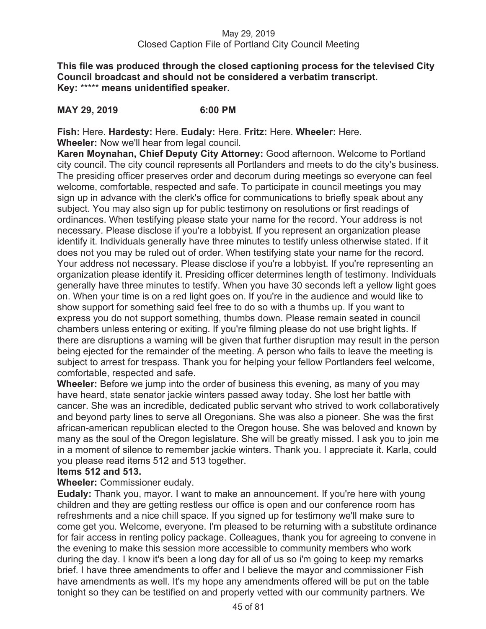# May 29, 2019 Closed Caption File of Portland City Council Meeting

**This file was produced through the closed captioning process for the televised City Council broadcast and should not be considered a verbatim transcript. Key:** \*\*\*\*\* **means unidentified speaker.** 

# **MAY 29, 2019 6:00 PM**

**Fish:** Here. **Hardesty:** Here. **Eudaly:** Here. **Fritz:** Here. **Wheeler:** Here. **Wheeler:** Now we'll hear from legal council.

**Karen Moynahan, Chief Deputy City Attorney:** Good afternoon. Welcome to Portland city council. The city council represents all Portlanders and meets to do the city's business. The presiding officer preserves order and decorum during meetings so everyone can feel welcome, comfortable, respected and safe. To participate in council meetings you may sign up in advance with the clerk's office for communications to briefly speak about any subject. You may also sign up for public testimony on resolutions or first readings of ordinances. When testifying please state your name for the record. Your address is not necessary. Please disclose if you're a lobbyist. If you represent an organization please identify it. Individuals generally have three minutes to testify unless otherwise stated. If it does not you may be ruled out of order. When testifying state your name for the record. Your address not necessary. Please disclose if you're a lobbyist. If you're representing an organization please identify it. Presiding officer determines length of testimony. Individuals generally have three minutes to testify. When you have 30 seconds left a yellow light goes on. When your time is on a red light goes on. If you're in the audience and would like to show support for something said feel free to do so with a thumbs up. If you want to express you do not support something, thumbs down. Please remain seated in council chambers unless entering or exiting. If you're filming please do not use bright lights. If there are disruptions a warning will be given that further disruption may result in the person being ejected for the remainder of the meeting. A person who fails to leave the meeting is subject to arrest for trespass. Thank you for helping your fellow Portlanders feel welcome, comfortable, respected and safe.

**Wheeler:** Before we jump into the order of business this evening, as many of you may have heard, state senator jackie winters passed away today. She lost her battle with cancer. She was an incredible, dedicated public servant who strived to work collaboratively and beyond party lines to serve all Oregonians. She was also a pioneer. She was the first african-american republican elected to the Oregon house. She was beloved and known by many as the soul of the Oregon legislature. She will be greatly missed. I ask you to join me in a moment of silence to remember jackie winters. Thank you. I appreciate it. Karla, could you please read items 512 and 513 together.

# **Items 512 and 513.**

## **Wheeler:** Commissioner eudaly.

**Eudaly:** Thank you, mayor. I want to make an announcement. If you're here with young children and they are getting restless our office is open and our conference room has refreshments and a nice chill space. If you signed up for testimony we'll make sure to come get you. Welcome, everyone. I'm pleased to be returning with a substitute ordinance for fair access in renting policy package. Colleagues, thank you for agreeing to convene in the evening to make this session more accessible to community members who work during the day. I know it's been a long day for all of us so i'm going to keep my remarks brief. I have three amendments to offer and I believe the mayor and commissioner Fish have amendments as well. It's my hope any amendments offered will be put on the table tonight so they can be testified on and properly vetted with our community partners. We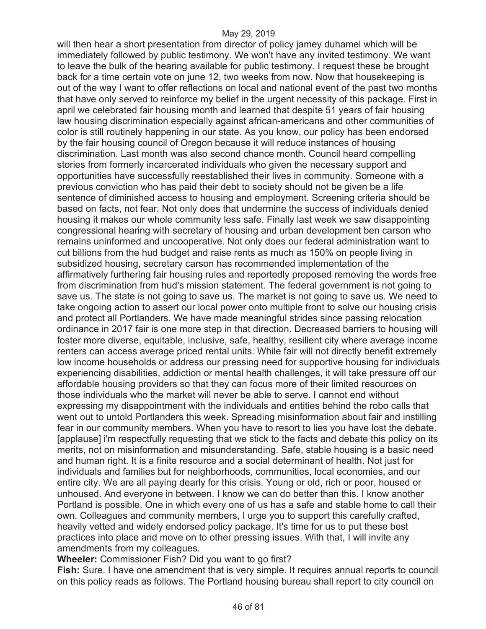will then hear a short presentation from director of policy jamey duhamel which will be immediately followed by public testimony. We won't have any invited testimony. We want to leave the bulk of the hearing available for public testimony. I request these be brought back for a time certain vote on june 12, two weeks from now. Now that housekeeping is out of the way I want to offer reflections on local and national event of the past two months that have only served to reinforce my belief in the urgent necessity of this package. First in april we celebrated fair housing month and learned that despite 51 years of fair housing law housing discrimination especially against african-americans and other communities of color is still routinely happening in our state. As you know, our policy has been endorsed by the fair housing council of Oregon because it will reduce instances of housing discrimination. Last month was also second chance month. Council heard compelling stories from formerly incarcerated individuals who given the necessary support and opportunities have successfully reestablished their lives in community. Someone with a previous conviction who has paid their debt to society should not be given be a life sentence of diminished access to housing and employment. Screening criteria should be based on facts, not fear. Not only does that undermine the success of individuals denied housing it makes our whole community less safe. Finally last week we saw disappointing congressional hearing with secretary of housing and urban development ben carson who remains uninformed and uncooperative. Not only does our federal administration want to cut billions from the hud budget and raise rents as much as 150% on people living in subsidized housing, secretary carson has recommended implementation of the affirmatively furthering fair housing rules and reportedly proposed removing the words free from discrimination from hud's mission statement. The federal government is not going to save us. The state is not going to save us. The market is not going to save us. We need to take ongoing action to assert our local power onto multiple front to solve our housing crisis and protect all Portlanders. We have made meaningful strides since passing relocation ordinance in 2017 fair is one more step in that direction. Decreased barriers to housing will foster more diverse, equitable, inclusive, safe, healthy, resilient city where average income renters can access average priced rental units. While fair will not directly benefit extremely low income households or address our pressing need for supportive housing for individuals experiencing disabilities, addiction or mental health challenges, it will take pressure off our affordable housing providers so that they can focus more of their limited resources on those individuals who the market will never be able to serve. I cannot end without expressing my disappointment with the individuals and entities behind the robo calls that went out to untold Portlanders this week. Spreading misinformation about fair and instilling fear in our community members. When you have to resort to lies you have lost the debate. [applause] i'm respectfully requesting that we stick to the facts and debate this policy on its merits, not on misinformation and misunderstanding. Safe, stable housing is a basic need and human right. It is a finite resource and a social determinant of health. Not just for individuals and families but for neighborhoods, communities, local economies, and our entire city. We are all paying dearly for this crisis. Young or old, rich or poor, housed or unhoused. And everyone in between. I know we can do better than this. I know another Portland is possible. One in which every one of us has a safe and stable home to call their own. Colleagues and community members, I urge you to support this carefully crafted, heavily vetted and widely endorsed policy package. It's time for us to put these best practices into place and move on to other pressing issues. With that, I will invite any amendments from my colleagues.

**Wheeler:** Commissioner Fish? Did you want to go first?

**Fish:** Sure. I have one amendment that is very simple. It requires annual reports to council on this policy reads as follows. The Portland housing bureau shall report to city council on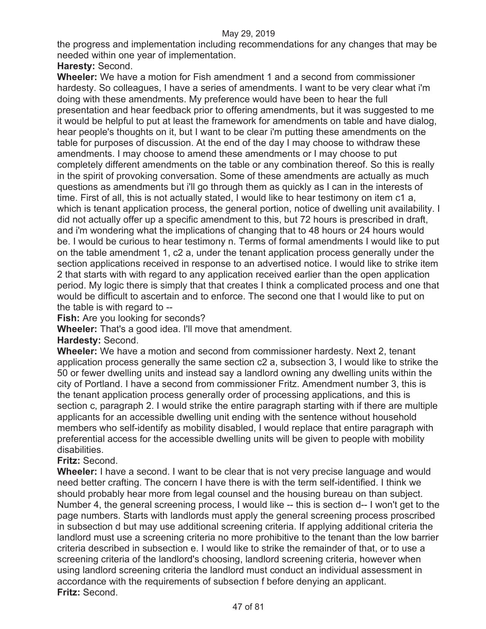the progress and implementation including recommendations for any changes that may be needed within one year of implementation.

# **Haresty:** Second.

**Wheeler:** We have a motion for Fish amendment 1 and a second from commissioner hardesty. So colleagues, I have a series of amendments. I want to be very clear what i'm doing with these amendments. My preference would have been to hear the full presentation and hear feedback prior to offering amendments, but it was suggested to me it would be helpful to put at least the framework for amendments on table and have dialog, hear people's thoughts on it, but I want to be clear i'm putting these amendments on the table for purposes of discussion. At the end of the day I may choose to withdraw these amendments. I may choose to amend these amendments or I may choose to put completely different amendments on the table or any combination thereof. So this is really in the spirit of provoking conversation. Some of these amendments are actually as much questions as amendments but i'll go through them as quickly as I can in the interests of time. First of all, this is not actually stated, I would like to hear testimony on item c1 a, which is tenant application process, the general portion, notice of dwelling unit availability. I did not actually offer up a specific amendment to this, but 72 hours is prescribed in draft, and i'm wondering what the implications of changing that to 48 hours or 24 hours would be. I would be curious to hear testimony n. Terms of formal amendments I would like to put on the table amendment 1, c2 a, under the tenant application process generally under the section applications received in response to an advertised notice. I would like to strike item 2 that starts with with regard to any application received earlier than the open application period. My logic there is simply that that creates I think a complicated process and one that would be difficult to ascertain and to enforce. The second one that I would like to put on the table is with regard to --

**Fish:** Are you looking for seconds?

**Wheeler:** That's a good idea. I'll move that amendment.

## **Hardesty:** Second.

**Wheeler:** We have a motion and second from commissioner hardesty. Next 2, tenant application process generally the same section c2 a, subsection 3, I would like to strike the 50 or fewer dwelling units and instead say a landlord owning any dwelling units within the city of Portland. I have a second from commissioner Fritz. Amendment number 3, this is the tenant application process generally order of processing applications, and this is section c, paragraph 2. I would strike the entire paragraph starting with if there are multiple applicants for an accessible dwelling unit ending with the sentence without household members who self-identify as mobility disabled, I would replace that entire paragraph with preferential access for the accessible dwelling units will be given to people with mobility disabilities.

# **Fritz:** Second.

**Wheeler:** I have a second. I want to be clear that is not very precise language and would need better crafting. The concern I have there is with the term self-identified. I think we should probably hear more from legal counsel and the housing bureau on than subject. Number 4, the general screening process, I would like -- this is section d-- I won't get to the page numbers. Starts with landlords must apply the general screening process proscribed in subsection d but may use additional screening criteria. If applying additional criteria the landlord must use a screening criteria no more prohibitive to the tenant than the low barrier criteria described in subsection e. I would like to strike the remainder of that, or to use a screening criteria of the landlord's choosing, landlord screening criteria, however when using landlord screening criteria the landlord must conduct an individual assessment in accordance with the requirements of subsection f before denying an applicant. **Fritz:** Second.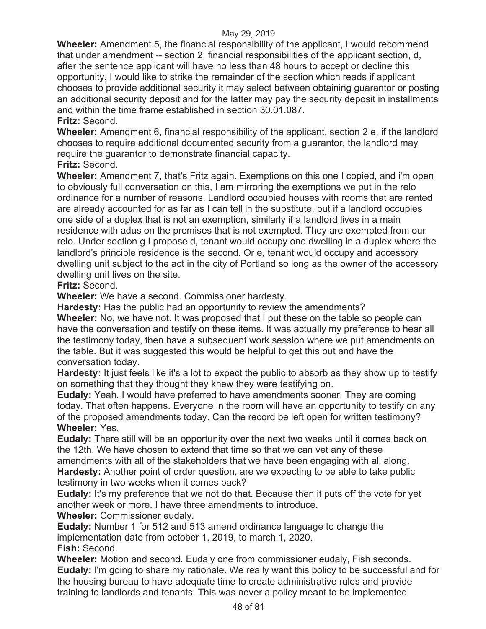**Wheeler:** Amendment 5, the financial responsibility of the applicant, I would recommend that under amendment -- section 2, financial responsibilities of the applicant section, d, after the sentence applicant will have no less than 48 hours to accept or decline this opportunity, I would like to strike the remainder of the section which reads if applicant chooses to provide additional security it may select between obtaining guarantor or posting an additional security deposit and for the latter may pay the security deposit in installments and within the time frame established in section 30.01.087. **Fritz:** Second.

**Wheeler:** Amendment 6, financial responsibility of the applicant, section 2 e, if the landlord chooses to require additional documented security from a guarantor, the landlord may require the guarantor to demonstrate financial capacity.

**Fritz:** Second.

**Wheeler:** Amendment 7, that's Fritz again. Exemptions on this one I copied, and i'm open to obviously full conversation on this, I am mirroring the exemptions we put in the relo ordinance for a number of reasons. Landlord occupied houses with rooms that are rented are already accounted for as far as I can tell in the substitute, but if a landlord occupies one side of a duplex that is not an exemption, similarly if a landlord lives in a main residence with adus on the premises that is not exempted. They are exempted from our relo. Under section g I propose d, tenant would occupy one dwelling in a duplex where the landlord's principle residence is the second. Or e, tenant would occupy and accessory dwelling unit subject to the act in the city of Portland so long as the owner of the accessory dwelling unit lives on the site.

# **Fritz:** Second.

**Wheeler:** We have a second. Commissioner hardesty.

**Hardesty:** Has the public had an opportunity to review the amendments?

**Wheeler:** No, we have not. It was proposed that I put these on the table so people can have the conversation and testify on these items. It was actually my preference to hear all the testimony today, then have a subsequent work session where we put amendments on the table. But it was suggested this would be helpful to get this out and have the conversation today.

**Hardesty:** It just feels like it's a lot to expect the public to absorb as they show up to testify on something that they thought they knew they were testifying on.

**Eudaly:** Yeah. I would have preferred to have amendments sooner. They are coming today. That often happens. Everyone in the room will have an opportunity to testify on any of the proposed amendments today. Can the record be left open for written testimony? **Wheeler:** Yes.

**Eudaly:** There still will be an opportunity over the next two weeks until it comes back on the 12th. We have chosen to extend that time so that we can vet any of these amendments with all of the stakeholders that we have been engaging with all along. **Hardesty:** Another point of order question, are we expecting to be able to take public

testimony in two weeks when it comes back?

**Eudaly:** It's my preference that we not do that. Because then it puts off the vote for yet another week or more. I have three amendments to introduce.

**Wheeler:** Commissioner eudaly.

**Eudaly:** Number 1 for 512 and 513 amend ordinance language to change the implementation date from october 1, 2019, to march 1, 2020. **Fish:** Second.

**Wheeler:** Motion and second. Eudaly one from commissioner eudaly, Fish seconds. **Eudaly:** I'm going to share my rationale. We really want this policy to be successful and for the housing bureau to have adequate time to create administrative rules and provide training to landlords and tenants. This was never a policy meant to be implemented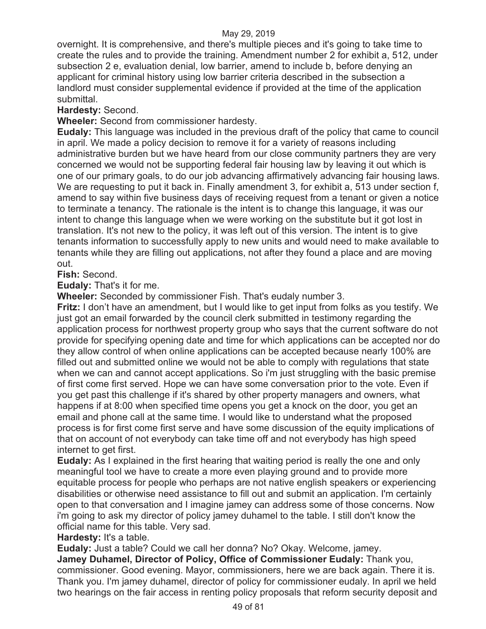overnight. It is comprehensive, and there's multiple pieces and it's going to take time to create the rules and to provide the training. Amendment number 2 for exhibit a, 512, under subsection 2 e, evaluation denial, low barrier, amend to include b, before denying an applicant for criminal history using low barrier criteria described in the subsection a landlord must consider supplemental evidence if provided at the time of the application submittal.

# **Hardesty:** Second.

**Wheeler:** Second from commissioner hardesty.

**Eudaly:** This language was included in the previous draft of the policy that came to council in april. We made a policy decision to remove it for a variety of reasons including administrative burden but we have heard from our close community partners they are very concerned we would not be supporting federal fair housing law by leaving it out which is one of our primary goals, to do our job advancing affirmatively advancing fair housing laws. We are requesting to put it back in. Finally amendment 3, for exhibit a, 513 under section f, amend to say within five business days of receiving request from a tenant or given a notice to terminate a tenancy. The rationale is the intent is to change this language, it was our intent to change this language when we were working on the substitute but it got lost in translation. It's not new to the policy, it was left out of this version. The intent is to give tenants information to successfully apply to new units and would need to make available to tenants while they are filling out applications, not after they found a place and are moving out.

# **Fish:** Second.

**Eudaly:** That's it for me.

**Wheeler:** Seconded by commissioner Fish. That's eudaly number 3.

**Fritz:** I don't have an amendment, but I would like to get input from folks as you testify. We just got an email forwarded by the council clerk submitted in testimony regarding the application process for northwest property group who says that the current software do not provide for specifying opening date and time for which applications can be accepted nor do they allow control of when online applications can be accepted because nearly 100% are filled out and submitted online we would not be able to comply with regulations that state when we can and cannot accept applications. So i'm just struggling with the basic premise of first come first served. Hope we can have some conversation prior to the vote. Even if you get past this challenge if it's shared by other property managers and owners, what happens if at 8:00 when specified time opens you get a knock on the door, you get an email and phone call at the same time. I would like to understand what the proposed process is for first come first serve and have some discussion of the equity implications of that on account of not everybody can take time off and not everybody has high speed internet to get first.

**Eudaly:** As I explained in the first hearing that waiting period is really the one and only meaningful tool we have to create a more even playing ground and to provide more equitable process for people who perhaps are not native english speakers or experiencing disabilities or otherwise need assistance to fill out and submit an application. I'm certainly open to that conversation and I imagine jamey can address some of those concerns. Now i'm going to ask my director of policy jamey duhamel to the table. I still don't know the official name for this table. Very sad.

# **Hardesty:** It's a table.

**Eudaly:** Just a table? Could we call her donna? No? Okay. Welcome, jamey.

**Jamey Duhamel, Director of Policy, Office of Commissioner Eudaly:** Thank you, commissioner. Good evening. Mayor, commissioners, here we are back again. There it is. Thank you. I'm jamey duhamel, director of policy for commissioner eudaly. In april we held two hearings on the fair access in renting policy proposals that reform security deposit and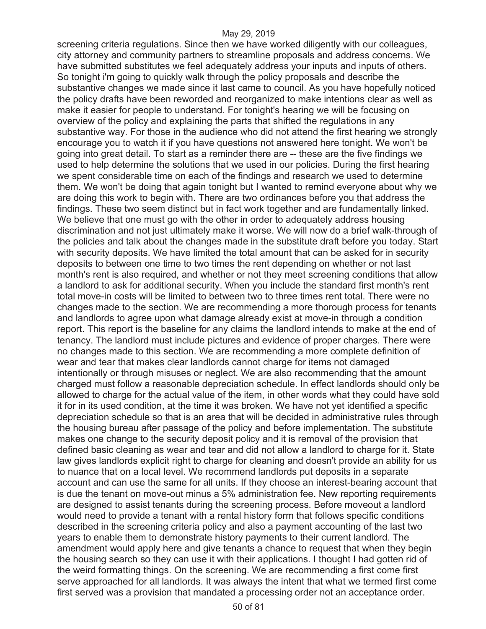screening criteria regulations. Since then we have worked diligently with our colleagues, city attorney and community partners to streamline proposals and address concerns. We have submitted substitutes we feel adequately address your inputs and inputs of others. So tonight i'm going to quickly walk through the policy proposals and describe the substantive changes we made since it last came to council. As you have hopefully noticed the policy drafts have been reworded and reorganized to make intentions clear as well as make it easier for people to understand. For tonight's hearing we will be focusing on overview of the policy and explaining the parts that shifted the regulations in any substantive way. For those in the audience who did not attend the first hearing we strongly encourage you to watch it if you have questions not answered here tonight. We won't be going into great detail. To start as a reminder there are -- these are the five findings we used to help determine the solutions that we used in our policies. During the first hearing we spent considerable time on each of the findings and research we used to determine them. We won't be doing that again tonight but I wanted to remind everyone about why we are doing this work to begin with. There are two ordinances before you that address the findings. These two seem distinct but in fact work together and are fundamentally linked. We believe that one must go with the other in order to adequately address housing discrimination and not just ultimately make it worse. We will now do a brief walk-through of the policies and talk about the changes made in the substitute draft before you today. Start with security deposits. We have limited the total amount that can be asked for in security deposits to between one time to two times the rent depending on whether or not last month's rent is also required, and whether or not they meet screening conditions that allow a landlord to ask for additional security. When you include the standard first month's rent total move-in costs will be limited to between two to three times rent total. There were no changes made to the section. We are recommending a more thorough process for tenants and landlords to agree upon what damage already exist at move-in through a condition report. This report is the baseline for any claims the landlord intends to make at the end of tenancy. The landlord must include pictures and evidence of proper charges. There were no changes made to this section. We are recommending a more complete definition of wear and tear that makes clear landlords cannot charge for items not damaged intentionally or through misuses or neglect. We are also recommending that the amount charged must follow a reasonable depreciation schedule. In effect landlords should only be allowed to charge for the actual value of the item, in other words what they could have sold it for in its used condition, at the time it was broken. We have not yet identified a specific depreciation schedule so that is an area that will be decided in administrative rules through the housing bureau after passage of the policy and before implementation. The substitute makes one change to the security deposit policy and it is removal of the provision that defined basic cleaning as wear and tear and did not allow a landlord to charge for it. State law gives landlords explicit right to charge for cleaning and doesn't provide an ability for us to nuance that on a local level. We recommend landlords put deposits in a separate account and can use the same for all units. If they choose an interest-bearing account that is due the tenant on move-out minus a 5% administration fee. New reporting requirements are designed to assist tenants during the screening process. Before moveout a landlord would need to provide a tenant with a rental history form that follows specific conditions described in the screening criteria policy and also a payment accounting of the last two years to enable them to demonstrate history payments to their current landlord. The amendment would apply here and give tenants a chance to request that when they begin the housing search so they can use it with their applications. I thought I had gotten rid of the weird formatting things. On the screening. We are recommending a first come first serve approached for all landlords. It was always the intent that what we termed first come first served was a provision that mandated a processing order not an acceptance order.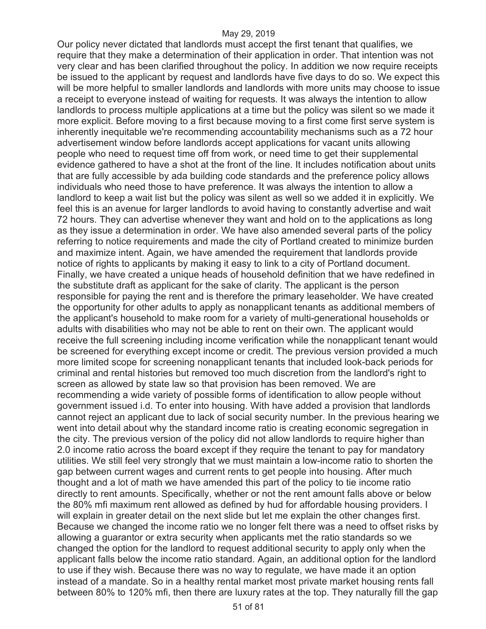Our policy never dictated that landlords must accept the first tenant that qualifies, we require that they make a determination of their application in order. That intention was not very clear and has been clarified throughout the policy. In addition we now require receipts be issued to the applicant by request and landlords have five days to do so. We expect this will be more helpful to smaller landlords and landlords with more units may choose to issue a receipt to everyone instead of waiting for requests. It was always the intention to allow landlords to process multiple applications at a time but the policy was silent so we made it more explicit. Before moving to a first because moving to a first come first serve system is inherently inequitable we're recommending accountability mechanisms such as a 72 hour advertisement window before landlords accept applications for vacant units allowing people who need to request time off from work, or need time to get their supplemental evidence gathered to have a shot at the front of the line. It includes notification about units that are fully accessible by ada building code standards and the preference policy allows individuals who need those to have preference. It was always the intention to allow a landlord to keep a wait list but the policy was silent as well so we added it in explicitly. We feel this is an avenue for larger landlords to avoid having to constantly advertise and wait 72 hours. They can advertise whenever they want and hold on to the applications as long as they issue a determination in order. We have also amended several parts of the policy referring to notice requirements and made the city of Portland created to minimize burden and maximize intent. Again, we have amended the requirement that landlords provide notice of rights to applicants by making it easy to link to a city of Portland document. Finally, we have created a unique heads of household definition that we have redefined in the substitute draft as applicant for the sake of clarity. The applicant is the person responsible for paying the rent and is therefore the primary leaseholder. We have created the opportunity for other adults to apply as nonapplicant tenants as additional members of the applicant's household to make room for a variety of multi-generational households or adults with disabilities who may not be able to rent on their own. The applicant would receive the full screening including income verification while the nonapplicant tenant would be screened for everything except income or credit. The previous version provided a much more limited scope for screening nonapplicant tenants that included look-back periods for criminal and rental histories but removed too much discretion from the landlord's right to screen as allowed by state law so that provision has been removed. We are recommending a wide variety of possible forms of identification to allow people without government issued i.d. To enter into housing. With have added a provision that landlords cannot reject an applicant due to lack of social security number. In the previous hearing we went into detail about why the standard income ratio is creating economic segregation in the city. The previous version of the policy did not allow landlords to require higher than 2.0 income ratio across the board except if they require the tenant to pay for mandatory utilities. We still feel very strongly that we must maintain a low-income ratio to shorten the gap between current wages and current rents to get people into housing. After much thought and a lot of math we have amended this part of the policy to tie income ratio directly to rent amounts. Specifically, whether or not the rent amount falls above or below the 80% mfi maximum rent allowed as defined by hud for affordable housing providers. I will explain in greater detail on the next slide but let me explain the other changes first. Because we changed the income ratio we no longer felt there was a need to offset risks by allowing a guarantor or extra security when applicants met the ratio standards so we changed the option for the landlord to request additional security to apply only when the applicant falls below the income ratio standard. Again, an additional option for the landlord to use if they wish. Because there was no way to regulate, we have made it an option instead of a mandate. So in a healthy rental market most private market housing rents fall between 80% to 120% mfi, then there are luxury rates at the top. They naturally fill the gap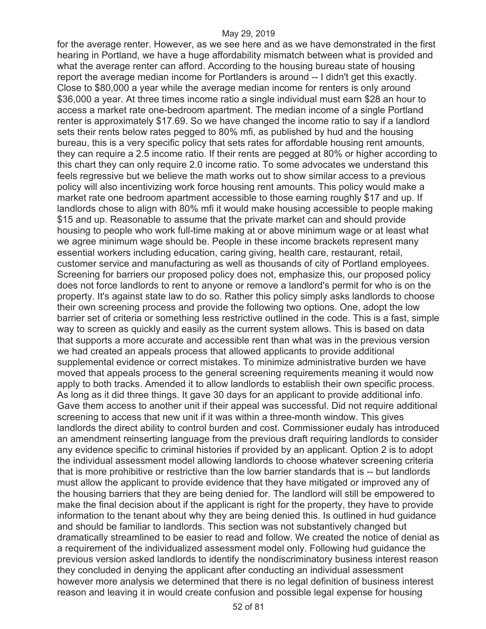for the average renter. However, as we see here and as we have demonstrated in the first hearing in Portland, we have a huge affordability mismatch between what is provided and what the average renter can afford. According to the housing bureau state of housing report the average median income for Portlanders is around -- I didn't get this exactly. Close to \$80,000 a year while the average median income for renters is only around \$36,000 a year. At three times income ratio a single individual must earn \$28 an hour to access a market rate one-bedroom apartment. The median income of a single Portland renter is approximately \$17.69. So we have changed the income ratio to say if a landlord sets their rents below rates pegged to 80% mfi, as published by hud and the housing bureau, this is a very specific policy that sets rates for affordable housing rent amounts, they can require a 2.5 income ratio. If their rents are pegged at 80% or higher according to this chart they can only require 2.0 income ratio. To some advocates we understand this feels regressive but we believe the math works out to show similar access to a previous policy will also incentivizing work force housing rent amounts. This policy would make a market rate one bedroom apartment accessible to those earning roughly \$17 and up. If landlords chose to align with 80% mfi it would make housing accessible to people making \$15 and up. Reasonable to assume that the private market can and should provide housing to people who work full-time making at or above minimum wage or at least what we agree minimum wage should be. People in these income brackets represent many essential workers including education, caring giving, health care, restaurant, retail, customer service and manufacturing as well as thousands of city of Portland employees. Screening for barriers our proposed policy does not, emphasize this, our proposed policy does not force landlords to rent to anyone or remove a landlord's permit for who is on the property. It's against state law to do so. Rather this policy simply asks landlords to choose their own screening process and provide the following two options. One, adopt the low barrier set of criteria or something less restrictive outlined in the code. This is a fast, simple way to screen as quickly and easily as the current system allows. This is based on data that supports a more accurate and accessible rent than what was in the previous version we had created an appeals process that allowed applicants to provide additional supplemental evidence or correct mistakes. To minimize administrative burden we have moved that appeals process to the general screening requirements meaning it would now apply to both tracks. Amended it to allow landlords to establish their own specific process. As long as it did three things. It gave 30 days for an applicant to provide additional info. Gave them access to another unit if their appeal was successful. Did not require additional screening to access that new unit if it was within a three-month window. This gives landlords the direct ability to control burden and cost. Commissioner eudaly has introduced an amendment reinserting language from the previous draft requiring landlords to consider any evidence specific to criminal histories if provided by an applicant. Option 2 is to adopt the individual assessment model allowing landlords to choose whatever screening criteria that is more prohibitive or restrictive than the low barrier standards that is -- but landlords must allow the applicant to provide evidence that they have mitigated or improved any of the housing barriers that they are being denied for. The landlord will still be empowered to make the final decision about if the applicant is right for the property, they have to provide information to the tenant about why they are being denied this. Is outlined in hud guidance and should be familiar to landlords. This section was not substantively changed but dramatically streamlined to be easier to read and follow. We created the notice of denial as a requirement of the individualized assessment model only. Following hud guidance the previous version asked landlords to identify the nondiscriminatory business interest reason they concluded in denying the applicant after conducting an individual assessment however more analysis we determined that there is no legal definition of business interest reason and leaving it in would create confusion and possible legal expense for housing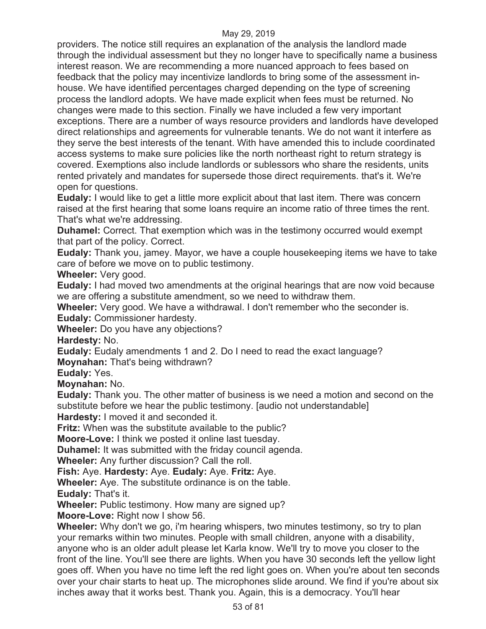providers. The notice still requires an explanation of the analysis the landlord made through the individual assessment but they no longer have to specifically name a business interest reason. We are recommending a more nuanced approach to fees based on feedback that the policy may incentivize landlords to bring some of the assessment inhouse. We have identified percentages charged depending on the type of screening process the landlord adopts. We have made explicit when fees must be returned. No changes were made to this section. Finally we have included a few very important exceptions. There are a number of ways resource providers and landlords have developed direct relationships and agreements for vulnerable tenants. We do not want it interfere as they serve the best interests of the tenant. With have amended this to include coordinated access systems to make sure policies like the north northeast right to return strategy is covered. Exemptions also include landlords or sublessors who share the residents, units rented privately and mandates for supersede those direct requirements. that's it. We're open for questions.

**Eudaly:** I would like to get a little more explicit about that last item. There was concern raised at the first hearing that some loans require an income ratio of three times the rent. That's what we're addressing.

**Duhamel:** Correct. That exemption which was in the testimony occurred would exempt that part of the policy. Correct.

**Eudaly:** Thank you, jamey. Mayor, we have a couple housekeeping items we have to take care of before we move on to public testimony.

**Wheeler:** Very good.

**Eudaly:** I had moved two amendments at the original hearings that are now void because we are offering a substitute amendment, so we need to withdraw them.

**Wheeler:** Very good. We have a withdrawal. I don't remember who the seconder is.

**Eudaly:** Commissioner hardesty.

**Wheeler:** Do you have any objections?

**Hardesty:** No.

**Eudaly:** Eudaly amendments 1 and 2. Do I need to read the exact language?

**Moynahan:** That's being withdrawn?

**Eudaly:** Yes.

**Moynahan:** No.

**Eudaly:** Thank you. The other matter of business is we need a motion and second on the substitute before we hear the public testimony. [audio not understandable]

**Hardesty:** I moved it and seconded it.

**Fritz:** When was the substitute available to the public?

**Moore-Love:** I think we posted it online last tuesday.

**Duhamel:** It was submitted with the friday council agenda.

**Wheeler:** Any further discussion? Call the roll.

**Fish:** Aye. **Hardesty:** Aye. **Eudaly:** Aye. **Fritz:** Aye.

**Wheeler:** Aye. The substitute ordinance is on the table.

**Eudaly:** That's it.

**Wheeler:** Public testimony. How many are signed up?

**Moore-Love:** Right now I show 56.

**Wheeler:** Why don't we go, i'm hearing whispers, two minutes testimony, so try to plan your remarks within two minutes. People with small children, anyone with a disability, anyone who is an older adult please let Karla know. We'll try to move you closer to the front of the line. You'll see there are lights. When you have 30 seconds left the yellow light goes off. When you have no time left the red light goes on. When you're about ten seconds over your chair starts to heat up. The microphones slide around. We find if you're about six inches away that it works best. Thank you. Again, this is a democracy. You'll hear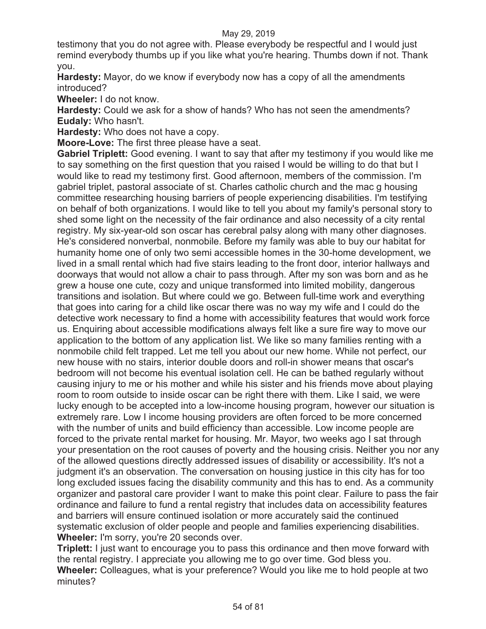testimony that you do not agree with. Please everybody be respectful and I would just remind everybody thumbs up if you like what you're hearing. Thumbs down if not. Thank you.

**Hardesty:** Mayor, do we know if everybody now has a copy of all the amendments introduced?

**Wheeler:** I do not know.

**Hardesty:** Could we ask for a show of hands? Who has not seen the amendments? **Eudaly:** Who hasn't.

**Hardesty:** Who does not have a copy.

**Moore-Love:** The first three please have a seat.

**Gabriel Triplett:** Good evening. I want to say that after my testimony if you would like me to say something on the first question that you raised I would be willing to do that but I would like to read my testimony first. Good afternoon, members of the commission. I'm gabriel triplet, pastoral associate of st. Charles catholic church and the mac g housing committee researching housing barriers of people experiencing disabilities. I'm testifying on behalf of both organizations. I would like to tell you about my family's personal story to shed some light on the necessity of the fair ordinance and also necessity of a city rental registry. My six-year-old son oscar has cerebral palsy along with many other diagnoses. He's considered nonverbal, nonmobile. Before my family was able to buy our habitat for humanity home one of only two semi accessible homes in the 30-home development, we lived in a small rental which had five stairs leading to the front door, interior hallways and doorways that would not allow a chair to pass through. After my son was born and as he grew a house one cute, cozy and unique transformed into limited mobility, dangerous transitions and isolation. But where could we go. Between full-time work and everything that goes into caring for a child like oscar there was no way my wife and I could do the detective work necessary to find a home with accessibility features that would work force us. Enquiring about accessible modifications always felt like a sure fire way to move our application to the bottom of any application list. We like so many families renting with a nonmobile child felt trapped. Let me tell you about our new home. While not perfect, our new house with no stairs, interior double doors and roll-in shower means that oscar's bedroom will not become his eventual isolation cell. He can be bathed regularly without causing injury to me or his mother and while his sister and his friends move about playing room to room outside to inside oscar can be right there with them. Like I said, we were lucky enough to be accepted into a low-income housing program, however our situation is extremely rare. Low I income housing providers are often forced to be more concerned with the number of units and build efficiency than accessible. Low income people are forced to the private rental market for housing. Mr. Mayor, two weeks ago I sat through your presentation on the root causes of poverty and the housing crisis. Neither you nor any of the allowed questions directly addressed issues of disability or accessibility. It's not a judgment it's an observation. The conversation on housing justice in this city has for too long excluded issues facing the disability community and this has to end. As a community organizer and pastoral care provider I want to make this point clear. Failure to pass the fair ordinance and failure to fund a rental registry that includes data on accessibility features and barriers will ensure continued isolation or more accurately said the continued systematic exclusion of older people and people and families experiencing disabilities. **Wheeler:** I'm sorry, you're 20 seconds over.

**Triplett:** I just want to encourage you to pass this ordinance and then move forward with the rental registry. I appreciate you allowing me to go over time. God bless you. **Wheeler:** Colleagues, what is your preference? Would you like me to hold people at two minutes?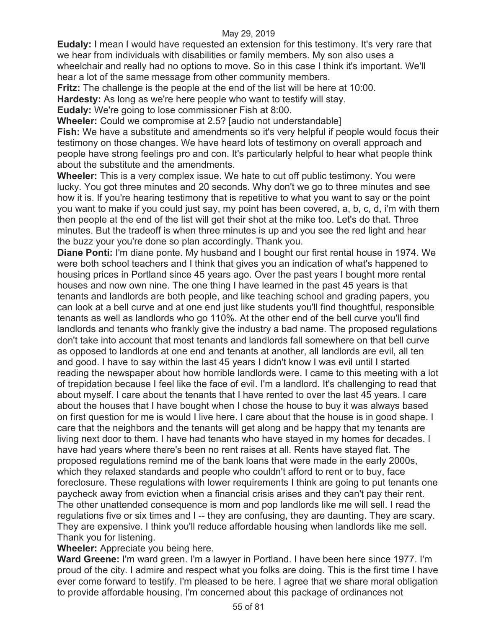**Eudaly:** I mean I would have requested an extension for this testimony. It's very rare that we hear from individuals with disabilities or family members. My son also uses a wheelchair and really had no options to move. So in this case I think it's important. We'll hear a lot of the same message from other community members.

**Fritz:** The challenge is the people at the end of the list will be here at 10:00.

**Hardesty:** As long as we're here people who want to testify will stay.

**Eudaly:** We're going to lose commissioner Fish at 8:00.

**Wheeler:** Could we compromise at 2.5? [audio not understandable]

**Fish:** We have a substitute and amendments so it's very helpful if people would focus their testimony on those changes. We have heard lots of testimony on overall approach and people have strong feelings pro and con. It's particularly helpful to hear what people think about the substitute and the amendments.

**Wheeler:** This is a very complex issue. We hate to cut off public testimony. You were lucky. You got three minutes and 20 seconds. Why don't we go to three minutes and see how it is. If you're hearing testimony that is repetitive to what you want to say or the point you want to make if you could just say, my point has been covered, a, b, c, d, i'm with them then people at the end of the list will get their shot at the mike too. Let's do that. Three minutes. But the tradeoff is when three minutes is up and you see the red light and hear the buzz your you're done so plan accordingly. Thank you.

**Diane Ponti:** I'm diane ponte. My husband and I bought our first rental house in 1974. We were both school teachers and I think that gives you an indication of what's happened to housing prices in Portland since 45 years ago. Over the past years I bought more rental houses and now own nine. The one thing I have learned in the past 45 years is that tenants and landlords are both people, and like teaching school and grading papers, you can look at a bell curve and at one end just like students you'll find thoughtful, responsible tenants as well as landlords who go 110%. At the other end of the bell curve you'll find landlords and tenants who frankly give the industry a bad name. The proposed regulations don't take into account that most tenants and landlords fall somewhere on that bell curve as opposed to landlords at one end and tenants at another, all landlords are evil, all ten and good. I have to say within the last 45 years I didn't know I was evil until I started reading the newspaper about how horrible landlords were. I came to this meeting with a lot of trepidation because I feel like the face of evil. I'm a landlord. It's challenging to read that about myself. I care about the tenants that I have rented to over the last 45 years. I care about the houses that I have bought when I chose the house to buy it was always based on first question for me is would I live here. I care about that the house is in good shape. I care that the neighbors and the tenants will get along and be happy that my tenants are living next door to them. I have had tenants who have stayed in my homes for decades. I have had years where there's been no rent raises at all. Rents have stayed flat. The proposed regulations remind me of the bank loans that were made in the early 2000s, which they relaxed standards and people who couldn't afford to rent or to buy, face foreclosure. These regulations with lower requirements I think are going to put tenants one paycheck away from eviction when a financial crisis arises and they can't pay their rent. The other unattended consequence is mom and pop landlords like me will sell. I read the regulations five or six times and I -- they are confusing, they are daunting. They are scary. They are expensive. I think you'll reduce affordable housing when landlords like me sell. Thank you for listening.

## **Wheeler:** Appreciate you being here.

**Ward Greene:** I'm ward green. I'm a lawyer in Portland. I have been here since 1977. I'm proud of the city. I admire and respect what you folks are doing. This is the first time I have ever come forward to testify. I'm pleased to be here. I agree that we share moral obligation to provide affordable housing. I'm concerned about this package of ordinances not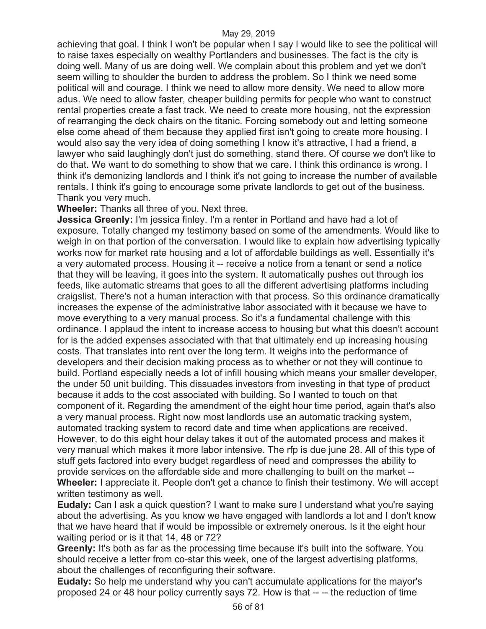achieving that goal. I think I won't be popular when I say I would like to see the political will to raise taxes especially on wealthy Portlanders and businesses. The fact is the city is doing well. Many of us are doing well. We complain about this problem and yet we don't seem willing to shoulder the burden to address the problem. So I think we need some political will and courage. I think we need to allow more density. We need to allow more adus. We need to allow faster, cheaper building permits for people who want to construct rental properties create a fast track. We need to create more housing, not the expression of rearranging the deck chairs on the titanic. Forcing somebody out and letting someone else come ahead of them because they applied first isn't going to create more housing. I would also say the very idea of doing something I know it's attractive, I had a friend, a lawyer who said laughingly don't just do something, stand there. Of course we don't like to do that. We want to do something to show that we care. I think this ordinance is wrong. I think it's demonizing landlords and I think it's not going to increase the number of available rentals. I think it's going to encourage some private landlords to get out of the business. Thank you very much.

**Wheeler:** Thanks all three of you. Next three.

**Jessica Greenly:** I'm jessica finley. I'm a renter in Portland and have had a lot of exposure. Totally changed my testimony based on some of the amendments. Would like to weigh in on that portion of the conversation. I would like to explain how advertising typically works now for market rate housing and a lot of affordable buildings as well. Essentially it's a very automated process. Housing it -- receive a notice from a tenant or send a notice that they will be leaving, it goes into the system. It automatically pushes out through ios feeds, like automatic streams that goes to all the different advertising platforms including craigslist. There's not a human interaction with that process. So this ordinance dramatically increases the expense of the administrative labor associated with it because we have to move everything to a very manual process. So it's a fundamental challenge with this ordinance. I applaud the intent to increase access to housing but what this doesn't account for is the added expenses associated with that that ultimately end up increasing housing costs. That translates into rent over the long term. It weighs into the performance of developers and their decision making process as to whether or not they will continue to build. Portland especially needs a lot of infill housing which means your smaller developer, the under 50 unit building. This dissuades investors from investing in that type of product because it adds to the cost associated with building. So I wanted to touch on that component of it. Regarding the amendment of the eight hour time period, again that's also a very manual process. Right now most landlords use an automatic tracking system, automated tracking system to record date and time when applications are received. However, to do this eight hour delay takes it out of the automated process and makes it very manual which makes it more labor intensive. The rfp is due june 28. All of this type of stuff gets factored into every budget regardless of need and compresses the ability to provide services on the affordable side and more challenging to built on the market -- **Wheeler:** I appreciate it. People don't get a chance to finish their testimony. We will accept written testimony as well.

**Eudaly:** Can I ask a quick question? I want to make sure I understand what you're saying about the advertising. As you know we have engaged with landlords a lot and I don't know that we have heard that if would be impossible or extremely onerous. Is it the eight hour waiting period or is it that 14, 48 or 72?

**Greenly:** It's both as far as the processing time because it's built into the software. You should receive a letter from co-star this week, one of the largest advertising platforms, about the challenges of reconfiguring their software.

**Eudaly:** So help me understand why you can't accumulate applications for the mayor's proposed 24 or 48 hour policy currently says 72. How is that -- -- the reduction of time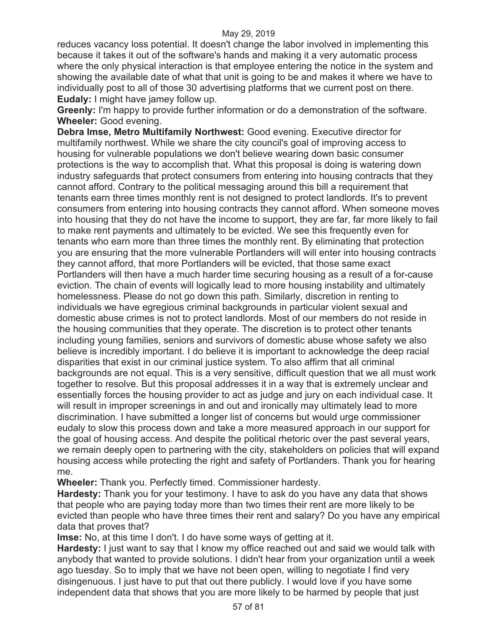reduces vacancy loss potential. It doesn't change the labor involved in implementing this because it takes it out of the software's hands and making it a very automatic process where the only physical interaction is that employee entering the notice in the system and showing the available date of what that unit is going to be and makes it where we have to individually post to all of those 30 advertising platforms that we current post on there. **Eudaly:** I might have jamey follow up.

**Greenly:** I'm happy to provide further information or do a demonstration of the software. **Wheeler:** Good evening.

**Debra Imse, Metro Multifamily Northwest:** Good evening. Executive director for multifamily northwest. While we share the city council's goal of improving access to housing for vulnerable populations we don't believe wearing down basic consumer protections is the way to accomplish that. What this proposal is doing is watering down industry safeguards that protect consumers from entering into housing contracts that they cannot afford. Contrary to the political messaging around this bill a requirement that tenants earn three times monthly rent is not designed to protect landlords. It's to prevent consumers from entering into housing contracts they cannot afford. When someone moves into housing that they do not have the income to support, they are far, far more likely to fail to make rent payments and ultimately to be evicted. We see this frequently even for tenants who earn more than three times the monthly rent. By eliminating that protection you are ensuring that the more vulnerable Portlanders will will enter into housing contracts they cannot afford, that more Portlanders will be evicted, that those same exact Portlanders will then have a much harder time securing housing as a result of a for-cause eviction. The chain of events will logically lead to more housing instability and ultimately homelessness. Please do not go down this path. Similarly, discretion in renting to individuals we have egregious criminal backgrounds in particular violent sexual and domestic abuse crimes is not to protect landlords. Most of our members do not reside in the housing communities that they operate. The discretion is to protect other tenants including young families, seniors and survivors of domestic abuse whose safety we also believe is incredibly important. I do believe it is important to acknowledge the deep racial disparities that exist in our criminal justice system. To also affirm that all criminal backgrounds are not equal. This is a very sensitive, difficult question that we all must work together to resolve. But this proposal addresses it in a way that is extremely unclear and essentially forces the housing provider to act as judge and jury on each individual case. It will result in improper screenings in and out and ironically may ultimately lead to more discrimination. I have submitted a longer list of concerns but would urge commissioner eudaly to slow this process down and take a more measured approach in our support for the goal of housing access. And despite the political rhetoric over the past several years, we remain deeply open to partnering with the city, stakeholders on policies that will expand housing access while protecting the right and safety of Portlanders. Thank you for hearing me.

**Wheeler:** Thank you. Perfectly timed. Commissioner hardesty.

**Hardesty:** Thank you for your testimony. I have to ask do you have any data that shows that people who are paying today more than two times their rent are more likely to be evicted than people who have three times their rent and salary? Do you have any empirical data that proves that?

**Imse:** No, at this time I don't. I do have some ways of getting at it.

**Hardesty:** I just want to say that I know my office reached out and said we would talk with anybody that wanted to provide solutions. I didn't hear from your organization until a week ago tuesday. So to imply that we have not been open, willing to negotiate I find very disingenuous. I just have to put that out there publicly. I would love if you have some independent data that shows that you are more likely to be harmed by people that just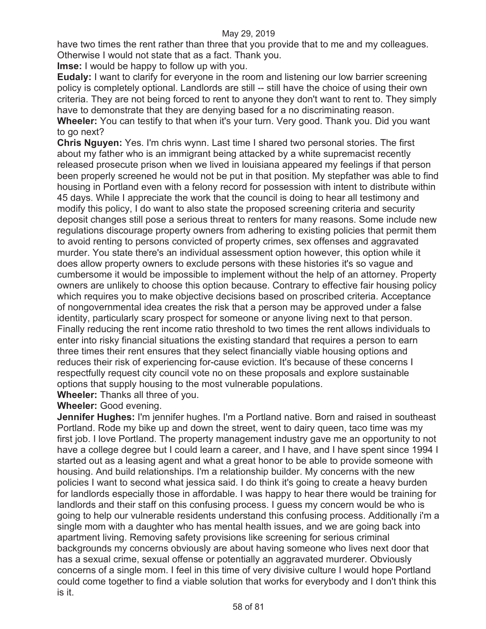have two times the rent rather than three that you provide that to me and my colleagues. Otherwise I would not state that as a fact. Thank you.

**Imse:** I would be happy to follow up with you.

**Eudaly:** I want to clarify for everyone in the room and listening our low barrier screening policy is completely optional. Landlords are still -- still have the choice of using their own criteria. They are not being forced to rent to anyone they don't want to rent to. They simply have to demonstrate that they are denying based for a no discriminating reason.

**Wheeler:** You can testify to that when it's your turn. Very good. Thank you. Did you want to go next?

**Chris Nguyen:** Yes. I'm chris wynn. Last time I shared two personal stories. The first about my father who is an immigrant being attacked by a white supremacist recently released prosecute prison when we lived in louisiana appeared my feelings if that person been properly screened he would not be put in that position. My stepfather was able to find housing in Portland even with a felony record for possession with intent to distribute within 45 days. While I appreciate the work that the council is doing to hear all testimony and modify this policy, I do want to also state the proposed screening criteria and security deposit changes still pose a serious threat to renters for many reasons. Some include new regulations discourage property owners from adhering to existing policies that permit them to avoid renting to persons convicted of property crimes, sex offenses and aggravated murder. You state there's an individual assessment option however, this option while it does allow property owners to exclude persons with these histories it's so vague and cumbersome it would be impossible to implement without the help of an attorney. Property owners are unlikely to choose this option because. Contrary to effective fair housing policy which requires you to make objective decisions based on proscribed criteria. Acceptance of nongovernmental idea creates the risk that a person may be approved under a false identity, particularly scary prospect for someone or anyone living next to that person. Finally reducing the rent income ratio threshold to two times the rent allows individuals to enter into risky financial situations the existing standard that requires a person to earn three times their rent ensures that they select financially viable housing options and reduces their risk of experiencing for-cause eviction. It's because of these concerns I respectfully request city council vote no on these proposals and explore sustainable options that supply housing to the most vulnerable populations.

**Wheeler:** Thanks all three of you.

**Wheeler:** Good evening.

**Jennifer Hughes:** I'm jennifer hughes. I'm a Portland native. Born and raised in southeast Portland. Rode my bike up and down the street, went to dairy queen, taco time was my first job. I love Portland. The property management industry gave me an opportunity to not have a college degree but I could learn a career, and I have, and I have spent since 1994 I started out as a leasing agent and what a great honor to be able to provide someone with housing. And build relationships. I'm a relationship builder. My concerns with the new policies I want to second what jessica said. I do think it's going to create a heavy burden for landlords especially those in affordable. I was happy to hear there would be training for landlords and their staff on this confusing process. I guess my concern would be who is going to help our vulnerable residents understand this confusing process. Additionally i'm a single mom with a daughter who has mental health issues, and we are going back into apartment living. Removing safety provisions like screening for serious criminal backgrounds my concerns obviously are about having someone who lives next door that has a sexual crime, sexual offense or potentially an aggravated murderer. Obviously concerns of a single mom. I feel in this time of very divisive culture I would hope Portland could come together to find a viable solution that works for everybody and I don't think this is it.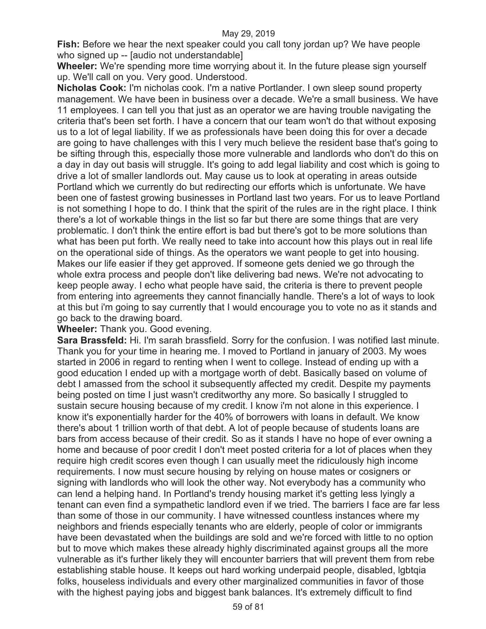**Fish:** Before we hear the next speaker could you call tony jordan up? We have people who signed up -- [audio not understandable]

**Wheeler:** We're spending more time worrying about it. In the future please sign yourself up. We'll call on you. Very good. Understood.

**Nicholas Cook:** I'm nicholas cook. I'm a native Portlander. I own sleep sound property management. We have been in business over a decade. We're a small business. We have 11 employees. I can tell you that just as an operator we are having trouble navigating the criteria that's been set forth. I have a concern that our team won't do that without exposing us to a lot of legal liability. If we as professionals have been doing this for over a decade are going to have challenges with this I very much believe the resident base that's going to be sifting through this, especially those more vulnerable and landlords who don't do this on a day in day out basis will struggle. It's going to add legal liability and cost which is going to drive a lot of smaller landlords out. May cause us to look at operating in areas outside Portland which we currently do but redirecting our efforts which is unfortunate. We have been one of fastest growing businesses in Portland last two years. For us to leave Portland is not something I hope to do. I think that the spirit of the rules are in the right place. I think there's a lot of workable things in the list so far but there are some things that are very problematic. I don't think the entire effort is bad but there's got to be more solutions than what has been put forth. We really need to take into account how this plays out in real life on the operational side of things. As the operators we want people to get into housing. Makes our life easier if they get approved. If someone gets denied we go through the whole extra process and people don't like delivering bad news. We're not advocating to keep people away. I echo what people have said, the criteria is there to prevent people from entering into agreements they cannot financially handle. There's a lot of ways to look at this but i'm going to say currently that I would encourage you to vote no as it stands and go back to the drawing board.

**Wheeler:** Thank you. Good evening.

**Sara Brassfeld:** Hi. I'm sarah brassfield. Sorry for the confusion. I was notified last minute. Thank you for your time in hearing me. I moved to Portland in january of 2003. My woes started in 2006 in regard to renting when I went to college. Instead of ending up with a good education I ended up with a mortgage worth of debt. Basically based on volume of debt I amassed from the school it subsequently affected my credit. Despite my payments being posted on time I just wasn't creditworthy any more. So basically I struggled to sustain secure housing because of my credit. I know i'm not alone in this experience. I know it's exponentially harder for the 40% of borrowers with loans in default. We know there's about 1 trillion worth of that debt. A lot of people because of students loans are bars from access because of their credit. So as it stands I have no hope of ever owning a home and because of poor credit I don't meet posted criteria for a lot of places when they require high credit scores even though I can usually meet the ridiculously high income requirements. I now must secure housing by relying on house mates or cosigners or signing with landlords who will look the other way. Not everybody has a community who can lend a helping hand. In Portland's trendy housing market it's getting less lyingly a tenant can even find a sympathetic landlord even if we tried. The barriers I face are far less than some of those in our community. I have witnessed countless instances where my neighbors and friends especially tenants who are elderly, people of color or immigrants have been devastated when the buildings are sold and we're forced with little to no option but to move which makes these already highly discriminated against groups all the more vulnerable as it's further likely they will encounter barriers that will prevent them from rebe establishing stable house. It keeps out hard working underpaid people, disabled, lgbtqia folks, houseless individuals and every other marginalized communities in favor of those with the highest paying jobs and biggest bank balances. It's extremely difficult to find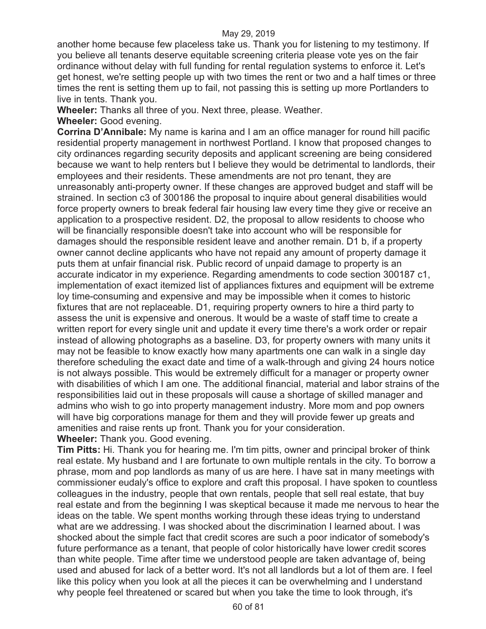another home because few placeless take us. Thank you for listening to my testimony. If you believe all tenants deserve equitable screening criteria please vote yes on the fair ordinance without delay with full funding for rental regulation systems to enforce it. Let's get honest, we're setting people up with two times the rent or two and a half times or three times the rent is setting them up to fail, not passing this is setting up more Portlanders to live in tents. Thank you.

**Wheeler:** Thanks all three of you. Next three, please. Weather.

**Wheeler:** Good evening.

**Corrina D'Annibale:** My name is karina and I am an office manager for round hill pacific residential property management in northwest Portland. I know that proposed changes to city ordinances regarding security deposits and applicant screening are being considered because we want to help renters but I believe they would be detrimental to landlords, their employees and their residents. These amendments are not pro tenant, they are unreasonably anti-property owner. If these changes are approved budget and staff will be strained. In section c3 of 300186 the proposal to inquire about general disabilities would force property owners to break federal fair housing law every time they give or receive an application to a prospective resident. D2, the proposal to allow residents to choose who will be financially responsible doesn't take into account who will be responsible for damages should the responsible resident leave and another remain. D1 b, if a property owner cannot decline applicants who have not repaid any amount of property damage it puts them at unfair financial risk. Public record of unpaid damage to property is an accurate indicator in my experience. Regarding amendments to code section 300187 c1, implementation of exact itemized list of appliances fixtures and equipment will be extreme loy time-consuming and expensive and may be impossible when it comes to historic fixtures that are not replaceable. D1, requiring property owners to hire a third party to assess the unit is expensive and onerous. It would be a waste of staff time to create a written report for every single unit and update it every time there's a work order or repair instead of allowing photographs as a baseline. D3, for property owners with many units it may not be feasible to know exactly how many apartments one can walk in a single day therefore scheduling the exact date and time of a walk-through and giving 24 hours notice is not always possible. This would be extremely difficult for a manager or property owner with disabilities of which I am one. The additional financial, material and labor strains of the responsibilities laid out in these proposals will cause a shortage of skilled manager and admins who wish to go into property management industry. More mom and pop owners will have big corporations manage for them and they will provide fewer up greats and amenities and raise rents up front. Thank you for your consideration.

**Wheeler:** Thank you. Good evening.

**Tim Pitts:** Hi. Thank you for hearing me. I'm tim pitts, owner and principal broker of think real estate. My husband and I are fortunate to own multiple rentals in the city. To borrow a phrase, mom and pop landlords as many of us are here. I have sat in many meetings with commissioner eudaly's office to explore and craft this proposal. I have spoken to countless colleagues in the industry, people that own rentals, people that sell real estate, that buy real estate and from the beginning I was skeptical because it made me nervous to hear the ideas on the table. We spent months working through these ideas trying to understand what are we addressing. I was shocked about the discrimination I learned about. I was shocked about the simple fact that credit scores are such a poor indicator of somebody's future performance as a tenant, that people of color historically have lower credit scores than white people. Time after time we understood people are taken advantage of, being used and abused for lack of a better word. It's not all landlords but a lot of them are. I feel like this policy when you look at all the pieces it can be overwhelming and I understand why people feel threatened or scared but when you take the time to look through, it's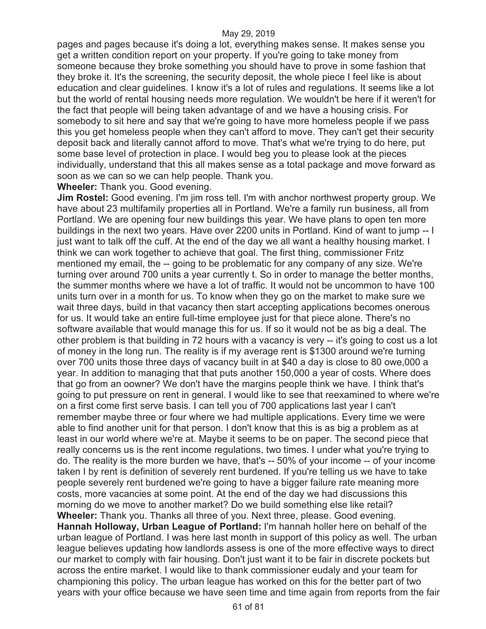pages and pages because it's doing a lot, everything makes sense. It makes sense you get a written condition report on your property. If you're going to take money from someone because they broke something you should have to prove in some fashion that they broke it. It's the screening, the security deposit, the whole piece I feel like is about education and clear guidelines. I know it's a lot of rules and regulations. It seems like a lot but the world of rental housing needs more regulation. We wouldn't be here if it weren't for the fact that people will being taken advantage of and we have a housing crisis. For somebody to sit here and say that we're going to have more homeless people if we pass this you get homeless people when they can't afford to move. They can't get their security deposit back and literally cannot afford to move. That's what we're trying to do here, put some base level of protection in place. I would beg you to please look at the pieces individually, understand that this all makes sense as a total package and move forward as soon as we can so we can help people. Thank you.

**Wheeler:** Thank you. Good evening.

**Jim Rostel:** Good evening. I'm jim ross tell. I'm with anchor northwest property group. We have about 23 multifamily properties all in Portland. We're a family run business, all from Portland. We are opening four new buildings this year. We have plans to open ten more buildings in the next two years. Have over 2200 units in Portland. Kind of want to jump -- I just want to talk off the cuff. At the end of the day we all want a healthy housing market. I think we can work together to achieve that goal. The first thing, commissioner Fritz mentioned my email, the -- going to be problematic for any company of any size. We're turning over around 700 units a year currently t. So in order to manage the better months, the summer months where we have a lot of traffic. It would not be uncommon to have 100 units turn over in a month for us. To know when they go on the market to make sure we wait three days, build in that vacancy then start accepting applications becomes onerous for us. It would take an entire full-time employee just for that piece alone. There's no software available that would manage this for us. If so it would not be as big a deal. The other problem is that building in 72 hours with a vacancy is very -- it's going to cost us a lot of money in the long run. The reality is if my average rent is \$1300 around we're turning over 700 units those three days of vacancy built in at \$40 a day is close to 80 owe,000 a year. In addition to managing that that puts another 150,000 a year of costs. Where does that go from an oowner? We don't have the margins people think we have. I think that's going to put pressure on rent in general. I would like to see that reexamined to where we're on a first come first serve basis. I can tell you of 700 applications last year I can't remember maybe three or four where we had multiple applications. Every time we were able to find another unit for that person. I don't know that this is as big a problem as at least in our world where we're at. Maybe it seems to be on paper. The second piece that really concerns us is the rent income regulations, two times. I under what you're trying to do. The reality is the more burden we have, that's -- 50% of your income -- of your income taken I by rent is definition of severely rent burdened. If you're telling us we have to take people severely rent burdened we're going to have a bigger failure rate meaning more costs, more vacancies at some point. At the end of the day we had discussions this morning do we move to another market? Do we build something else like retail? **Wheeler:** Thank you. Thanks all three of you. Next three, please. Good evening. **Hannah Holloway, Urban League of Portland:** I'm hannah holler here on behalf of the urban league of Portland. I was here last month in support of this policy as well. The urban league believes updating how landlords assess is one of the more effective ways to direct our market to comply with fair housing. Don't just want it to be fair in discrete pockets but across the entire market. I would like to thank commissioner eudaly and your team for championing this policy. The urban league has worked on this for the better part of two years with your office because we have seen time and time again from reports from the fair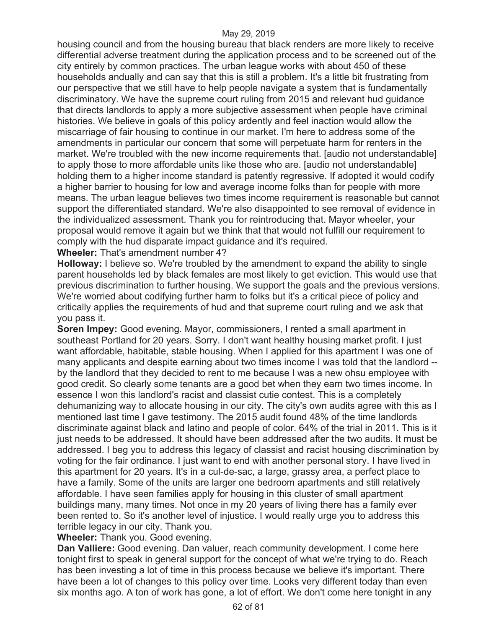housing council and from the housing bureau that black renders are more likely to receive differential adverse treatment during the application process and to be screened out of the city entirely by common practices. The urban league works with about 450 of these households andually and can say that this is still a problem. It's a little bit frustrating from our perspective that we still have to help people navigate a system that is fundamentally discriminatory. We have the supreme court ruling from 2015 and relevant hud guidance that directs landlords to apply a more subjective assessment when people have criminal histories. We believe in goals of this policy ardently and feel inaction would allow the miscarriage of fair housing to continue in our market. I'm here to address some of the amendments in particular our concern that some will perpetuate harm for renters in the market. We're troubled with the new income requirements that. [audio not understandable] to apply those to more affordable units like those who are. [audio not understandable] holding them to a higher income standard is patently regressive. If adopted it would codify a higher barrier to housing for low and average income folks than for people with more means. The urban league believes two times income requirement is reasonable but cannot support the differentiated standard. We're also disappointed to see removal of evidence in the individualized assessment. Thank you for reintroducing that. Mayor wheeler, your proposal would remove it again but we think that that would not fulfill our requirement to comply with the hud disparate impact guidance and it's required.

**Wheeler:** That's amendment number 4?

**Holloway:** I believe so. We're troubled by the amendment to expand the ability to single parent households led by black females are most likely to get eviction. This would use that previous discrimination to further housing. We support the goals and the previous versions. We're worried about codifying further harm to folks but it's a critical piece of policy and critically applies the requirements of hud and that supreme court ruling and we ask that you pass it.

**Soren Impey:** Good evening. Mayor, commissioners, I rented a small apartment in southeast Portland for 20 years. Sorry. I don't want healthy housing market profit. I just want affordable, habitable, stable housing. When I applied for this apartment I was one of many applicants and despite earning about two times income I was told that the landlord - by the landlord that they decided to rent to me because I was a new ohsu employee with good credit. So clearly some tenants are a good bet when they earn two times income. In essence I won this landlord's racist and classist cutie contest. This is a completely dehumanizing way to allocate housing in our city. The city's own audits agree with this as I mentioned last time I gave testimony. The 2015 audit found 48% of the time landlords discriminate against black and latino and people of color. 64% of the trial in 2011. This is it just needs to be addressed. It should have been addressed after the two audits. It must be addressed. I beg you to address this legacy of classist and racist housing discrimination by voting for the fair ordinance. I just want to end with another personal story. I have lived in this apartment for 20 years. It's in a cul-de-sac, a large, grassy area, a perfect place to have a family. Some of the units are larger one bedroom apartments and still relatively affordable. I have seen families apply for housing in this cluster of small apartment buildings many, many times. Not once in my 20 years of living there has a family ever been rented to. So it's another level of injustice. I would really urge you to address this terrible legacy in our city. Thank you.

**Wheeler:** Thank you. Good evening.

**Dan Valliere:** Good evening. Dan valuer, reach community development. I come here tonight first to speak in general support for the concept of what we're trying to do. Reach has been investing a lot of time in this process because we believe it's important. There have been a lot of changes to this policy over time. Looks very different today than even six months ago. A ton of work has gone, a lot of effort. We don't come here tonight in any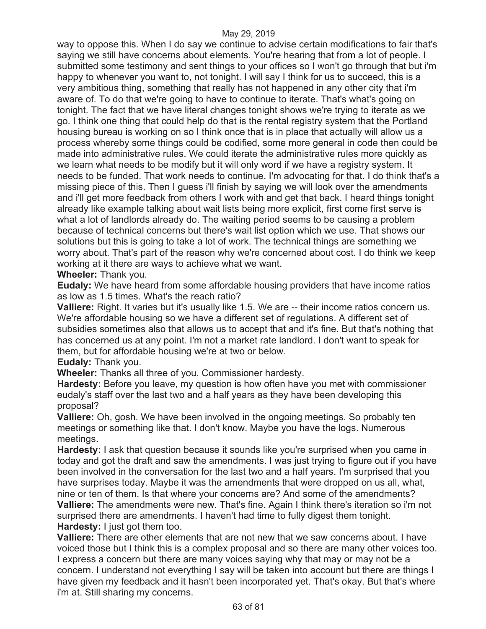way to oppose this. When I do say we continue to advise certain modifications to fair that's saying we still have concerns about elements. You're hearing that from a lot of people. I submitted some testimony and sent things to your offices so I won't go through that but i'm happy to whenever you want to, not tonight. I will say I think for us to succeed, this is a very ambitious thing, something that really has not happened in any other city that i'm aware of. To do that we're going to have to continue to iterate. That's what's going on tonight. The fact that we have literal changes tonight shows we're trying to iterate as we go. I think one thing that could help do that is the rental registry system that the Portland housing bureau is working on so I think once that is in place that actually will allow us a process whereby some things could be codified, some more general in code then could be made into administrative rules. We could iterate the administrative rules more quickly as we learn what needs to be modify but it will only word if we have a registry system. It needs to be funded. That work needs to continue. I'm advocating for that. I do think that's a missing piece of this. Then I guess i'll finish by saying we will look over the amendments and i'll get more feedback from others I work with and get that back. I heard things tonight already like example talking about wait lists being more explicit, first come first serve is what a lot of landlords already do. The waiting period seems to be causing a problem because of technical concerns but there's wait list option which we use. That shows our solutions but this is going to take a lot of work. The technical things are something we worry about. That's part of the reason why we're concerned about cost. I do think we keep working at it there are ways to achieve what we want.

**Wheeler:** Thank you.

**Eudaly:** We have heard from some affordable housing providers that have income ratios as low as 1.5 times. What's the reach ratio?

**Valliere:** Right. It varies but it's usually like 1.5. We are -- their income ratios concern us. We're affordable housing so we have a different set of regulations. A different set of subsidies sometimes also that allows us to accept that and it's fine. But that's nothing that has concerned us at any point. I'm not a market rate landlord. I don't want to speak for them, but for affordable housing we're at two or below.

**Eudaly:** Thank you.

**Wheeler:** Thanks all three of you. Commissioner hardesty.

**Hardesty:** Before you leave, my question is how often have you met with commissioner eudaly's staff over the last two and a half years as they have been developing this proposal?

**Valliere:** Oh, gosh. We have been involved in the ongoing meetings. So probably ten meetings or something like that. I don't know. Maybe you have the logs. Numerous meetings.

**Hardesty:** I ask that question because it sounds like you're surprised when you came in today and got the draft and saw the amendments. I was just trying to figure out if you have been involved in the conversation for the last two and a half years. I'm surprised that you have surprises today. Maybe it was the amendments that were dropped on us all, what, nine or ten of them. Is that where your concerns are? And some of the amendments? **Valliere:** The amendments were new. That's fine. Again I think there's iteration so i'm not surprised there are amendments. I haven't had time to fully digest them tonight. **Hardesty:** I just got them too.

**Valliere:** There are other elements that are not new that we saw concerns about. I have voiced those but I think this is a complex proposal and so there are many other voices too. I express a concern but there are many voices saying why that may or may not be a concern. I understand not everything I say will be taken into account but there are things I have given my feedback and it hasn't been incorporated yet. That's okay. But that's where i'm at. Still sharing my concerns.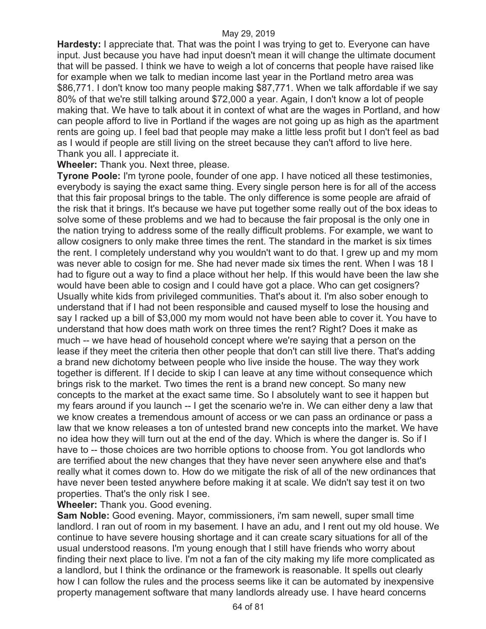**Hardesty:** I appreciate that. That was the point I was trying to get to. Everyone can have input. Just because you have had input doesn't mean it will change the ultimate document that will be passed. I think we have to weigh a lot of concerns that people have raised like for example when we talk to median income last year in the Portland metro area was \$86,771. I don't know too many people making \$87,771. When we talk affordable if we say 80% of that we're still talking around \$72,000 a year. Again, I don't know a lot of people making that. We have to talk about it in context of what are the wages in Portland, and how can people afford to live in Portland if the wages are not going up as high as the apartment rents are going up. I feel bad that people may make a little less profit but I don't feel as bad as I would if people are still living on the street because they can't afford to live here. Thank you all. I appreciate it.

**Wheeler:** Thank you. Next three, please.

**Tyrone Poole:** I'm tyrone poole, founder of one app. I have noticed all these testimonies, everybody is saying the exact same thing. Every single person here is for all of the access that this fair proposal brings to the table. The only difference is some people are afraid of the risk that it brings. It's because we have put together some really out of the box ideas to solve some of these problems and we had to because the fair proposal is the only one in the nation trying to address some of the really difficult problems. For example, we want to allow cosigners to only make three times the rent. The standard in the market is six times the rent. I completely understand why you wouldn't want to do that. I grew up and my mom was never able to cosign for me. She had never made six times the rent. When I was 18 I had to figure out a way to find a place without her help. If this would have been the law she would have been able to cosign and I could have got a place. Who can get cosigners? Usually white kids from privileged communities. That's about it. I'm also sober enough to understand that if I had not been responsible and caused myself to lose the housing and say I racked up a bill of \$3,000 my mom would not have been able to cover it. You have to understand that how does math work on three times the rent? Right? Does it make as much -- we have head of household concept where we're saying that a person on the lease if they meet the criteria then other people that don't can still live there. That's adding a brand new dichotomy between people who live inside the house. The way they work together is different. If I decide to skip I can leave at any time without consequence which brings risk to the market. Two times the rent is a brand new concept. So many new concepts to the market at the exact same time. So I absolutely want to see it happen but my fears around if you launch -- I get the scenario we're in. We can either deny a law that we know creates a tremendous amount of access or we can pass an ordinance or pass a law that we know releases a ton of untested brand new concepts into the market. We have no idea how they will turn out at the end of the day. Which is where the danger is. So if I have to -- those choices are two horrible options to choose from. You got landlords who are terrified about the new changes that they have never seen anywhere else and that's really what it comes down to. How do we mitigate the risk of all of the new ordinances that have never been tested anywhere before making it at scale. We didn't say test it on two properties. That's the only risk I see.

**Wheeler:** Thank you. Good evening.

**Sam Noble:** Good evening. Mayor, commissioners, i'm sam newell, super small time landlord. I ran out of room in my basement. I have an adu, and I rent out my old house. We continue to have severe housing shortage and it can create scary situations for all of the usual understood reasons. I'm young enough that I still have friends who worry about finding their next place to live. I'm not a fan of the city making my life more complicated as a landlord, but I think the ordinance or the framework is reasonable. It spells out clearly how I can follow the rules and the process seems like it can be automated by inexpensive property management software that many landlords already use. I have heard concerns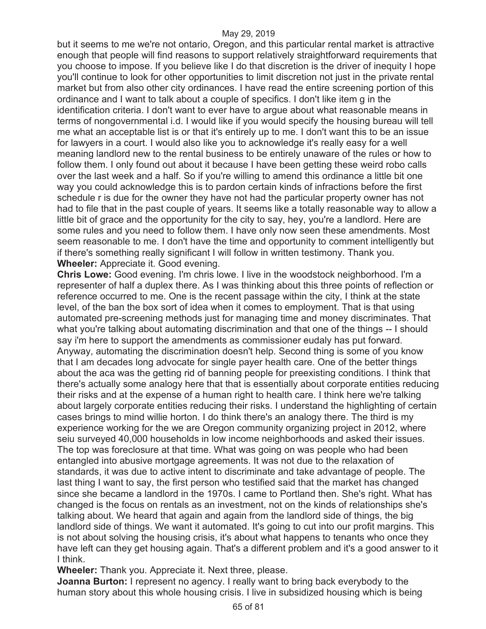but it seems to me we're not ontario, Oregon, and this particular rental market is attractive enough that people will find reasons to support relatively straightforward requirements that you choose to impose. If you believe like I do that discretion is the driver of inequity I hope you'll continue to look for other opportunities to limit discretion not just in the private rental market but from also other city ordinances. I have read the entire screening portion of this ordinance and I want to talk about a couple of specifics. I don't like item g in the identification criteria. I don't want to ever have to argue about what reasonable means in terms of nongovernmental i.d. I would like if you would specify the housing bureau will tell me what an acceptable list is or that it's entirely up to me. I don't want this to be an issue for lawyers in a court. I would also like you to acknowledge it's really easy for a well meaning landlord new to the rental business to be entirely unaware of the rules or how to follow them. I only found out about it because I have been getting these weird robo calls over the last week and a half. So if you're willing to amend this ordinance a little bit one way you could acknowledge this is to pardon certain kinds of infractions before the first schedule r is due for the owner they have not had the particular property owner has not had to file that in the past couple of years. It seems like a totally reasonable way to allow a little bit of grace and the opportunity for the city to say, hey, you're a landlord. Here are some rules and you need to follow them. I have only now seen these amendments. Most seem reasonable to me. I don't have the time and opportunity to comment intelligently but if there's something really significant I will follow in written testimony. Thank you. **Wheeler:** Appreciate it. Good evening.

**Chris Lowe:** Good evening. I'm chris lowe. I live in the woodstock neighborhood. I'm a representer of half a duplex there. As I was thinking about this three points of reflection or reference occurred to me. One is the recent passage within the city, I think at the state level, of the ban the box sort of idea when it comes to employment. That is that using automated pre-screening methods just for managing time and money discriminates. That what you're talking about automating discrimination and that one of the things -- I should say i'm here to support the amendments as commissioner eudaly has put forward. Anyway, automating the discrimination doesn't help. Second thing is some of you know that I am decades long advocate for single payer health care. One of the better things about the aca was the getting rid of banning people for preexisting conditions. I think that there's actually some analogy here that that is essentially about corporate entities reducing their risks and at the expense of a human right to health care. I think here we're talking about largely corporate entities reducing their risks. I understand the highlighting of certain cases brings to mind willie horton. I do think there's an analogy there. The third is my experience working for the we are Oregon community organizing project in 2012, where seiu surveyed 40,000 households in low income neighborhoods and asked their issues. The top was foreclosure at that time. What was going on was people who had been entangled into abusive mortgage agreements. It was not due to the relaxation of standards, it was due to active intent to discriminate and take advantage of people. The last thing I want to say, the first person who testified said that the market has changed since she became a landlord in the 1970s. I came to Portland then. She's right. What has changed is the focus on rentals as an investment, not on the kinds of relationships she's talking about. We heard that again and again from the landlord side of things, the big landlord side of things. We want it automated. It's going to cut into our profit margins. This is not about solving the housing crisis, it's about what happens to tenants who once they have left can they get housing again. That's a different problem and it's a good answer to it I think.

**Wheeler:** Thank you. Appreciate it. Next three, please.

**Joanna Burton:** I represent no agency. I really want to bring back everybody to the human story about this whole housing crisis. I live in subsidized housing which is being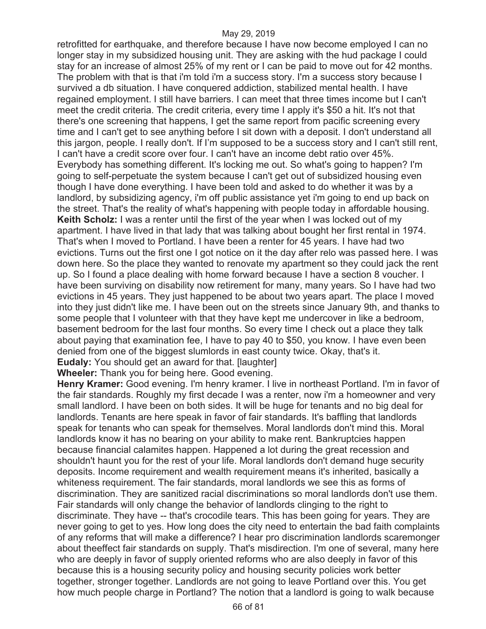retrofitted for earthquake, and therefore because I have now become employed I can no longer stay in my subsidized housing unit. They are asking with the hud package I could stay for an increase of almost 25% of my rent or I can be paid to move out for 42 months. The problem with that is that i'm told i'm a success story. I'm a success story because I survived a db situation. I have conquered addiction, stabilized mental health. I have regained employment. I still have barriers. I can meet that three times income but I can't meet the credit criteria. The credit criteria, every time I apply it's \$50 a hit. It's not that there's one screening that happens, I get the same report from pacific screening every time and I can't get to see anything before I sit down with a deposit. I don't understand all this jargon, people. I really don't. If I'm supposed to be a success story and I can't still rent, I can't have a credit score over four. I can't have an income debt ratio over 45%. Everybody has something different. It's locking me out. So what's going to happen? I'm going to self-perpetuate the system because I can't get out of subsidized housing even though I have done everything. I have been told and asked to do whether it was by a landlord, by subsidizing agency, i'm off public assistance yet i'm going to end up back on the street. That's the reality of what's happening with people today in affordable housing. **Keith Scholz:** I was a renter until the first of the year when I was locked out of my apartment. I have lived in that lady that was talking about bought her first rental in 1974. That's when I moved to Portland. I have been a renter for 45 years. I have had two evictions. Turns out the first one I got notice on it the day after relo was passed here. I was down here. So the place they wanted to renovate my apartment so they could jack the rent up. So I found a place dealing with home forward because I have a section 8 voucher. I have been surviving on disability now retirement for many, many years. So I have had two evictions in 45 years. They just happened to be about two years apart. The place I moved into they just didn't like me. I have been out on the streets since January 9th, and thanks to some people that I volunteer with that they have kept me undercover in like a bedroom, basement bedroom for the last four months. So every time I check out a place they talk about paying that examination fee, I have to pay 40 to \$50, you know. I have even been denied from one of the biggest slumlords in east county twice. Okay, that's it. **Eudaly:** You should get an award for that. [laughter]

**Wheeler:** Thank you for being here. Good evening.

**Henry Kramer:** Good evening. I'm henry kramer. I live in northeast Portland. I'm in favor of the fair standards. Roughly my first decade I was a renter, now i'm a homeowner and very small landlord. I have been on both sides. It will be huge for tenants and no big deal for landlords. Tenants are here speak in favor of fair standards. It's baffling that landlords speak for tenants who can speak for themselves. Moral landlords don't mind this. Moral landlords know it has no bearing on your ability to make rent. Bankruptcies happen because financial calamites happen. Happened a lot during the great recession and shouldn't haunt you for the rest of your life. Moral landlords don't demand huge security deposits. Income requirement and wealth requirement means it's inherited, basically a whiteness requirement. The fair standards, moral landlords we see this as forms of discrimination. They are sanitized racial discriminations so moral landlords don't use them. Fair standards will only change the behavior of landlords clinging to the right to discriminate. They have -- that's crocodile tears. This has been going for years. They are never going to get to yes. How long does the city need to entertain the bad faith complaints of any reforms that will make a difference? I hear pro discrimination landlords scaremonger about theeffect fair standards on supply. That's misdirection. I'm one of several, many here who are deeply in favor of supply oriented reforms who are also deeply in favor of this because this is a housing security policy and housing security policies work better together, stronger together. Landlords are not going to leave Portland over this. You get how much people charge in Portland? The notion that a landlord is going to walk because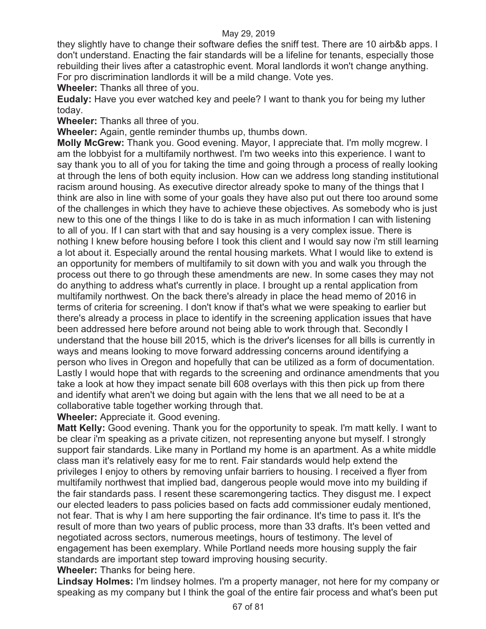they slightly have to change their software defies the sniff test. There are 10 airb&b apps. I don't understand. Enacting the fair standards will be a lifeline for tenants, especially those rebuilding their lives after a catastrophic event. Moral landlords it won't change anything. For pro discrimination landlords it will be a mild change. Vote yes.

**Wheeler:** Thanks all three of you.

**Eudaly:** Have you ever watched key and peele? I want to thank you for being my luther today.

**Wheeler:** Thanks all three of you.

**Wheeler:** Again, gentle reminder thumbs up, thumbs down.

**Molly McGrew:** Thank you. Good evening. Mayor, I appreciate that. I'm molly mcgrew. I am the lobbyist for a multifamily northwest. I'm two weeks into this experience. I want to say thank you to all of you for taking the time and going through a process of really looking at through the lens of both equity inclusion. How can we address long standing institutional racism around housing. As executive director already spoke to many of the things that I think are also in line with some of your goals they have also put out there too around some of the challenges in which they have to achieve these objectives. As somebody who is just new to this one of the things I like to do is take in as much information I can with listening to all of you. If I can start with that and say housing is a very complex issue. There is nothing I knew before housing before I took this client and I would say now i'm still learning a lot about it. Especially around the rental housing markets. What I would like to extend is an opportunity for members of multifamily to sit down with you and walk you through the process out there to go through these amendments are new. In some cases they may not do anything to address what's currently in place. I brought up a rental application from multifamily northwest. On the back there's already in place the head memo of 2016 in terms of criteria for screening. I don't know if that's what we were speaking to earlier but there's already a process in place to identify in the screening application issues that have been addressed here before around not being able to work through that. Secondly I understand that the house bill 2015, which is the driver's licenses for all bills is currently in ways and means looking to move forward addressing concerns around identifying a person who lives in Oregon and hopefully that can be utilized as a form of documentation. Lastly I would hope that with regards to the screening and ordinance amendments that you take a look at how they impact senate bill 608 overlays with this then pick up from there and identify what aren't we doing but again with the lens that we all need to be at a collaborative table together working through that.

## **Wheeler:** Appreciate it. Good evening.

**Matt Kelly:** Good evening. Thank you for the opportunity to speak. I'm matt kelly. I want to be clear i'm speaking as a private citizen, not representing anyone but myself. I strongly support fair standards. Like many in Portland my home is an apartment. As a white middle class man it's relatively easy for me to rent. Fair standards would help extend the privileges I enjoy to others by removing unfair barriers to housing. I received a flyer from multifamily northwest that implied bad, dangerous people would move into my building if the fair standards pass. I resent these scaremongering tactics. They disgust me. I expect our elected leaders to pass policies based on facts add commissioner eudaly mentioned, not fear. That is why I am here supporting the fair ordinance. It's time to pass it. It's the result of more than two years of public process, more than 33 drafts. It's been vetted and negotiated across sectors, numerous meetings, hours of testimony. The level of engagement has been exemplary. While Portland needs more housing supply the fair standards are important step toward improving housing security.

**Wheeler:** Thanks for being here.

**Lindsay Holmes:** I'm lindsey holmes. I'm a property manager, not here for my company or speaking as my company but I think the goal of the entire fair process and what's been put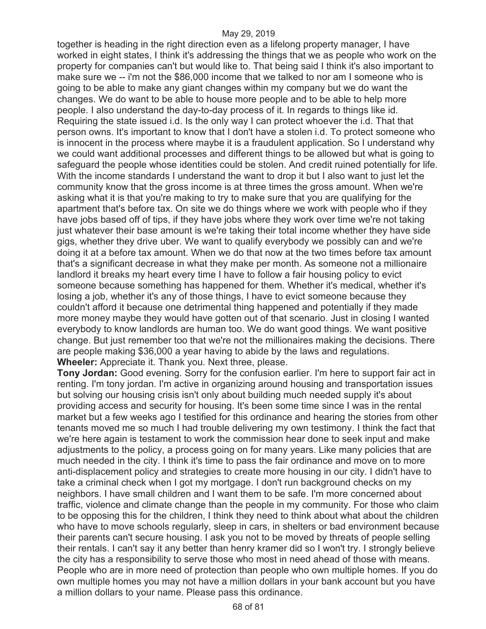together is heading in the right direction even as a lifelong property manager, I have worked in eight states, I think it's addressing the things that we as people who work on the property for companies can't but would like to. That being said I think it's also important to make sure we -- i'm not the \$86,000 income that we talked to nor am I someone who is going to be able to make any giant changes within my company but we do want the changes. We do want to be able to house more people and to be able to help more people. I also understand the day-to-day process of it. In regards to things like id. Requiring the state issued i.d. Is the only way I can protect whoever the i.d. That that person owns. It's important to know that I don't have a stolen i.d. To protect someone who is innocent in the process where maybe it is a fraudulent application. So I understand why we could want additional processes and different things to be allowed but what is going to safeguard the people whose identities could be stolen. And credit ruined potentially for life. With the income standards I understand the want to drop it but I also want to just let the community know that the gross income is at three times the gross amount. When we're asking what it is that you're making to try to make sure that you are qualifying for the apartment that's before tax. On site we do things where we work with people who if they have jobs based off of tips, if they have jobs where they work over time we're not taking just whatever their base amount is we're taking their total income whether they have side gigs, whether they drive uber. We want to qualify everybody we possibly can and we're doing it at a before tax amount. When we do that now at the two times before tax amount that's a significant decrease in what they make per month. As someone not a millionaire landlord it breaks my heart every time I have to follow a fair housing policy to evict someone because something has happened for them. Whether it's medical, whether it's losing a job, whether it's any of those things, I have to evict someone because they couldn't afford it because one detrimental thing happened and potentially if they made more money maybe they would have gotten out of that scenario. Just in closing I wanted everybody to know landlords are human too. We do want good things. We want positive change. But just remember too that we're not the millionaires making the decisions. There are people making \$36,000 a year having to abide by the laws and regulations. **Wheeler:** Appreciate it. Thank you. Next three, please.

**Tony Jordan:** Good evening. Sorry for the confusion earlier. I'm here to support fair act in renting. I'm tony jordan. I'm active in organizing around housing and transportation issues but solving our housing crisis isn't only about building much needed supply it's about providing access and security for housing. It's been some time since I was in the rental market but a few weeks ago I testified for this ordinance and hearing the stories from other tenants moved me so much I had trouble delivering my own testimony. I think the fact that we're here again is testament to work the commission hear done to seek input and make adjustments to the policy, a process going on for many years. Like many policies that are much needed in the city. I think it's time to pass the fair ordinance and move on to more anti-displacement policy and strategies to create more housing in our city. I didn't have to take a criminal check when I got my mortgage. I don't run background checks on my neighbors. I have small children and I want them to be safe. I'm more concerned about traffic, violence and climate change than the people in my community. For those who claim to be opposing this for the children, I think they need to think about what about the children who have to move schools regularly, sleep in cars, in shelters or bad environment because their parents can't secure housing. I ask you not to be moved by threats of people selling their rentals. I can't say it any better than henry kramer did so I won't try. I strongly believe the city has a responsibility to serve those who most in need ahead of those with means. People who are in more need of protection than people who own multiple homes. If you do own multiple homes you may not have a million dollars in your bank account but you have a million dollars to your name. Please pass this ordinance.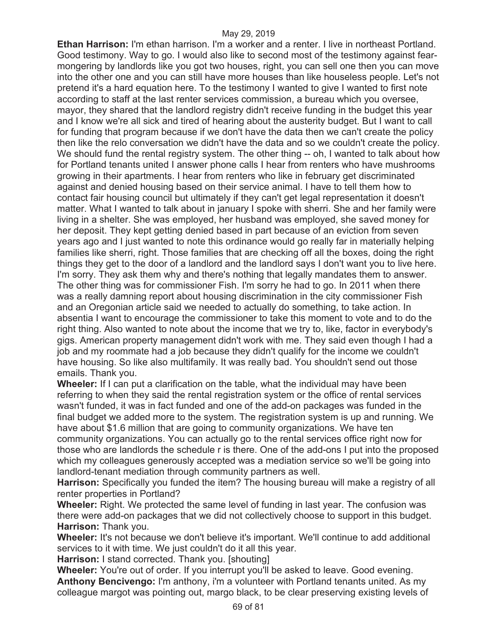**Ethan Harrison:** I'm ethan harrison. I'm a worker and a renter. I live in northeast Portland. Good testimony. Way to go. I would also like to second most of the testimony against fearmongering by landlords like you got two houses, right, you can sell one then you can move into the other one and you can still have more houses than like houseless people. Let's not pretend it's a hard equation here. To the testimony I wanted to give I wanted to first note according to staff at the last renter services commission, a bureau which you oversee, mayor, they shared that the landlord registry didn't receive funding in the budget this year and I know we're all sick and tired of hearing about the austerity budget. But I want to call for funding that program because if we don't have the data then we can't create the policy then like the relo conversation we didn't have the data and so we couldn't create the policy. We should fund the rental registry system. The other thing -- oh, I wanted to talk about how for Portland tenants united I answer phone calls I hear from renters who have mushrooms growing in their apartments. I hear from renters who like in february get discriminated against and denied housing based on their service animal. I have to tell them how to contact fair housing council but ultimately if they can't get legal representation it doesn't matter. What I wanted to talk about in january I spoke with sherri. She and her family were living in a shelter. She was employed, her husband was employed, she saved money for her deposit. They kept getting denied based in part because of an eviction from seven years ago and I just wanted to note this ordinance would go really far in materially helping families like sherri, right. Those families that are checking off all the boxes, doing the right things they get to the door of a landlord and the landlord says I don't want you to live here. I'm sorry. They ask them why and there's nothing that legally mandates them to answer. The other thing was for commissioner Fish. I'm sorry he had to go. In 2011 when there was a really damning report about housing discrimination in the city commissioner Fish and an Oregonian article said we needed to actually do something, to take action. In absentia I want to encourage the commissioner to take this moment to vote and to do the right thing. Also wanted to note about the income that we try to, like, factor in everybody's gigs. American property management didn't work with me. They said even though I had a job and my roommate had a job because they didn't qualify for the income we couldn't have housing. So like also multifamily. It was really bad. You shouldn't send out those emails. Thank you.

**Wheeler:** If I can put a clarification on the table, what the individual may have been referring to when they said the rental registration system or the office of rental services wasn't funded, it was in fact funded and one of the add-on packages was funded in the final budget we added more to the system. The registration system is up and running. We have about \$1.6 million that are going to community organizations. We have ten community organizations. You can actually go to the rental services office right now for those who are landlords the schedule r is there. One of the add-ons I put into the proposed which my colleagues generously accepted was a mediation service so we'll be going into landlord-tenant mediation through community partners as well.

**Harrison:** Specifically you funded the item? The housing bureau will make a registry of all renter properties in Portland?

**Wheeler:** Right. We protected the same level of funding in last year. The confusion was there were add-on packages that we did not collectively choose to support in this budget. **Harrison:** Thank you.

**Wheeler:** It's not because we don't believe it's important. We'll continue to add additional services to it with time. We just couldn't do it all this year.

**Harrison:** I stand corrected. Thank you. [shouting]

**Wheeler:** You're out of order. If you interrupt you'll be asked to leave. Good evening. **Anthony Bencivengo:** I'm anthony, i'm a volunteer with Portland tenants united. As my colleague margot was pointing out, margo black, to be clear preserving existing levels of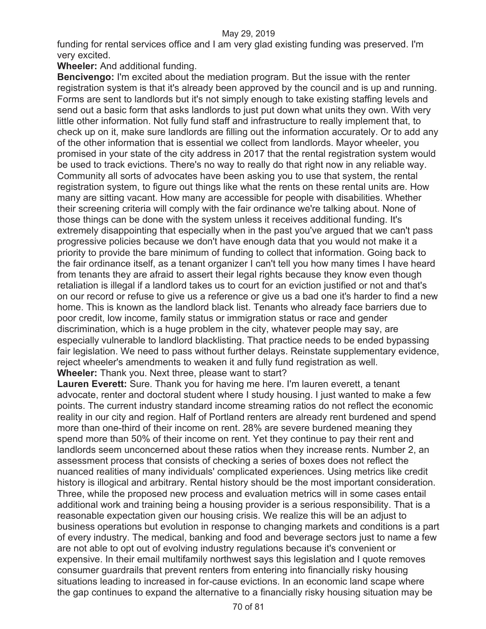funding for rental services office and I am very glad existing funding was preserved. I'm very excited.

**Wheeler:** And additional funding.

**Bencivengo:** I'm excited about the mediation program. But the issue with the renter registration system is that it's already been approved by the council and is up and running. Forms are sent to landlords but it's not simply enough to take existing staffing levels and send out a basic form that asks landlords to just put down what units they own. With very little other information. Not fully fund staff and infrastructure to really implement that, to check up on it, make sure landlords are filling out the information accurately. Or to add any of the other information that is essential we collect from landlords. Mayor wheeler, you promised in your state of the city address in 2017 that the rental registration system would be used to track evictions. There's no way to really do that right now in any reliable way. Community all sorts of advocates have been asking you to use that system, the rental registration system, to figure out things like what the rents on these rental units are. How many are sitting vacant. How many are accessible for people with disabilities. Whether their screening criteria will comply with the fair ordinance we're talking about. None of those things can be done with the system unless it receives additional funding. It's extremely disappointing that especially when in the past you've argued that we can't pass progressive policies because we don't have enough data that you would not make it a priority to provide the bare minimum of funding to collect that information. Going back to the fair ordinance itself, as a tenant organizer I can't tell you how many times I have heard from tenants they are afraid to assert their legal rights because they know even though retaliation is illegal if a landlord takes us to court for an eviction justified or not and that's on our record or refuse to give us a reference or give us a bad one it's harder to find a new home. This is known as the landlord black list. Tenants who already face barriers due to poor credit, low income, family status or immigration status or race and gender discrimination, which is a huge problem in the city, whatever people may say, are especially vulnerable to landlord blacklisting. That practice needs to be ended bypassing fair legislation. We need to pass without further delays. Reinstate supplementary evidence, reject wheeler's amendments to weaken it and fully fund registration as well. **Wheeler:** Thank you. Next three, please want to start?

**Lauren Everett:** Sure. Thank you for having me here. I'm lauren everett, a tenant advocate, renter and doctoral student where I study housing. I just wanted to make a few points. The current industry standard income streaming ratios do not reflect the economic reality in our city and region. Half of Portland renters are already rent burdened and spend more than one-third of their income on rent. 28% are severe burdened meaning they spend more than 50% of their income on rent. Yet they continue to pay their rent and landlords seem unconcerned about these ratios when they increase rents. Number 2, an assessment process that consists of checking a series of boxes does not reflect the nuanced realities of many individuals' complicated experiences. Using metrics like credit history is illogical and arbitrary. Rental history should be the most important consideration. Three, while the proposed new process and evaluation metrics will in some cases entail additional work and training being a housing provider is a serious responsibility. That is a reasonable expectation given our housing crisis. We realize this will be an adjust to business operations but evolution in response to changing markets and conditions is a part of every industry. The medical, banking and food and beverage sectors just to name a few are not able to opt out of evolving industry regulations because it's convenient or expensive. In their email multifamily northwest says this legislation and I quote removes consumer guardrails that prevent renters from entering into financially risky housing situations leading to increased in for-cause evictions. In an economic land scape where the gap continues to expand the alternative to a financially risky housing situation may be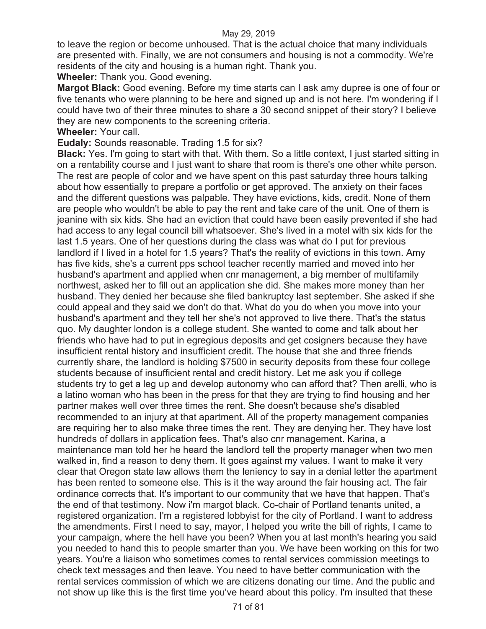to leave the region or become unhoused. That is the actual choice that many individuals are presented with. Finally, we are not consumers and housing is not a commodity. We're residents of the city and housing is a human right. Thank you.

**Wheeler:** Thank you. Good evening.

**Margot Black:** Good evening. Before my time starts can I ask amy dupree is one of four or five tenants who were planning to be here and signed up and is not here. I'm wondering if I could have two of their three minutes to share a 30 second snippet of their story? I believe they are new components to the screening criteria.

**Wheeler:** Your call.

**Eudaly:** Sounds reasonable. Trading 1.5 for six?

**Black:** Yes. I'm going to start with that. With them. So a little context, I just started sitting in on a rentability course and I just want to share that room is there's one other white person. The rest are people of color and we have spent on this past saturday three hours talking about how essentially to prepare a portfolio or get approved. The anxiety on their faces and the different questions was palpable. They have evictions, kids, credit. None of them are people who wouldn't be able to pay the rent and take care of the unit. One of them is jeanine with six kids. She had an eviction that could have been easily prevented if she had had access to any legal council bill whatsoever. She's lived in a motel with six kids for the last 1.5 years. One of her questions during the class was what do I put for previous landlord if I lived in a hotel for 1.5 years? That's the reality of evictions in this town. Amy has five kids, she's a current pps school teacher recently married and moved into her husband's apartment and applied when cnr management, a big member of multifamily northwest, asked her to fill out an application she did. She makes more money than her husband. They denied her because she filed bankruptcy last september. She asked if she could appeal and they said we don't do that. What do you do when you move into your husband's apartment and they tell her she's not approved to live there. That's the status quo. My daughter london is a college student. She wanted to come and talk about her friends who have had to put in egregious deposits and get cosigners because they have insufficient rental history and insufficient credit. The house that she and three friends currently share, the landlord is holding \$7500 in security deposits from these four college students because of insufficient rental and credit history. Let me ask you if college students try to get a leg up and develop autonomy who can afford that? Then arelli, who is a latino woman who has been in the press for that they are trying to find housing and her partner makes well over three times the rent. She doesn't because she's disabled recommended to an injury at that apartment. All of the property management companies are requiring her to also make three times the rent. They are denying her. They have lost hundreds of dollars in application fees. That's also cnr management. Karina, a maintenance man told her he heard the landlord tell the property manager when two men walked in, find a reason to deny them. It goes against my values. I want to make it very clear that Oregon state law allows them the leniency to say in a denial letter the apartment has been rented to someone else. This is it the way around the fair housing act. The fair ordinance corrects that. It's important to our community that we have that happen. That's the end of that testimony. Now i'm margot black. Co-chair of Portland tenants united, a registered organization. I'm a registered lobbyist for the city of Portland. I want to address the amendments. First I need to say, mayor, I helped you write the bill of rights, I came to your campaign, where the hell have you been? When you at last month's hearing you said you needed to hand this to people smarter than you. We have been working on this for two years. You're a liaison who sometimes comes to rental services commission meetings to check text messages and then leave. You need to have better communication with the rental services commission of which we are citizens donating our time. And the public and not show up like this is the first time you've heard about this policy. I'm insulted that these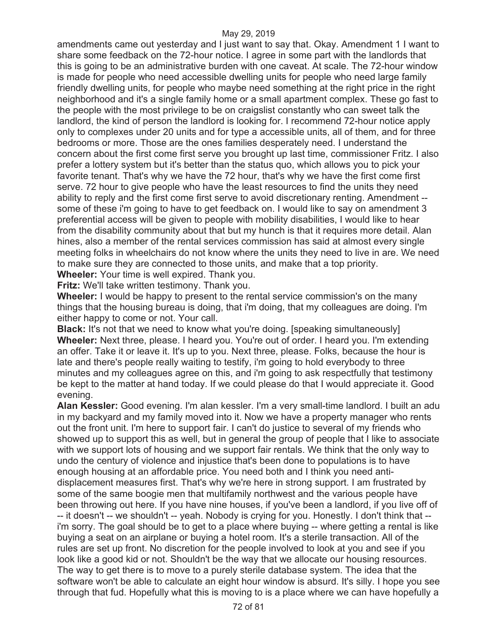amendments came out yesterday and I just want to say that. Okay. Amendment 1 I want to share some feedback on the 72-hour notice. I agree in some part with the landlords that this is going to be an administrative burden with one caveat. At scale. The 72-hour window is made for people who need accessible dwelling units for people who need large family friendly dwelling units, for people who maybe need something at the right price in the right neighborhood and it's a single family home or a small apartment complex. These go fast to the people with the most privilege to be on craigslist constantly who can sweet talk the landlord, the kind of person the landlord is looking for. I recommend 72-hour notice apply only to complexes under 20 units and for type a accessible units, all of them, and for three bedrooms or more. Those are the ones families desperately need. I understand the concern about the first come first serve you brought up last time, commissioner Fritz. I also prefer a lottery system but it's better than the status quo, which allows you to pick your favorite tenant. That's why we have the 72 hour, that's why we have the first come first serve. 72 hour to give people who have the least resources to find the units they need ability to reply and the first come first serve to avoid discretionary renting. Amendment - some of these i'm going to have to get feedback on. I would like to say on amendment 3 preferential access will be given to people with mobility disabilities, I would like to hear from the disability community about that but my hunch is that it requires more detail. Alan hines, also a member of the rental services commission has said at almost every single meeting folks in wheelchairs do not know where the units they need to live in are. We need to make sure they are connected to those units, and make that a top priority.

**Wheeler:** Your time is well expired. Thank you.

**Fritz:** We'll take written testimony. Thank you.

**Wheeler:** I would be happy to present to the rental service commission's on the many things that the housing bureau is doing, that i'm doing, that my colleagues are doing. I'm either happy to come or not. Your call.

**Black:** It's not that we need to know what you're doing. [speaking simultaneously] **Wheeler:** Next three, please. I heard you. You're out of order. I heard you. I'm extending an offer. Take it or leave it. It's up to you. Next three, please. Folks, because the hour is late and there's people really waiting to testify, i'm going to hold everybody to three minutes and my colleagues agree on this, and i'm going to ask respectfully that testimony be kept to the matter at hand today. If we could please do that I would appreciate it. Good evening.

**Alan Kessler:** Good evening. I'm alan kessler. I'm a very small-time landlord. I built an adu in my backyard and my family moved into it. Now we have a property manager who rents out the front unit. I'm here to support fair. I can't do justice to several of my friends who showed up to support this as well, but in general the group of people that I like to associate with we support lots of housing and we support fair rentals. We think that the only way to undo the century of violence and injustice that's been done to populations is to have enough housing at an affordable price. You need both and I think you need antidisplacement measures first. That's why we're here in strong support. I am frustrated by some of the same boogie men that multifamily northwest and the various people have been throwing out here. If you have nine houses, if you've been a landlord, if you live off of -- it doesn't -- we shouldn't -- yeah. Nobody is crying for you. Honestly. I don't think that -i'm sorry. The goal should be to get to a place where buying -- where getting a rental is like buying a seat on an airplane or buying a hotel room. It's a sterile transaction. All of the rules are set up front. No discretion for the people involved to look at you and see if you look like a good kid or not. Shouldn't be the way that we allocate our housing resources. The way to get there is to move to a purely sterile database system. The idea that the software won't be able to calculate an eight hour window is absurd. It's silly. I hope you see through that fud. Hopefully what this is moving to is a place where we can have hopefully a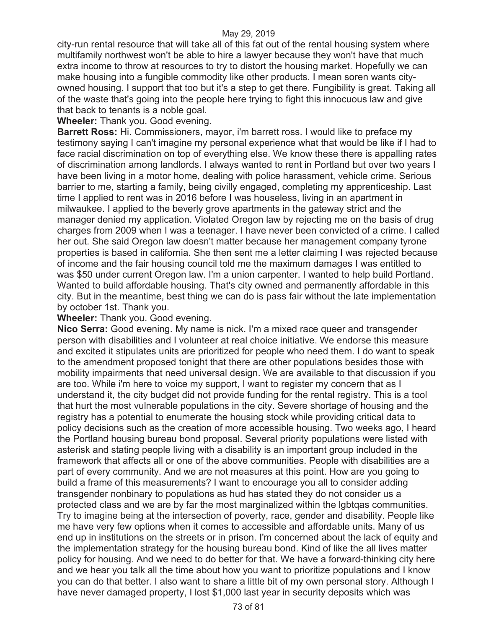city-run rental resource that will take all of this fat out of the rental housing system where multifamily northwest won't be able to hire a lawyer because they won't have that much extra income to throw at resources to try to distort the housing market. Hopefully we can make housing into a fungible commodity like other products. I mean soren wants cityowned housing. I support that too but it's a step to get there. Fungibility is great. Taking all of the waste that's going into the people here trying to fight this innocuous law and give that back to tenants is a noble goal.

**Wheeler:** Thank you. Good evening.

**Barrett Ross:** Hi. Commissioners, mayor, i'm barrett ross. I would like to preface my testimony saying I can't imagine my personal experience what that would be like if I had to face racial discrimination on top of everything else. We know these there is appalling rates of discrimination among landlords. I always wanted to rent in Portland but over two years I have been living in a motor home, dealing with police harassment, vehicle crime. Serious barrier to me, starting a family, being civilly engaged, completing my apprenticeship. Last time I applied to rent was in 2016 before I was houseless, living in an apartment in milwaukee. I applied to the beverly grove apartments in the gateway strict and the manager denied my application. Violated Oregon law by rejecting me on the basis of drug charges from 2009 when I was a teenager. I have never been convicted of a crime. I called her out. She said Oregon law doesn't matter because her management company tyrone properties is based in california. She then sent me a letter claiming I was rejected because of income and the fair housing council told me the maximum damages I was entitled to was \$50 under current Oregon law. I'm a union carpenter. I wanted to help build Portland. Wanted to build affordable housing. That's city owned and permanently affordable in this city. But in the meantime, best thing we can do is pass fair without the late implementation by october 1st. Thank you.

# **Wheeler:** Thank you. Good evening.

**Nico Serra:** Good evening. My name is nick. I'm a mixed race queer and transgender person with disabilities and I volunteer at real choice initiative. We endorse this measure and excited it stipulates units are prioritized for people who need them. I do want to speak to the amendment proposed tonight that there are other populations besides those with mobility impairments that need universal design. We are available to that discussion if you are too. While i'm here to voice my support, I want to register my concern that as I understand it, the city budget did not provide funding for the rental registry. This is a tool that hurt the most vulnerable populations in the city. Severe shortage of housing and the registry has a potential to enumerate the housing stock while providing critical data to policy decisions such as the creation of more accessible housing. Two weeks ago, I heard the Portland housing bureau bond proposal. Several priority populations were listed with asterisk and stating people living with a disability is an important group included in the framework that affects all or one of the above communities. People with disabilities are a part of every community. And we are not measures at this point. How are you going to build a frame of this measurements? I want to encourage you all to consider adding transgender nonbinary to populations as hud has stated they do not consider us a protected class and we are by far the most marginalized within the lgbtqas communities. Try to imagine being at the intersection of poverty, race, gender and disability. People like me have very few options when it comes to accessible and affordable units. Many of us end up in institutions on the streets or in prison. I'm concerned about the lack of equity and the implementation strategy for the housing bureau bond. Kind of like the all lives matter policy for housing. And we need to do better for that. We have a forward-thinking city here and we hear you talk all the time about how you want to prioritize populations and I know you can do that better. I also want to share a little bit of my own personal story. Although I have never damaged property, I lost \$1,000 last year in security deposits which was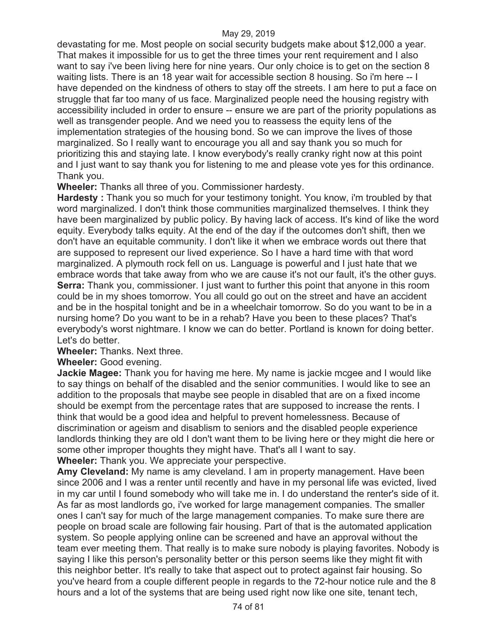devastating for me. Most people on social security budgets make about \$12,000 a year. That makes it impossible for us to get the three times your rent requirement and I also want to say i've been living here for nine years. Our only choice is to get on the section 8 waiting lists. There is an 18 year wait for accessible section 8 housing. So i'm here -- I have depended on the kindness of others to stay off the streets. I am here to put a face on struggle that far too many of us face. Marginalized people need the housing registry with accessibility included in order to ensure -- ensure we are part of the priority populations as well as transgender people. And we need you to reassess the equity lens of the implementation strategies of the housing bond. So we can improve the lives of those marginalized. So I really want to encourage you all and say thank you so much for prioritizing this and staying late. I know everybody's really cranky right now at this point and I just want to say thank you for listening to me and please vote yes for this ordinance. Thank you.

**Wheeler:** Thanks all three of you. Commissioner hardesty.

**Hardesty**: Thank you so much for your testimony tonight. You know, i'm troubled by that word marginalized. I don't think those communities marginalized themselves. I think they have been marginalized by public policy. By having lack of access. It's kind of like the word equity. Everybody talks equity. At the end of the day if the outcomes don't shift, then we don't have an equitable community. I don't like it when we embrace words out there that are supposed to represent our lived experience. So I have a hard time with that word marginalized. A plymouth rock fell on us. Language is powerful and I just hate that we embrace words that take away from who we are cause it's not our fault, it's the other guys. **Serra:** Thank you, commissioner. I just want to further this point that anyone in this room could be in my shoes tomorrow. You all could go out on the street and have an accident and be in the hospital tonight and be in a wheelchair tomorrow. So do you want to be in a nursing home? Do you want to be in a rehab? Have you been to these places? That's everybody's worst nightmare. I know we can do better. Portland is known for doing better. Let's do better.

**Wheeler:** Thanks. Next three.

**Wheeler:** Good evening.

**Jackie Magee:** Thank you for having me here. My name is jackie mcgee and I would like to say things on behalf of the disabled and the senior communities. I would like to see an addition to the proposals that maybe see people in disabled that are on a fixed income should be exempt from the percentage rates that are supposed to increase the rents. I think that would be a good idea and helpful to prevent homelessness. Because of discrimination or ageism and disablism to seniors and the disabled people experience landlords thinking they are old I don't want them to be living here or they might die here or some other improper thoughts they might have. That's all I want to say.

**Wheeler:** Thank you. We appreciate your perspective.

**Amy Cleveland:** My name is amy cleveland. I am in property management. Have been since 2006 and I was a renter until recently and have in my personal life was evicted, lived in my car until I found somebody who will take me in. I do understand the renter's side of it. As far as most landlords go, i've worked for large management companies. The smaller ones I can't say for much of the large management companies. To make sure there are people on broad scale are following fair housing. Part of that is the automated application system. So people applying online can be screened and have an approval without the team ever meeting them. That really is to make sure nobody is playing favorites. Nobody is saying I like this person's personality better or this person seems like they might fit with this neighbor better. It's really to take that aspect out to protect against fair housing. So you've heard from a couple different people in regards to the 72-hour notice rule and the 8 hours and a lot of the systems that are being used right now like one site, tenant tech,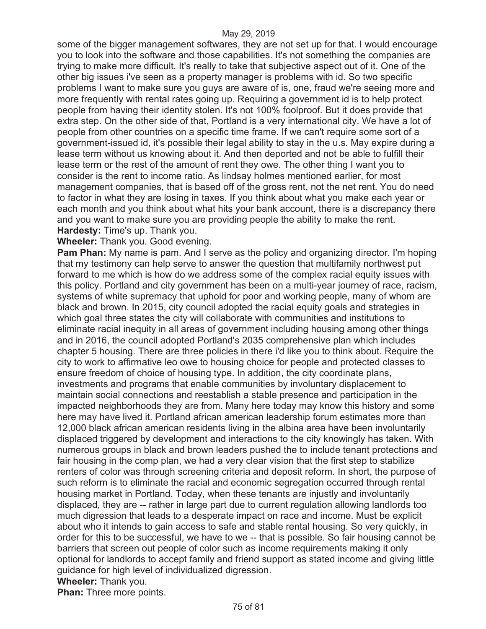some of the bigger management softwares, they are not set up for that. I would encourage you to look into the software and those capabilities. It's not something the companies are trying to make more difficult. It's really to take that subjective aspect out of it. One of the other big issues i've seen as a property manager is problems with id. So two specific problems I want to make sure you guys are aware of is, one, fraud we're seeing more and more frequently with rental rates going up. Requiring a government id is to help protect people from having their identity stolen. It's not 100% foolproof. But it does provide that extra step. On the other side of that, Portland is a very international city. We have a lot of people from other countries on a specific time frame. If we can't require some sort of a government-issued id, it's possible their legal ability to stay in the u.s. May expire during a lease term without us knowing about it. And then deported and not be able to fulfill their lease term or the rest of the amount of rent they owe. The other thing I want you to consider is the rent to income ratio. As lindsay holmes mentioned earlier, for most management companies, that is based off of the gross rent, not the net rent. You do need to factor in what they are losing in taxes. If you think about what you make each year or each month and you think about what hits your bank account, there is a discrepancy there and you want to make sure you are providing people the ability to make the rent. **Hardesty:** Time's up. Thank you.

**Wheeler:** Thank you. Good evening.

**Pam Phan:** My name is pam. And I serve as the policy and organizing director. I'm hoping that my testimony can help serve to answer the question that multifamily northwest put forward to me which is how do we address some of the complex racial equity issues with this policy. Portland and city government has been on a multi-year journey of race, racism, systems of white supremacy that uphold for poor and working people, many of whom are black and brown. In 2015, city council adopted the racial equity goals and strategies in which goal three states the city will collaborate with communities and institutions to eliminate racial inequity in all areas of government including housing among other things and in 2016, the council adopted Portland's 2035 comprehensive plan which includes chapter 5 housing. There are three policies in there i'd like you to think about. Require the city to work to affirmative leo owe to housing choice for people and protected classes to ensure freedom of choice of housing type. In addition, the city coordinate plans, investments and programs that enable communities by involuntary displacement to maintain social connections and reestablish a stable presence and participation in the impacted neighborhoods they are from. Many here today may know this history and some here may have lived it. Portland african american leadership forum estimates more than 12,000 black african american residents living in the albina area have been involuntarily displaced triggered by development and interactions to the city knowingly has taken. With numerous groups in black and brown leaders pushed the to include tenant protections and fair housing in the comp plan, we had a very clear vision that the first step to stabilize renters of color was through screening criteria and deposit reform. In short, the purpose of such reform is to eliminate the racial and economic segregation occurred through rental housing market in Portland. Today, when these tenants are injustly and involuntarily displaced, they are -- rather in large part due to current regulation allowing landlords too much digression that leads to a desperate impact on race and income. Must be explicit about who it intends to gain access to safe and stable rental housing. So very quickly, in order for this to be successful, we have to we -- that is possible. So fair housing cannot be barriers that screen out people of color such as income requirements making it only optional for landlords to accept family and friend support as stated income and giving little guidance for high level of individualized digression. **Wheeler:** Thank you.

**Phan:** Three more points.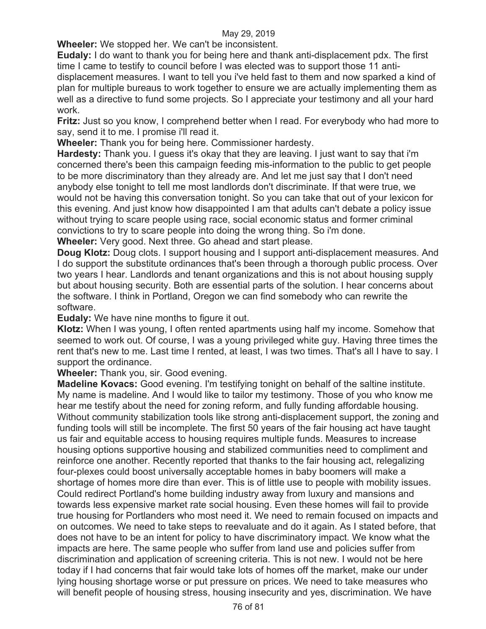**Wheeler:** We stopped her. We can't be inconsistent.

**Eudaly:** I do want to thank you for being here and thank anti-displacement pdx. The first time I came to testify to council before I was elected was to support those 11 antidisplacement measures. I want to tell you i've held fast to them and now sparked a kind of

plan for multiple bureaus to work together to ensure we are actually implementing them as well as a directive to fund some projects. So I appreciate your testimony and all your hard work.

**Fritz:** Just so you know, I comprehend better when I read. For everybody who had more to say, send it to me. I promise i'll read it.

**Wheeler:** Thank you for being here. Commissioner hardesty.

**Hardesty:** Thank you. I guess it's okay that they are leaving. I just want to say that i'm concerned there's been this campaign feeding mis-information to the public to get people to be more discriminatory than they already are. And let me just say that I don't need anybody else tonight to tell me most landlords don't discriminate. If that were true, we would not be having this conversation tonight. So you can take that out of your lexicon for this evening. And just know how disappointed I am that adults can't debate a policy issue without trying to scare people using race, social economic status and former criminal convictions to try to scare people into doing the wrong thing. So i'm done.

**Wheeler:** Very good. Next three. Go ahead and start please.

**Doug Klotz:** Doug clots. I support housing and I support anti-displacement measures. And I do support the substitute ordinances that's been through a thorough public process. Over two years I hear. Landlords and tenant organizations and this is not about housing supply but about housing security. Both are essential parts of the solution. I hear concerns about the software. I think in Portland, Oregon we can find somebody who can rewrite the software.

**Eudaly:** We have nine months to figure it out.

**Klotz:** When I was young, I often rented apartments using half my income. Somehow that seemed to work out. Of course, I was a young privileged white guy. Having three times the rent that's new to me. Last time I rented, at least, I was two times. That's all I have to say. I support the ordinance.

**Wheeler:** Thank you, sir. Good evening.

**Madeline Kovacs:** Good evening. I'm testifying tonight on behalf of the saltine institute. My name is madeline. And I would like to tailor my testimony. Those of you who know me hear me testify about the need for zoning reform, and fully funding affordable housing. Without community stabilization tools like strong anti-displacement support, the zoning and funding tools will still be incomplete. The first 50 years of the fair housing act have taught us fair and equitable access to housing requires multiple funds. Measures to increase housing options supportive housing and stabilized communities need to compliment and reinforce one another. Recently reported that thanks to the fair housing act, relegalizing four-plexes could boost universally acceptable homes in baby boomers will make a shortage of homes more dire than ever. This is of little use to people with mobility issues. Could redirect Portland's home building industry away from luxury and mansions and towards less expensive market rate social housing. Even these homes will fail to provide true housing for Portlanders who most need it. We need to remain focused on impacts and on outcomes. We need to take steps to reevaluate and do it again. As I stated before, that does not have to be an intent for policy to have discriminatory impact. We know what the impacts are here. The same people who suffer from land use and policies suffer from discrimination and application of screening criteria. This is not new. I would not be here today if I had concerns that fair would take lots of homes off the market, make our under lying housing shortage worse or put pressure on prices. We need to take measures who will benefit people of housing stress, housing insecurity and yes, discrimination. We have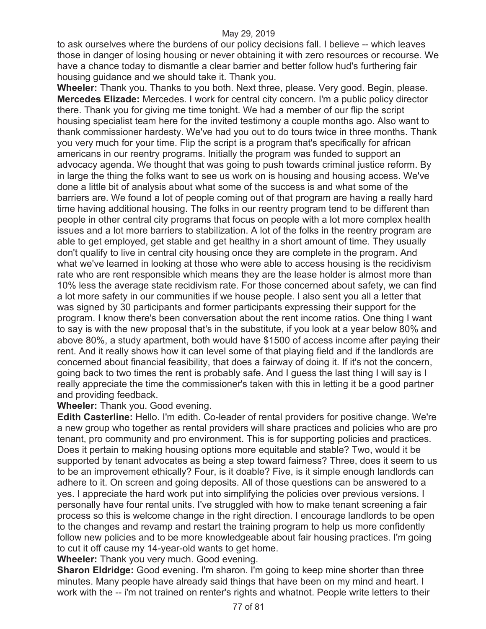to ask ourselves where the burdens of our policy decisions fall. I believe -- which leaves those in danger of losing housing or never obtaining it with zero resources or recourse. We have a chance today to dismantle a clear barrier and better follow hud's furthering fair housing guidance and we should take it. Thank you.

**Wheeler:** Thank you. Thanks to you both. Next three, please. Very good. Begin, please. **Mercedes Elizade:** Mercedes. I work for central city concern. I'm a public policy director there. Thank you for giving me time tonight. We had a member of our flip the script housing specialist team here for the invited testimony a couple months ago. Also want to thank commissioner hardesty. We've had you out to do tours twice in three months. Thank you very much for your time. Flip the script is a program that's specifically for african americans in our reentry programs. Initially the program was funded to support an advocacy agenda. We thought that was going to push towards criminal justice reform. By in large the thing the folks want to see us work on is housing and housing access. We've done a little bit of analysis about what some of the success is and what some of the barriers are. We found a lot of people coming out of that program are having a really hard time having additional housing. The folks in our reentry program tend to be different than people in other central city programs that focus on people with a lot more complex health issues and a lot more barriers to stabilization. A lot of the folks in the reentry program are able to get employed, get stable and get healthy in a short amount of time. They usually don't qualify to live in central city housing once they are complete in the program. And what we've learned in looking at those who were able to access housing is the recidivism rate who are rent responsible which means they are the lease holder is almost more than 10% less the average state recidivism rate. For those concerned about safety, we can find a lot more safety in our communities if we house people. I also sent you all a letter that was signed by 30 participants and former participants expressing their support for the program. I know there's been conversation about the rent income ratios. One thing I want to say is with the new proposal that's in the substitute, if you look at a year below 80% and above 80%, a study apartment, both would have \$1500 of access income after paying their rent. And it really shows how it can level some of that playing field and if the landlords are concerned about financial feasibility, that does a fairway of doing it. If it's not the concern, going back to two times the rent is probably safe. And I guess the last thing I will say is I really appreciate the time the commissioner's taken with this in letting it be a good partner and providing feedback.

# **Wheeler:** Thank you. Good evening.

**Edith Casterline:** Hello. I'm edith. Co-leader of rental providers for positive change. We're a new group who together as rental providers will share practices and policies who are pro tenant, pro community and pro environment. This is for supporting policies and practices. Does it pertain to making housing options more equitable and stable? Two, would it be supported by tenant advocates as being a step toward fairness? Three, does it seem to us to be an improvement ethically? Four, is it doable? Five, is it simple enough landlords can adhere to it. On screen and going deposits. All of those questions can be answered to a yes. I appreciate the hard work put into simplifying the policies over previous versions. I personally have four rental units. I've struggled with how to make tenant screening a fair process so this is welcome change in the right direction. I encourage landlords to be open to the changes and revamp and restart the training program to help us more confidently follow new policies and to be more knowledgeable about fair housing practices. I'm going to cut it off cause my 14-year-old wants to get home.

## **Wheeler:** Thank you very much. Good evening.

**Sharon Eldridge:** Good evening. I'm sharon. I'm going to keep mine shorter than three minutes. Many people have already said things that have been on my mind and heart. I work with the -- i'm not trained on renter's rights and whatnot. People write letters to their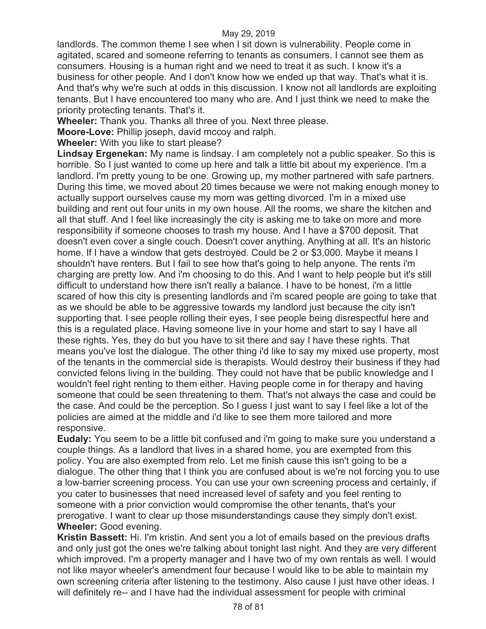landlords. The common theme I see when I sit down is vulnerability. People come in agitated, scared and someone referring to tenants as consumers. I cannot see them as consumers. Housing is a human right and we need to treat it as such. I know it's a business for other people. And I don't know how we ended up that way. That's what it is. And that's why we're such at odds in this discussion. I know not all landlords are exploiting tenants. But I have encountered too many who are. And I just think we need to make the priority protecting tenants. That's it.

**Wheeler:** Thank you. Thanks all three of you. Next three please.

**Moore-Love:** Phillip joseph, david mccoy and ralph.

**Wheeler:** With you like to start please?

**Lindsay Ergenekan:** My name is lindsay. I am completely not a public speaker. So this is horrible. So I just wanted to come up here and talk a little bit about my experience. I'm a landlord. I'm pretty young to be one. Growing up, my mother partnered with safe partners. During this time, we moved about 20 times because we were not making enough money to actually support ourselves cause my mom was getting divorced. I'm in a mixed use building and rent out four units in my own house. All the rooms, we share the kitchen and all that stuff. And I feel like increasingly the city is asking me to take on more and more responsibility if someone chooses to trash my house. And I have a \$700 deposit. That doesn't even cover a single couch. Doesn't cover anything. Anything at all. It's an historic home. If I have a window that gets destroyed. Could be 2 or \$3,000. Maybe it means I shouldn't have renters. But I fail to see how that's going to help anyone. The rents i'm charging are pretty low. And i'm choosing to do this. And I want to help people but it's still difficult to understand how there isn't really a balance. I have to be honest, i'm a little scared of how this city is presenting landlords and i'm scared people are going to take that as we should be able to be aggressive towards my landlord just because the city isn't supporting that. I see people rolling their eyes, I see people being disrespectful here and this is a regulated place. Having someone live in your home and start to say I have all these rights. Yes, they do but you have to sit there and say I have these rights. That means you've lost the dialogue. The other thing i'd like to say my mixed use property, most of the tenants in the commercial side is therapists. Would destroy their business if they had convicted felons living in the building. They could not have that be public knowledge and I wouldn't feel right renting to them either. Having people come in for therapy and having someone that could be seen threatening to them. That's not always the case and could be the case. And could be the perception. So I guess I just want to say I feel like a lot of the policies are aimed at the middle and i'd like to see them more tailored and more responsive.

**Eudaly:** You seem to be a little bit confused and i'm going to make sure you understand a couple things. As a landlord that lives in a shared home, you are exempted from this policy. You are also exempted from relo. Let me finish cause this isn't going to be a dialogue. The other thing that I think you are confused about is we're not forcing you to use a low-barrier screening process. You can use your own screening process and certainly, if you cater to businesses that need increased level of safety and you feel renting to someone with a prior conviction would compromise the other tenants, that's your prerogative. I want to clear up those misunderstandings cause they simply don't exist. **Wheeler:** Good evening.

**Kristin Bassett:** Hi. I'm kristin. And sent you a lot of emails based on the previous drafts and only just got the ones we're talking about tonight last night. And they are very different which improved. I'm a property manager and I have two of my own rentals as well. I would not like mayor wheeler's amendment four because I would like to be able to maintain my own screening criteria after listening to the testimony. Also cause I just have other ideas. I will definitely re-- and I have had the individual assessment for people with criminal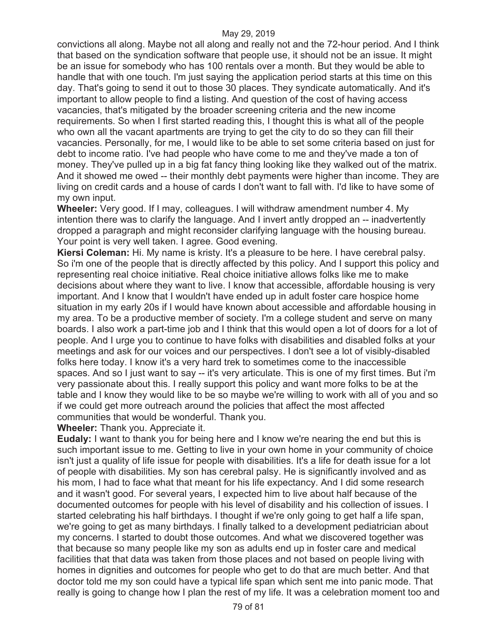convictions all along. Maybe not all along and really not and the 72-hour period. And I think that based on the syndication software that people use, it should not be an issue. It might be an issue for somebody who has 100 rentals over a month. But they would be able to handle that with one touch. I'm just saying the application period starts at this time on this day. That's going to send it out to those 30 places. They syndicate automatically. And it's important to allow people to find a listing. And question of the cost of having access vacancies, that's mitigated by the broader screening criteria and the new income requirements. So when I first started reading this, I thought this is what all of the people who own all the vacant apartments are trying to get the city to do so they can fill their vacancies. Personally, for me, I would like to be able to set some criteria based on just for debt to income ratio. I've had people who have come to me and they've made a ton of money. They've pulled up in a big fat fancy thing looking like they walked out of the matrix. And it showed me owed -- their monthly debt payments were higher than income. They are living on credit cards and a house of cards I don't want to fall with. I'd like to have some of my own input.

**Wheeler:** Very good. If I may, colleagues. I will withdraw amendment number 4. My intention there was to clarify the language. And I invert antly dropped an -- inadvertently dropped a paragraph and might reconsider clarifying language with the housing bureau. Your point is very well taken. I agree. Good evening.

**Kiersi Coleman:** Hi. My name is kristy. It's a pleasure to be here. I have cerebral palsy. So i'm one of the people that is directly affected by this policy. And I support this policy and representing real choice initiative. Real choice initiative allows folks like me to make decisions about where they want to live. I know that accessible, affordable housing is very important. And I know that I wouldn't have ended up in adult foster care hospice home situation in my early 20s if I would have known about accessible and affordable housing in my area. To be a productive member of society. I'm a college student and serve on many boards. I also work a part-time job and I think that this would open a lot of doors for a lot of people. And I urge you to continue to have folks with disabilities and disabled folks at your meetings and ask for our voices and our perspectives. I don't see a lot of visibly-disabled folks here today. I know it's a very hard trek to sometimes come to the inaccessible spaces. And so I just want to say -- it's very articulate. This is one of my first times. But i'm very passionate about this. I really support this policy and want more folks to be at the table and I know they would like to be so maybe we're willing to work with all of you and so if we could get more outreach around the policies that affect the most affected communities that would be wonderful. Thank you.

**Wheeler:** Thank you. Appreciate it.

**Eudaly:** I want to thank you for being here and I know we're nearing the end but this is such important issue to me. Getting to live in your own home in your community of choice isn't just a quality of life issue for people with disabilities. It's a life for death issue for a lot of people with disabilities. My son has cerebral palsy. He is significantly involved and as his mom, I had to face what that meant for his life expectancy. And I did some research and it wasn't good. For several years, I expected him to live about half because of the documented outcomes for people with his level of disability and his collection of issues. I started celebrating his half birthdays. I thought if we're only going to get half a life span, we're going to get as many birthdays. I finally talked to a development pediatrician about my concerns. I started to doubt those outcomes. And what we discovered together was that because so many people like my son as adults end up in foster care and medical facilities that that data was taken from those places and not based on people living with homes in dignities and outcomes for people who get to do that are much better. And that doctor told me my son could have a typical life span which sent me into panic mode. That really is going to change how I plan the rest of my life. It was a celebration moment too and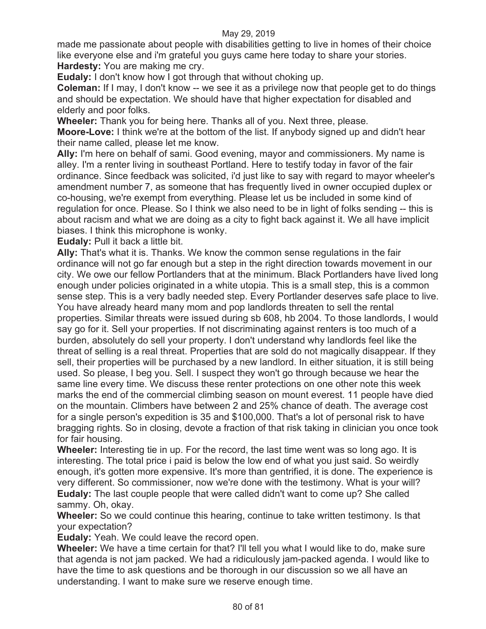made me passionate about people with disabilities getting to live in homes of their choice like everyone else and i'm grateful you guys came here today to share your stories. **Hardesty:** You are making me cry.

**Eudaly:** I don't know how I got through that without choking up.

**Coleman:** If I may, I don't know -- we see it as a privilege now that people get to do things and should be expectation. We should have that higher expectation for disabled and elderly and poor folks.

**Wheeler:** Thank you for being here. Thanks all of you. Next three, please.

**Moore-Love:** I think we're at the bottom of the list. If anybody signed up and didn't hear their name called, please let me know.

**Ally:** I'm here on behalf of sami. Good evening, mayor and commissioners. My name is alley. I'm a renter living in southeast Portland. Here to testify today in favor of the fair ordinance. Since feedback was solicited, i'd just like to say with regard to mayor wheeler's amendment number 7, as someone that has frequently lived in owner occupied duplex or co-housing, we're exempt from everything. Please let us be included in some kind of regulation for once. Please. So I think we also need to be in light of folks sending -- this is about racism and what we are doing as a city to fight back against it. We all have implicit biases. I think this microphone is wonky.

**Eudaly:** Pull it back a little bit.

**Ally:** That's what it is. Thanks. We know the common sense regulations in the fair ordinance will not go far enough but a step in the right direction towards movement in our city. We owe our fellow Portlanders that at the minimum. Black Portlanders have lived long enough under policies originated in a white utopia. This is a small step, this is a common sense step. This is a very badly needed step. Every Portlander deserves safe place to live. You have already heard many mom and pop landlords threaten to sell the rental properties. Similar threats were issued during sb 608, hb 2004. To those landlords, I would say go for it. Sell your properties. If not discriminating against renters is too much of a burden, absolutely do sell your property. I don't understand why landlords feel like the threat of selling is a real threat. Properties that are sold do not magically disappear. If they sell, their properties will be purchased by a new landlord. In either situation, it is still being used. So please, I beg you. Sell. I suspect they won't go through because we hear the same line every time. We discuss these renter protections on one other note this week marks the end of the commercial climbing season on mount everest. 11 people have died on the mountain. Climbers have between 2 and 25% chance of death. The average cost for a single person's expedition is 35 and \$100,000. That's a lot of personal risk to have bragging rights. So in closing, devote a fraction of that risk taking in clinician you once took for fair housing.

**Wheeler:** Interesting tie in up. For the record, the last time went was so long ago. It is interesting. The total price i paid is below the low end of what you just said. So weirdly enough, it's gotten more expensive. It's more than gentrified, it is done. The experience is very different. So commissioner, now we're done with the testimony. What is your will? **Eudaly:** The last couple people that were called didn't want to come up? She called sammy. Oh, okay.

**Wheeler:** So we could continue this hearing, continue to take written testimony. Is that your expectation?

**Eudaly:** Yeah. We could leave the record open.

**Wheeler:** We have a time certain for that? I'll tell you what I would like to do, make sure that agenda is not jam packed. We had a ridiculously jam-packed agenda. I would like to have the time to ask questions and be thorough in our discussion so we all have an understanding. I want to make sure we reserve enough time.